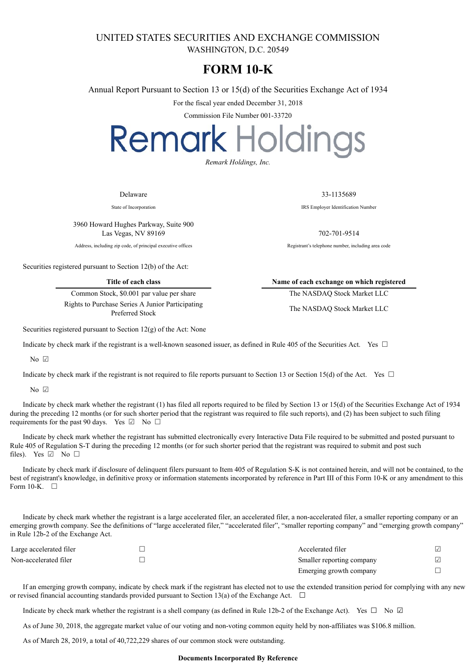# UNITED STATES SECURITIES AND EXCHANGE COMMISSION WASHINGTON, D.C. 20549

# **FORM 10-K**

Annual Report Pursuant to Section 13 or 15(d) of the Securities Exchange Act of 1934

For the fiscal year ended December 31, 2018

Commission File Number 001-33720

# **Remark Holdings**

*Remark Holdings, Inc.*

3960 Howard Hughes Parkway, Suite 900 Las Vegas, NV 89169 702-701-9514

Address, including zip code, of principal executive offices Registrant's telephone number, including area code

Securities registered pursuant to Section 12(b) of the Act:

Common Stock, \$0.001 par value per share The NASDAQ Stock Market LLC Rights to Purchase Series A Junior Participating Preferred Stock

Securities registered pursuant to Section 12(g) of the Act: None

Indicate by check mark if the registrant is a well-known seasoned issuer, as defined in Rule 405 of the Securities Act. Yes  $\Box$ 

No ☑

Indicate by check mark if the registrant is not required to file reports pursuant to Section 13 or Section 15(d) of the Act. Yes  $\Box$ 

No ☑

Indicate by check mark whether the registrant (1) has filed all reports required to be filed by Section 13 or 15(d) of the Securities Exchange Act of 1934 during the preceding 12 months (or for such shorter period that the registrant was required to file such reports), and (2) has been subject to such filing requirements for the past 90 days. Yes  $\boxdot$  No  $\Box$ 

Indicate by check mark whether the registrant has submitted electronically every Interactive Data File required to be submitted and posted pursuant to Rule 405 of Regulation S-T during the preceding 12 months (or for such shorter period that the registrant was required to submit and post such files). Yes  $\boxdot$  No  $\Box$ 

Indicate by check mark if disclosure of delinquent filers pursuant to Item 405 of Regulation S-K is not contained herein, and will not be contained, to the best of registrant's knowledge, in definitive proxy or information statements incorporated by reference in Part III of this Form 10-K or any amendment to this Form  $10-K$   $\Box$ 

Indicate by check mark whether the registrant is a large accelerated filer, an accelerated filer, a non-accelerated filer, a smaller reporting company or an emerging growth company. See the definitions of "large accelerated filer," "accelerated filer", "smaller reporting company" and "emerging growth company" in Rule 12b-2 of the Exchange Act.

| Large accelerated filer | _ | Accelerated filer         |  |
|-------------------------|---|---------------------------|--|
| Non-accelerated filer   |   | Smaller reporting company |  |
|                         |   | Emerging growth company   |  |

If an emerging growth company, indicate by check mark if the registrant has elected not to use the extended transition period for complying with any new or revised financial accounting standards provided pursuant to Section 13(a) of the Exchange Act.  $\Box$ 

Indicate by check mark whether the registrant is a shell company (as defined in Rule 12b-2 of the Exchange Act). Yes  $\Box$  No  $\Box$ 

As of June 30, 2018, the aggregate market value of our voting and non-voting common equity held by non-affiliates was \$106.8 million.

As of March 28, 2019, a total of 40,722,229 shares of our common stock were outstanding.

#### **Documents Incorporated By Reference**

Delaware 33-1135689

State of Incorporation **IRS** Employer Identification Number

**Title of each class Name of each exchange on which registered**

The NASDAQ Stock Market LLC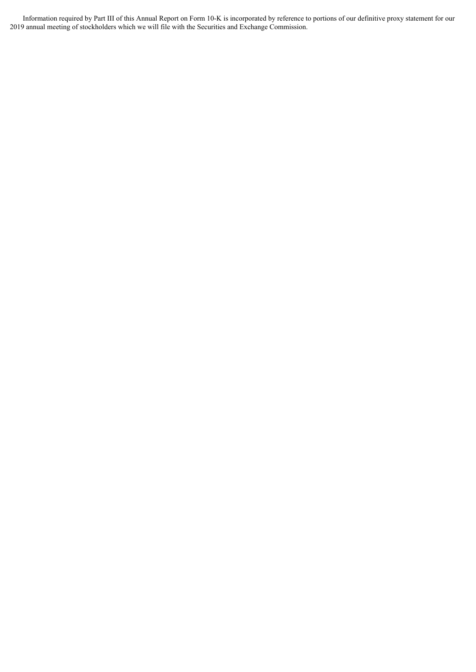Information required by Part III of this Annual Report on Form 10-K is incorporated by reference to portions of our definitive proxy statement for our 2019 annual meeting of stockholders which we will file with the Securities and Exchange Commission.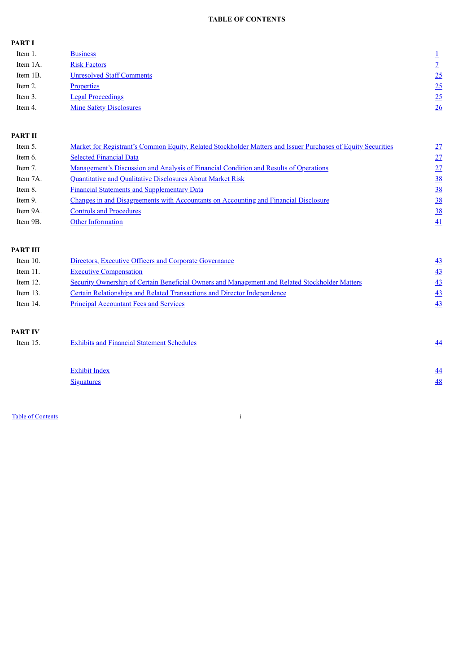## **TABLE OF CONTENTS**

# <span id="page-2-0"></span>**PART I Iftem [1](#page-4-0).** [Business](#page-4-0) **1** Item 1A. Risk [Factors](#page-10-0) **[7](#page-10-0)** Item 1B. [Unresolved](#page-28-0) Staff Comments<br>
Item 2. Properties [25](#page-28-0) Item 2. [Properties](#page-28-1) [25](#page-28-1) Item 3. Legal [Proceedings](#page-28-2) [25](#page-28-2)<br>Item 4. <u>Mine Safety Disclosures</u> 20 Item 4. Mine Safety [Disclosures](#page-29-0)

# **PART II**

| Item 5.    | Market for Registrant's Common Equity, Related Stockholder Matters and Issuer Purchases of Equity Securities | 27              |
|------------|--------------------------------------------------------------------------------------------------------------|-----------------|
| Item $6$ . | <b>Selected Financial Data</b>                                                                               | 27              |
| Item 7.    | Management's Discussion and Analysis of Financial Condition and Results of Operations                        | 27              |
| Item 7A.   | Quantitative and Qualitative Disclosures About Market Risk                                                   | 38              |
| Item 8.    | <b>Financial Statements and Supplementary Data</b>                                                           | 38              |
| Item 9.    | Changes in and Disagreements with Accountants on Accounting and Financial Disclosure                         | 38              |
| Item 9A.   | <b>Controls and Procedures</b>                                                                               | 38              |
| Item 9B.   | <b>Other Information</b>                                                                                     | $\overline{41}$ |
|            |                                                                                                              |                 |

# **PART III**

| Item $10$ . | Directors, Executive Officers and Corporate Governance                                                |                 |
|-------------|-------------------------------------------------------------------------------------------------------|-----------------|
| Item $11$ . | <b>Executive Compensation</b>                                                                         | 43              |
| Item $12$ . | <b>Security Ownership of Certain Beneficial Owners and Management and Related Stockholder Matters</b> | 43              |
| Item $13$ . | Certain Relationships and Related Transactions and Director Independence                              | $\overline{43}$ |
| Item $14$ . | <b>Principal Accountant Fees and Services</b>                                                         | $\overline{43}$ |

## **PART IV**

| Item 15. | <b>Exhibits and Financial Statement Schedules</b> |                  |  |
|----------|---------------------------------------------------|------------------|--|
|          |                                                   |                  |  |
|          | <b>Exhibit Index</b>                              | 44               |  |
|          | <b>Signatures</b>                                 | $\underline{48}$ |  |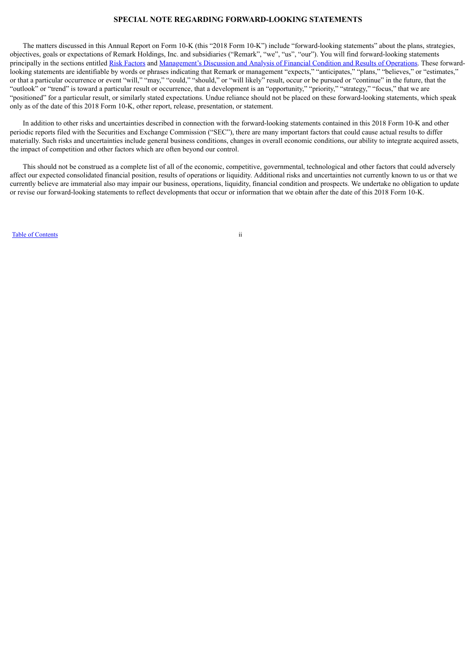#### **SPECIAL NOTE REGARDING FORWARD-LOOKING STATEMENTS**

<span id="page-3-0"></span>The matters discussed in this Annual Report on Form 10-K (this "2018 Form 10-K") include "forward-looking statements" about the plans, strategies, objectives, goals or expectations of Remark Holdings, Inc. and subsidiaries ("Remark", "we", "us", "our"). You will find forward-looking statements principally in the sections entitled Risk [Factors](#page-10-0) and [Management's](#page-30-2) Discussion and Analysis of Financial Condition and Results of Operations. These forwardlooking statements are identifiable by words or phrases indicating that Remark or management "expects," "anticipates," "plans," "believes," or "estimates," or that a particular occurrence or event "will," "may," "could," "should," or "will likely" result, occur or be pursued or "continue" in the future, that the "outlook" or "trend" is toward a particular result or occurrence, that a development is an "opportunity," "priority," "strategy," "focus," that we are "positioned" for a particular result, or similarly stated expectations. Undue reliance should not be placed on these forward-looking statements, which speak only as of the date of this 2018 Form 10-K, other report, release, presentation, or statement.

In addition to other risks and uncertainties described in connection with the forward-looking statements contained in this 2018 Form 10-K and other periodic reports filed with the Securities and Exchange Commission ("SEC"), there are many important factors that could cause actual results to differ materially. Such risks and uncertainties include general business conditions, changes in overall economic conditions, our ability to integrate acquired assets, the impact of competition and other factors which are often beyond our control.

This should not be construed as a complete list of all of the economic, competitive, governmental, technological and other factors that could adversely affect our expected consolidated financial position, results of operations or liquidity. Additional risks and uncertainties not currently known to us or that we currently believe are immaterial also may impair our business, operations, liquidity, financial condition and prospects. We undertake no obligation to update or revise our forward-looking statements to reflect developments that occur or information that we obtain after the date of this 2018 Form 10-K.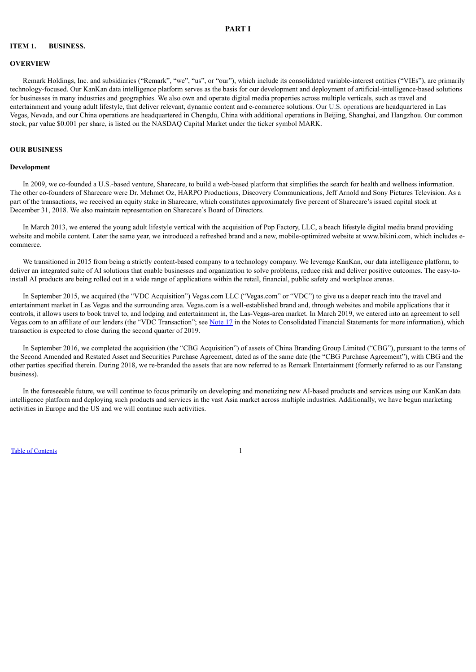#### <span id="page-4-0"></span>**ITEM 1. BUSINESS.**

#### **OVERVIEW**

Remark Holdings, Inc. and subsidiaries ("Remark", "we", "us", or "our"), which include its consolidated variable-interest entities ("VIEs"), are primarily technology-focused. Our KanKan data intelligence platform serves as the basis for our development and deployment of artificial-intelligence-based solutions for businesses in many industries and geographies. We also own and operate digital media properties across multiple verticals, such as travel and entertainment and young adult lifestyle, that deliver relevant, dynamic content and e-commerce solutions. Our U.S. operations are headquartered in Las Vegas, Nevada, and our China operations are headquartered in Chengdu, China with additional operations in Beijing, Shanghai, and Hangzhou. Our common stock, par value \$0.001 per share, is listed on the NASDAQ Capital Market under the ticker symbol MARK.

#### **OUR BUSINESS**

#### **Development**

In 2009, we co-founded a U.S.-based venture, Sharecare, to build a web-based platform that simplifies the search for health and wellness information. The other co-founders of Sharecare were Dr. Mehmet Oz, HARPO Productions, Discovery Communications, Jeff Arnold and Sony Pictures Television. As a part of the transactions, we received an equity stake in Sharecare, which constitutes approximately five percent of Sharecare's issued capital stock at December 31, 2018. We also maintain representation on Sharecare's Board of Directors.

In March 2013, we entered the young adult lifestyle vertical with the acquisition of Pop Factory, LLC, a beach lifestyle digital media brand providing website and mobile content. Later the same year, we introduced a refreshed brand and a new, mobile-optimized website at www.bikini.com, which includes ecommerce.

We transitioned in 2015 from being a strictly content-based company to a technology company. We leverage KanKan, our data intelligence platform, to deliver an integrated suite of AI solutions that enable businesses and organization to solve problems, reduce risk and deliver positive outcomes. The easy-toinstall AI products are being rolled out in a wide range of applications within the retail, financial, public safety and workplace arenas.

In September 2015, we acquired (the "VDC Acquisition") Vegas.com LLC ("Vegas.com" or "VDC") to give us a deeper reach into the travel and entertainment market in Las Vegas and the surrounding area. Vegas.com is a well-established brand and, through websites and mobile applications that it controls, it allows users to book travel to, and lodging and entertainment in, the Las-Vegas-area market. In March 2019, we entered into an agreement to sell Vegas.com to an affiliate of our lenders (the "VDC Transaction"; see [Note](#page-86-0) 17 in the Notes to Consolidated Financial Statements for more information), which transaction is expected to close during the second quarter of 2019.

In September 2016, we completed the acquisition (the "CBG Acquisition") of assets of China Branding Group Limited ("CBG"), pursuant to the terms of the Second Amended and Restated Asset and Securities Purchase Agreement, dated as of the same date (the "CBG Purchase Agreement"), with CBG and the other parties specified therein. During 2018, we re-branded the assets that are now referred to as Remark Entertainment (formerly referred to as our Fanstang business).

In the foreseeable future, we will continue to focus primarily on developing and monetizing new AI-based products and services using our KanKan data intelligence platform and deploying such products and services in the vast Asia market across multiple industries. Additionally, we have begun marketing activities in Europe and the US and we will continue such activities.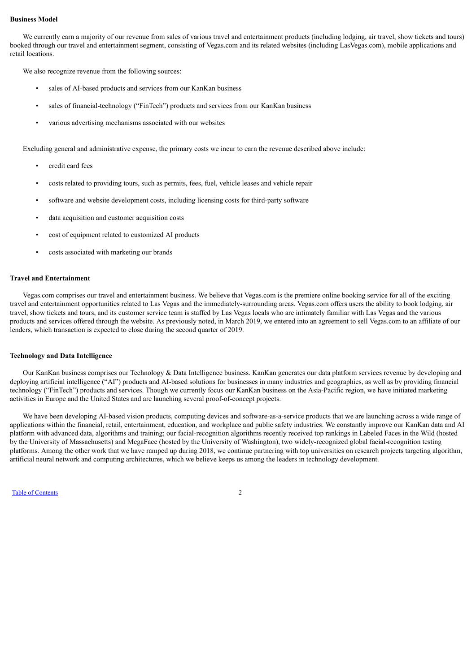#### **Business Model**

We currently earn a majority of our revenue from sales of various travel and entertainment products (including lodging, air travel, show tickets and tours) booked through our travel and entertainment segment, consisting of Vegas.com and its related websites (including LasVegas.com), mobile applications and retail locations.

We also recognize revenue from the following sources:

- sales of AI-based products and services from our KanKan business
- sales of financial-technology ("FinTech") products and services from our KanKan business
- various advertising mechanisms associated with our websites

Excluding general and administrative expense, the primary costs we incur to earn the revenue described above include:

- credit card fees
- costs related to providing tours, such as permits, fees, fuel, vehicle leases and vehicle repair
- software and website development costs, including licensing costs for third-party software
- data acquisition and customer acquisition costs
- cost of equipment related to customized AI products
- costs associated with marketing our brands

#### **Travel and Entertainment**

Vegas.com comprises our travel and entertainment business. We believe that Vegas.com is the premiere online booking service for all of the exciting travel and entertainment opportunities related to Las Vegas and the immediately-surrounding areas. Vegas.com offers users the ability to book lodging, air travel, show tickets and tours, and its customer service team is staffed by Las Vegas locals who are intimately familiar with Las Vegas and the various products and services offered through the website. As previously noted, in March 2019, we entered into an agreement to sell Vegas.com to an affiliate of our lenders, which transaction is expected to close during the second quarter of 2019.

#### **Technology and Data Intelligence**

Our KanKan business comprises our Technology & Data Intelligence business. KanKan generates our data platform services revenue by developing and deploying artificial intelligence ("AI") products and AI-based solutions for businesses in many industries and geographies, as well as by providing financial technology ("FinTech") products and services. Though we currently focus our KanKan business on the Asia-Pacific region, we have initiated marketing activities in Europe and the United States and are launching several proof-of-concept projects.

We have been developing AI-based vision products, computing devices and software-as-a-service products that we are launching across a wide range of applications within the financial, retail, entertainment, education, and workplace and public safety industries. We constantly improve our KanKan data and AI platform with advanced data, algorithms and training; our facial-recognition algorithms recently received top rankings in Labeled Faces in the Wild (hosted by the University of Massachusetts) and MegaFace (hosted by the University of Washington), two widely-recognized global facial-recognition testing platforms. Among the other work that we have ramped up during 2018, we continue partnering with top universities on research projects targeting algorithm, artificial neural network and computing architectures, which we believe keeps us among the leaders in technology development.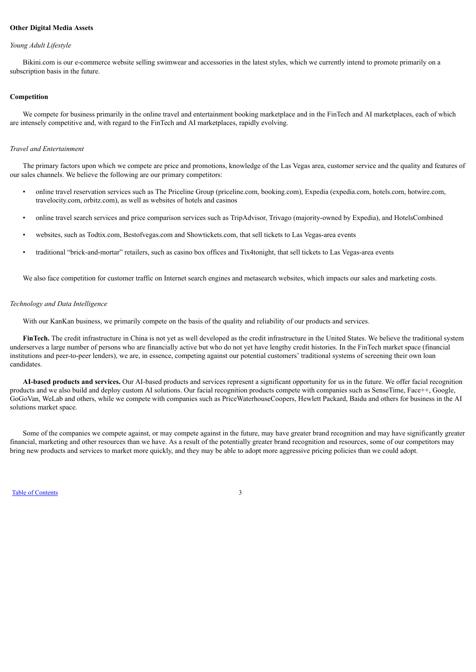#### **Other Digital Media Assets**

#### *Young Adult Lifestyle*

Bikini.com is our e-commerce website selling swimwear and accessories in the latest styles, which we currently intend to promote primarily on a subscription basis in the future.

#### **Competition**

We compete for business primarily in the online travel and entertainment booking marketplace and in the FinTech and AI marketplaces, each of which are intensely competitive and, with regard to the FinTech and AI marketplaces, rapidly evolving.

#### *Travel and Entertainment*

The primary factors upon which we compete are price and promotions, knowledge of the Las Vegas area, customer service and the quality and features of our sales channels. We believe the following are our primary competitors:

- online travel reservation services such as The Priceline Group (priceline.com, booking.com), Expedia (expedia.com, hotels.com, hotwire.com, travelocity.com, orbitz.com), as well as websites of hotels and casinos
- online travel search services and price comparison services such as TripAdvisor, Trivago (majority-owned by Expedia), and HotelsCombined
- websites, such as Todtix.com, Bestofvegas.com and Showtickets.com, that sell tickets to Las Vegas-area events
- traditional "brick-and-mortar" retailers, such as casino box offices and Tix4tonight, that sell tickets to Las Vegas-area events

We also face competition for customer traffic on Internet search engines and metasearch websites, which impacts our sales and marketing costs.

#### *Technology and Data Intelligence*

With our KanKan business, we primarily compete on the basis of the quality and reliability of our products and services.

**FinTech.** The credit infrastructure in China is not yet as well developed as the credit infrastructure in the United States. We believe the traditional system underserves a large number of persons who are financially active but who do not yet have lengthy credit histories. In the FinTech market space (financial institutions and peer-to-peer lenders), we are, in essence, competing against our potential customers' traditional systems of screening their own loan candidates.

**AI-based products and services.** Our AI-based products and services represent a significant opportunity for us in the future. We offer facial recognition products and we also build and deploy custom AI solutions. Our facial recognition products compete with companies such as SenseTime, Face++, Google, GoGoVan, WeLab and others, while we compete with companies such as PriceWaterhouseCoopers, Hewlett Packard, Baidu and others for business in the AI solutions market space.

Some of the companies we compete against, or may compete against in the future, may have greater brand recognition and may have significantly greater financial, marketing and other resources than we have. As a result of the potentially greater brand recognition and resources, some of our competitors may bring new products and services to market more quickly, and they may be able to adopt more aggressive pricing policies than we could adopt.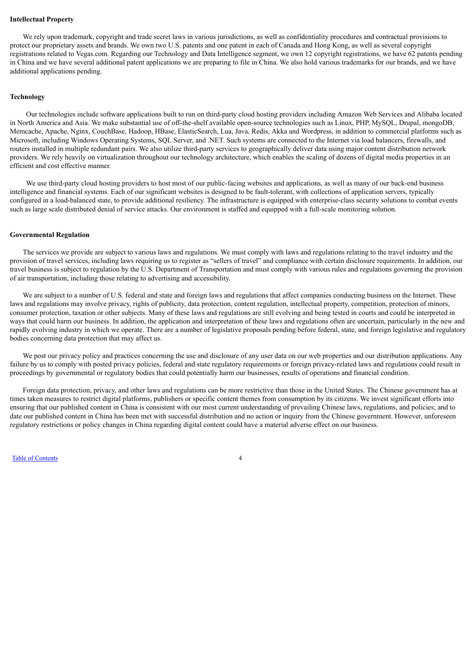#### **Intellectual Property**

We rely upon trademark, copyright and trade secret laws in various jurisdictions, as well as confidentiality procedures and contractual provisions to protect our proprietary assets and brands. We own two U.S. patents and one patent in each of Canada and Hong Kong, as well as several copyright registrations related to Vegas.com. Regarding our Technology and Data Intelligence segment, we own 12 copyright registrations, we have 62 patents pending in China and we have several additional patent applications we are preparing to file in China. We also hold various trademarks for our brands, and we have additional applications pending.

#### **Technology**

Our technologies include software applications built to run on third-party cloud hosting providers including Amazon Web Services and Alibaba located in North America and Asia. We make substantial use of off-the-shelf available open-source technologies such as Linux, PHP, MySQL, Drupal, mongoDB, Memcache, Apache, Nginx, CouchBase, Hadoop, HBase, ElasticSearch, Lua, Java, Redis, Akka and Wordpress, in addition to commercial platforms such as Microsoft, including Windows Operating Systems, SQL Server, and .NET. Such systems are connected to the Internet via load balancers, firewalls, and routers installed in multiple redundant pairs. We also utilize third-party services to geographically deliver data using major content distribution network providers. We rely heavily on virtualization throughout our technology architecture, which enables the scaling of dozens of digital media properties in an efficient and cost effective manner.

We use third-party cloud hosting providers to host most of our public-facing websites and applications, as well as many of our back-end business intelligence and financial systems. Each of our significant websites is designed to be fault-tolerant, with collections of application servers, typically configured in a load-balanced state, to provide additional resiliency. The infrastructure is equipped with enterprise-class security solutions to combat events such as large scale distributed denial of service attacks. Our environment is staffed and equipped with a full-scale monitoring solution.

#### **Governmental Regulation**

The services we provide are subject to various laws and regulations. We must comply with laws and regulations relating to the travel industry and the provision of travel services, including laws requiring us to register as "sellers of travel" and compliance with certain disclosure requirements. In addition, our travel business is subject to regulation by the U.S. Department of Transportation and must comply with various rules and regulations governing the provision of air transportation, including those relating to advertising and accessibility.

We are subject to a number of U.S. federal and state and foreign laws and regulations that affect companies conducting business on the Internet. These laws and regulations may involve privacy, rights of publicity, data protection, content regulation, intellectual property, competition, protection of minors, consumer protection, taxation or other subjects. Many of these laws and regulations are still evolving and being tested in courts and could be interpreted in ways that could harm our business. In addition, the application and interpretation of these laws and regulations often are uncertain, particularly in the new and rapidly evolving industry in which we operate. There are a number of legislative proposals pending before federal, state, and foreign legislative and regulatory bodies concerning data protection that may affect us.

We post our privacy policy and practices concerning the use and disclosure of any user data on our web properties and our distribution applications. Any failure by us to comply with posted privacy policies, federal and state regulatory requirements or foreign privacy-related laws and regulations could result in proceedings by governmental or regulatory bodies that could potentially harm our businesses, results of operations and financial condition.

Foreign data protection, privacy, and other laws and regulations can be more restrictive than those in the United States. The Chinese government has at times taken measures to restrict digital platforms, publishers or specific content themes from consumption by its citizens. We invest significant efforts into ensuring that our published content in China is consistent with our most current understanding of prevailing Chinese laws, regulations, and policies; and to date our published content in China has been met with successful distribution and no action or inquiry from the Chinese government. However, unforeseen regulatory restrictions or policy changes in China regarding digital content could have a material adverse effect on our business.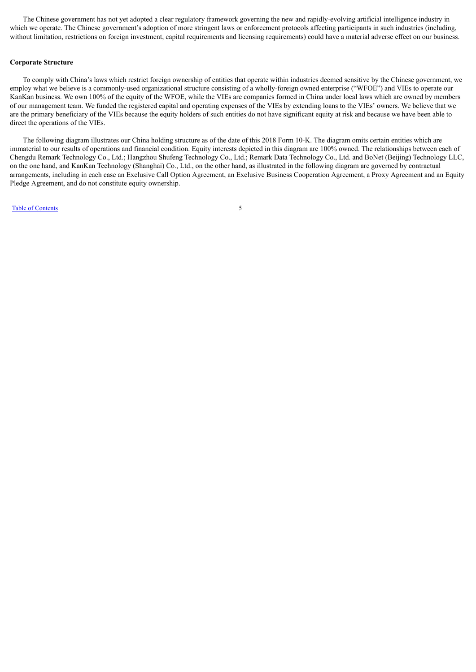The Chinese government has not yet adopted a clear regulatory framework governing the new and rapidly-evolving artificial intelligence industry in which we operate. The Chinese government's adoption of more stringent laws or enforcement protocols affecting participants in such industries (including, without limitation, restrictions on foreign investment, capital requirements and licensing requirements) could have a material adverse effect on our business.

#### **Corporate Structure**

To comply with China's laws which restrict foreign ownership of entities that operate within industries deemed sensitive by the Chinese government, we employ what we believe is a commonly-used organizational structure consisting of a wholly-foreign owned enterprise ("WFOE") and VIEs to operate our KanKan business. We own 100% of the equity of the WFOE, while the VIEs are companies formed in China under local laws which are owned by members of our management team. We funded the registered capital and operating expenses of the VIEs by extending loans to the VIEs' owners. We believe that we are the primary beneficiary of the VIEs because the equity holders of such entities do not have significant equity at risk and because we have been able to direct the operations of the VIEs.

The following diagram illustrates our China holding structure as of the date of this 2018 Form 10-K. The diagram omits certain entities which are immaterial to our results of operations and financial condition. Equity interests depicted in this diagram are 100% owned. The relationships between each of Chengdu Remark Technology Co., Ltd.; Hangzhou Shufeng Technology Co., Ltd.; Remark Data Technology Co., Ltd. and BoNet (Beijing) Technology LLC, on the one hand, and KanKan Technology (Shanghai) Co., Ltd., on the other hand, as illustrated in the following diagram are governed by contractual arrangements, including in each case an Exclusive Call Option Agreement, an Exclusive Business Cooperation Agreement, a Proxy Agreement and an Equity Pledge Agreement, and do not constitute equity ownership.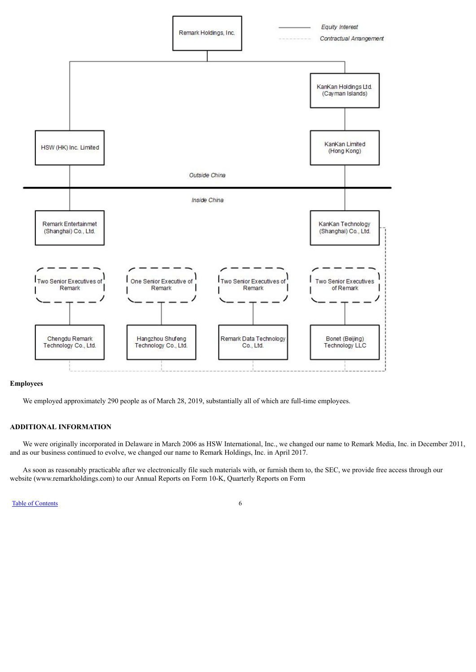

#### **Employees**

We employed approximately 290 people as of March 28, 2019, substantially all of which are full-time employees.

#### **ADDITIONAL INFORMATION**

We were originally incorporated in Delaware in March 2006 as HSW International, Inc., we changed our name to Remark Media, Inc. in December 2011, and as our business continued to evolve, we changed our name to Remark Holdings, Inc. in April 2017.

As soon as reasonably practicable after we electronically file such materials with, or furnish them to, the SEC, we provide free access through our website (www.remarkholdings.com) to our Annual Reports on Form 10-K, Quarterly Reports on Form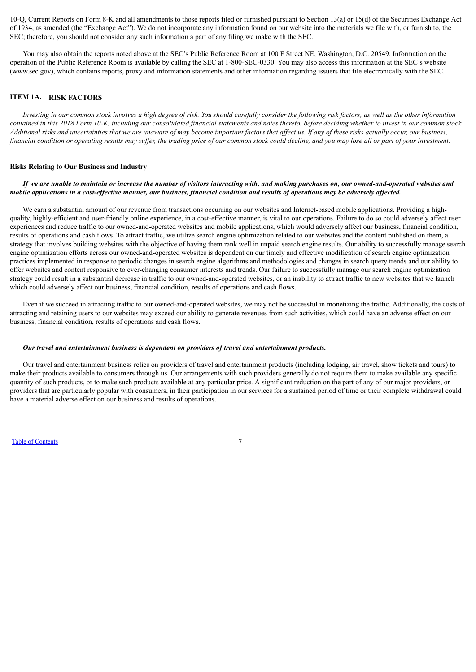10-Q, Current Reports on Form 8-K and all amendments to those reports filed or furnished pursuant to Section 13(a) or 15(d) of the Securities Exchange Act of 1934, as amended (the "Exchange Act"). We do not incorporate any information found on our website into the materials we file with, or furnish to, the SEC; therefore, you should not consider any such information a part of any filing we make with the SEC.

You may also obtain the reports noted above at the SEC's Public Reference Room at 100 F Street NE, Washington, D.C. 20549. Information on the operation of the Public Reference Room is available by calling the SEC at 1-800-SEC-0330. You may also access this information at the SEC's website (www.sec.gov), which contains reports, proxy and information statements and other information regarding issuers that file electronically with the SEC.

## <span id="page-10-0"></span>**ITEM 1A. RISK FACTORS**

Investing in our common stock involves a high degree of risk. You should carefully consider the following risk factors, as well as the other information contained in this 2018 Form 10-K, including our consolidated financial statements and notes thereto, before deciding whether to invest in our common stock. Additional risks and uncertainties that we are unaware of may become important factors that affect us. If any of these risks actually occur, our business, financial condition or operating results may suffer, the trading price of our common stock could decline, and you may lose all or part of your investment.

#### **Risks Relating to Our Business and Industry**

#### If we are unable to maintain or increase the number of visitors interacting with, and making purchases on, our owned-and-operated websites and mobile applications in a cost-effective manner, our business, financial condition and results of operations may be adversely affected.

We earn a substantial amount of our revenue from transactions occurring on our websites and Internet-based mobile applications. Providing a highquality, highly-efficient and user-friendly online experience, in a cost-effective manner, is vital to our operations. Failure to do so could adversely affect user experiences and reduce traffic to our owned-and-operated websites and mobile applications, which would adversely affect our business, financial condition, results of operations and cash flows. To attract traffic, we utilize search engine optimization related to our websites and the content published on them, a strategy that involves building websites with the objective of having them rank well in unpaid search engine results. Our ability to successfully manage search engine optimization efforts across our owned-and-operated websites is dependent on our timely and effective modification of search engine optimization practices implemented in response to periodic changes in search engine algorithms and methodologies and changes in search query trends and our ability to offer websites and content responsive to ever-changing consumer interests and trends. Our failure to successfully manage our search engine optimization strategy could result in a substantial decrease in traffic to our owned-and-operated websites, or an inability to attract traffic to new websites that we launch which could adversely affect our business, financial condition, results of operations and cash flows.

Even if we succeed in attracting traffic to our owned-and-operated websites, we may not be successful in monetizing the traffic. Additionally, the costs of attracting and retaining users to our websites may exceed our ability to generate revenues from such activities, which could have an adverse effect on our business, financial condition, results of operations and cash flows.

#### *Our travel and entertainment business is dependent on providers of travel and entertainment products.*

Our travel and entertainment business relies on providers of travel and entertainment products (including lodging, air travel, show tickets and tours) to make their products available to consumers through us. Our arrangements with such providers generally do not require them to make available any specific quantity of such products, or to make such products available at any particular price. A significant reduction on the part of any of our major providers, or providers that are particularly popular with consumers, in their participation in our services for a sustained period of time or their complete withdrawal could have a material adverse effect on our business and results of operations.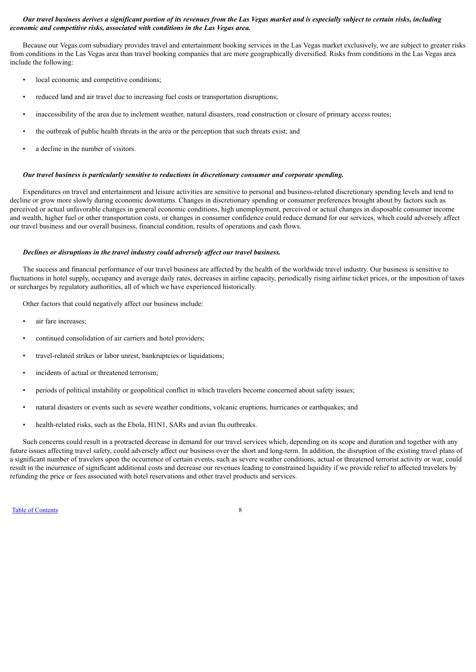#### Our travel business derives a significant portion of its revenues from the Las Vegas market and is especially subject to certain risks, including *economic and competitive risks, associated with conditions in the Las Vegas area.*

Because our Vegas.com subsidiary provides travel and entertainment booking services in the Las Vegas market exclusively, we are subject to greater risks from conditions in the Las Vegas area than travel booking companies that are more geographically diversified. Risks from conditions in the Las Vegas area include the following:

- local economic and competitive conditions;
- reduced land and air travel due to increasing fuel costs or transportation disruptions;
- inaccessibility of the area due to inclement weather, natural disasters, road construction or closure of primary access routes;
- the outbreak of public health threats in the area or the perception that such threats exist; and
- a decline in the number of visitors.

#### *Our travel business is particularly sensitive to reductions in discretionary consumer and corporate spending.*

Expenditures on travel and entertainment and leisure activities are sensitive to personal and business-related discretionary spending levels and tend to decline or grow more slowly during economic downturns. Changes in discretionary spending or consumer preferences brought about by factors such as perceived or actual unfavorable changes in general economic conditions, high unemployment, perceived or actual changes in disposable consumer income and wealth, higher fuel or other transportation costs, or changes in consumer confidence could reduce demand for our services, which could adversely affect our travel business and our overall business, financial condition, results of operations and cash flows.

#### *Declines or disruptions in the travel industry could adversely af ect our travel business.*

The success and financial performance of our travel business are affected by the health of the worldwide travel industry. Our business is sensitive to fluctuations in hotel supply, occupancy and average daily rates, decreases in airline capacity, periodically rising airline ticket prices, or the imposition of taxes or surcharges by regulatory authorities, all of which we have experienced historically.

Other factors that could negatively affect our business include:

- air fare increases:
- continued consolidation of air carriers and hotel providers;
- travel-related strikes or labor unrest, bankruptcies or liquidations;
- incidents of actual or threatened terrorism;
- periods of political instability or geopolitical conflict in which travelers become concerned about safety issues;
- natural disasters or events such as severe weather conditions, volcanic eruptions, hurricanes or earthquakes; and
- health-related risks, such as the Ebola, H1N1, SARs and avian flu outbreaks.

Such concerns could result in a protracted decrease in demand for our travel services which, depending on its scope and duration and together with any future issues affecting travel safety, could adversely affect our business over the short and long-term. In addition, the disruption of the existing travel plans of a significant number of travelers upon the occurrence of certain events, such as severe weather conditions, actual or threatened terrorist activity or war, could result in the incurrence of significant additional costs and decrease our revenues leading to constrained liquidity if we provide relief to affected travelers by refunding the price or fees associated with hotel reservations and other travel products and services.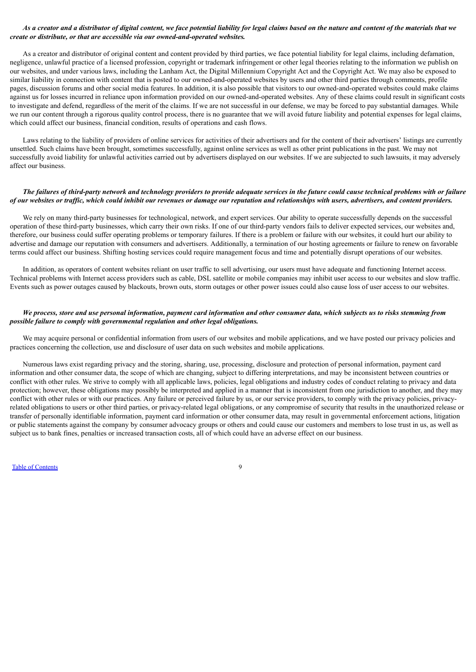#### As a creator and a distributor of digital content, we face potential liability for legal claims based on the nature and content of the materials that we *create or distribute, or that are accessible via our owned-and-operated websites.*

As a creator and distributor of original content and content provided by third parties, we face potential liability for legal claims, including defamation, negligence, unlawful practice of a licensed profession, copyright or trademark infringement or other legal theories relating to the information we publish on our websites, and under various laws, including the Lanham Act, the Digital Millennium Copyright Act and the Copyright Act. We may also be exposed to similar liability in connection with content that is posted to our owned-and-operated websites by users and other third parties through comments, profile pages, discussion forums and other social media features. In addition, it is also possible that visitors to our owned-and-operated websites could make claims against us for losses incurred in reliance upon information provided on our owned-and-operated websites. Any of these claims could result in significant costs to investigate and defend, regardless of the merit of the claims. If we are not successful in our defense, we may be forced to pay substantial damages. While we run our content through a rigorous quality control process, there is no guarantee that we will avoid future liability and potential expenses for legal claims, which could affect our business, financial condition, results of operations and cash flows.

Laws relating to the liability of providers of online services for activities of their advertisers and for the content of their advertisers' listings are currently unsettled. Such claims have been brought, sometimes successfully, against online services as well as other print publications in the past. We may not successfully avoid liability for unlawful activities carried out by advertisers displayed on our websites. If we are subjected to such lawsuits, it may adversely affect our business.

#### The failures of third-party network and technology providers to provide adequate services in the future could cause technical problems with or failure of our websites or traffic, which could inhibit our revenues or damage our reputation and relationships with users, advertisers, and content providers.

We rely on many third-party businesses for technological, network, and expert services. Our ability to operate successfully depends on the successful operation of these third-party businesses, which carry their own risks. If one of our third-party vendors fails to deliver expected services, our websites and, therefore, our business could suffer operating problems or temporary failures. If there is a problem or failure with our websites, it could hurt our ability to advertise and damage our reputation with consumers and advertisers. Additionally, a termination of our hosting agreements or failure to renew on favorable terms could affect our business. Shifting hosting services could require management focus and time and potentially disrupt operations of our websites.

In addition, as operators of content websites reliant on user traffic to sell advertising, our users must have adequate and functioning Internet access. Technical problems with Internet access providers such as cable, DSL satellite or mobile companies may inhibit user access to our websites and slow traffic. Events such as power outages caused by blackouts, brown outs, storm outages or other power issues could also cause loss of user access to our websites.

#### We process, store and use personal information, payment card information and other consumer data, which subjects us to risks stemming from *possible failure to comply with governmental regulation and other legal obligations.*

We may acquire personal or confidential information from users of our websites and mobile applications, and we have posted our privacy policies and practices concerning the collection, use and disclosure of user data on such websites and mobile applications.

Numerous laws exist regarding privacy and the storing, sharing, use, processing, disclosure and protection of personal information, payment card information and other consumer data, the scope of which are changing, subject to differing interpretations, and may be inconsistent between countries or conflict with other rules. We strive to comply with all applicable laws, policies, legal obligations and industry codes of conduct relating to privacy and data protection; however, these obligations may possibly be interpreted and applied in a manner that is inconsistent from one jurisdiction to another, and they may conflict with other rules or with our practices. Any failure or perceived failure by us, or our service providers, to comply with the privacy policies, privacyrelated obligations to users or other third parties, or privacy-related legal obligations, or any compromise of security that results in the unauthorized release or transfer of personally identifiable information, payment card information or other consumer data, may result in governmental enforcement actions, litigation or public statements against the company by consumer advocacy groups or others and could cause our customers and members to lose trust in us, as well as subject us to bank fines, penalties or increased transaction costs, all of which could have an adverse effect on our business.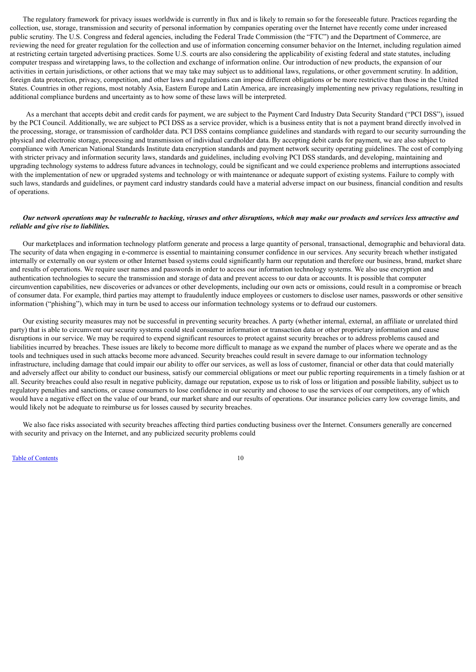The regulatory framework for privacy issues worldwide is currently in flux and is likely to remain so for the foreseeable future. Practices regarding the collection, use, storage, transmission and security of personal information by companies operating over the Internet have recently come under increased public scrutiny. The U.S. Congress and federal agencies, including the Federal Trade Commission (the "FTC") and the Department of Commerce, are reviewing the need for greater regulation for the collection and use of information concerning consumer behavior on the Internet, including regulation aimed at restricting certain targeted advertising practices. Some U.S. courts are also considering the applicability of existing federal and state statutes, including computer trespass and wiretapping laws, to the collection and exchange of information online. Our introduction of new products, the expansion of our activities in certain jurisdictions, or other actions that we may take may subject us to additional laws, regulations, or other government scrutiny. In addition, foreign data protection, privacy, competition, and other laws and regulations can impose different obligations or be more restrictive than those in the United States. Countries in other regions, most notably Asia, Eastern Europe and Latin America, are increasingly implementing new privacy regulations, resulting in additional compliance burdens and uncertainty as to how some of these laws will be interpreted.

As a merchant that accepts debit and credit cards for payment, we are subject to the Payment Card Industry Data Security Standard ("PCI DSS"), issued by the PCI Council. Additionally, we are subject to PCI DSS as a service provider, which is a business entity that is not a payment brand directly involved in the processing, storage, or transmission of cardholder data. PCI DSS contains compliance guidelines and standards with regard to our security surrounding the physical and electronic storage, processing and transmission of individual cardholder data. By accepting debit cards for payment, we are also subject to compliance with American National Standards Institute data encryption standards and payment network security operating guidelines. The cost of complying with stricter privacy and information security laws, standards and guidelines, including evolving PCI DSS standards, and developing, maintaining and upgrading technology systems to address future advances in technology, could be significant and we could experience problems and interruptions associated with the implementation of new or upgraded systems and technology or with maintenance or adequate support of existing systems. Failure to comply with such laws, standards and guidelines, or payment card industry standards could have a material adverse impact on our business, financial condition and results of operations.

#### Our network operations may be vulnerable to hacking, viruses and other disruptions, which may make our products and services less attractive and *reliable and give rise to liabilities.*

Our marketplaces and information technology platform generate and process a large quantity of personal, transactional, demographic and behavioral data. The security of data when engaging in e-commerce is essential to maintaining consumer confidence in our services. Any security breach whether instigated internally or externally on our system or other Internet based systems could significantly harm our reputation and therefore our business, brand, market share and results of operations. We require user names and passwords in order to access our information technology systems. We also use encryption and authentication technologies to secure the transmission and storage of data and prevent access to our data or accounts. It is possible that computer circumvention capabilities, new discoveries or advances or other developments, including our own acts or omissions, could result in a compromise or breach of consumer data. For example, third parties may attempt to fraudulently induce employees or customers to disclose user names, passwords or other sensitive information ("phishing"), which may in turn be used to access our information technology systems or to defraud our customers.

Our existing security measures may not be successful in preventing security breaches. A party (whether internal, external, an affiliate or unrelated third party) that is able to circumvent our security systems could steal consumer information or transaction data or other proprietary information and cause disruptions in our service. We may be required to expend significant resources to protect against security breaches or to address problems caused and liabilities incurred by breaches. These issues are likely to become more difficult to manage as we expand the number of places where we operate and as the tools and techniques used in such attacks become more advanced. Security breaches could result in severe damage to our information technology infrastructure, including damage that could impair our ability to offer our services, as well as loss of customer, financial or other data that could materially and adversely affect our ability to conduct our business, satisfy our commercial obligations or meet our public reporting requirements in a timely fashion or at all. Security breaches could also result in negative publicity, damage our reputation, expose us to risk of loss or litigation and possible liability, subject us to regulatory penalties and sanctions, or cause consumers to lose confidence in our security and choose to use the services of our competitors, any of which would have a negative effect on the value of our brand, our market share and our results of operations. Our insurance policies carry low coverage limits, and would likely not be adequate to reimburse us for losses caused by security breaches.

We also face risks associated with security breaches affecting third parties conducting business over the Internet. Consumers generally are concerned with security and privacy on the Internet, and any publicized security problems could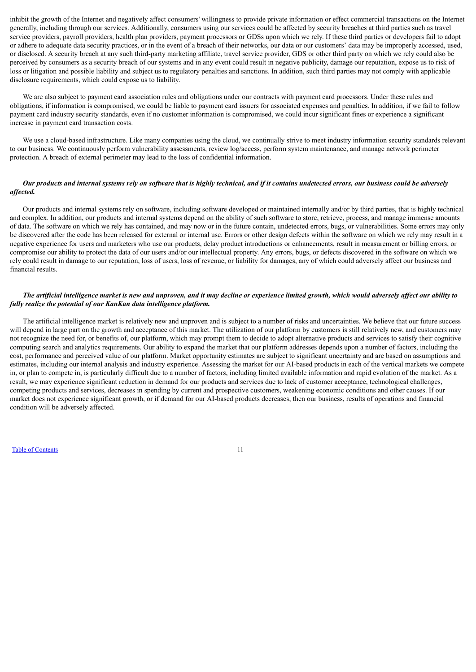inhibit the growth of the Internet and negatively affect consumers' willingness to provide private information or effect commercial transactions on the Internet generally, including through our services. Additionally, consumers using our services could be affected by security breaches at third parties such as travel service providers, payroll providers, health plan providers, payment processors or GDSs upon which we rely. If these third parties or developers fail to adopt or adhere to adequate data security practices, or in the event of a breach of their networks, our data or our customers' data may be improperly accessed, used, or disclosed. A security breach at any such third-party marketing affiliate, travel service provider, GDS or other third party on which we rely could also be perceived by consumers as a security breach of our systems and in any event could result in negative publicity, damage our reputation, expose us to risk of loss or litigation and possible liability and subject us to regulatory penalties and sanctions. In addition, such third parties may not comply with applicable disclosure requirements, which could expose us to liability.

We are also subject to payment card association rules and obligations under our contracts with payment card processors. Under these rules and obligations, if information is compromised, we could be liable to payment card issuers for associated expenses and penalties. In addition, if we fail to follow payment card industry security standards, even if no customer information is compromised, we could incur significant fines or experience a significant increase in payment card transaction costs.

We use a cloud-based infrastructure. Like many companies using the cloud, we continually strive to meet industry information security standards relevant to our business. We continuously perform vulnerability assessments, review log/access, perform system maintenance, and manage network perimeter protection. A breach of external perimeter may lead to the loss of confidential information.

#### Our products and internal systems rely on software that is highly technical, and if it contains undetected errors, our business could be adversely *af ected.*

Our products and internal systems rely on software, including software developed or maintained internally and/or by third parties, that is highly technical and complex. In addition, our products and internal systems depend on the ability of such software to store, retrieve, process, and manage immense amounts of data. The software on which we rely has contained, and may now or in the future contain, undetected errors, bugs, or vulnerabilities. Some errors may only be discovered after the code has been released for external or internal use. Errors or other design defects within the software on which we rely may result in a negative experience for users and marketers who use our products, delay product introductions or enhancements, result in measurement or billing errors, or compromise our ability to protect the data of our users and/or our intellectual property. Any errors, bugs, or defects discovered in the software on which we rely could result in damage to our reputation, loss of users, loss of revenue, or liability for damages, any of which could adversely affect our business and financial results.

#### The artificial intelligence market is new and unproven, and it may decline or experience limited growth, which would adversely affect our ability to *fully realize the potential of our KanKan data intelligence platform.*

The artificial intelligence market is relatively new and unproven and is subject to a number of risks and uncertainties. We believe that our future success will depend in large part on the growth and acceptance of this market. The utilization of our platform by customers is still relatively new, and customers may not recognize the need for, or benefits of, our platform, which may prompt them to decide to adopt alternative products and services to satisfy their cognitive computing search and analytics requirements. Our ability to expand the market that our platform addresses depends upon a number of factors, including the cost, performance and perceived value of our platform. Market opportunity estimates are subject to significant uncertainty and are based on assumptions and estimates, including our internal analysis and industry experience. Assessing the market for our AI-based products in each of the vertical markets we compete in, or plan to compete in, is particularly difficult due to a number of factors, including limited available information and rapid evolution of the market. As a result, we may experience significant reduction in demand for our products and services due to lack of customer acceptance, technological challenges, competing products and services, decreases in spending by current and prospective customers, weakening economic conditions and other causes. If our market does not experience significant growth, or if demand for our AI-based products decreases, then our business, results of operations and financial condition will be adversely affected.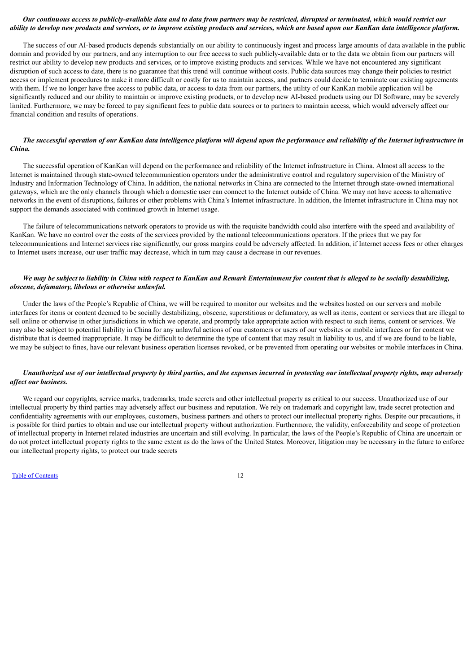#### Our continuous access to publicly-available data and to data from partners may be restricted, disrupted or terminated, which would restrict our ability to develop new products and services, or to improve existing products and services, which are based upon our KanKan data intelligence platform.

The success of our AI-based products depends substantially on our ability to continuously ingest and process large amounts of data available in the public domain and provided by our partners, and any interruption to our free access to such publicly-available data or to the data we obtain from our partners will restrict our ability to develop new products and services, or to improve existing products and services. While we have not encountered any significant disruption of such access to date, there is no guarantee that this trend will continue without costs. Public data sources may change their policies to restrict access or implement procedures to make it more difficult or costly for us to maintain access, and partners could decide to terminate our existing agreements with them. If we no longer have free access to public data, or access to data from our partners, the utility of our KanKan mobile application will be significantly reduced and our ability to maintain or improve existing products, or to develop new AI-based products using our DI Software, may be severely limited. Furthermore, we may be forced to pay significant fees to public data sources or to partners to maintain access, which would adversely affect our financial condition and results of operations.

#### The successful operation of our KanKan data intelligence platform will depend upon the performance and reliability of the Internet infrastructure in *China.*

The successful operation of KanKan will depend on the performance and reliability of the Internet infrastructure in China. Almost all access to the Internet is maintained through state-owned telecommunication operators under the administrative control and regulatory supervision of the Ministry of Industry and Information Technology of China. In addition, the national networks in China are connected to the Internet through state-owned international gateways, which are the only channels through which a domestic user can connect to the Internet outside of China. We may not have access to alternative networks in the event of disruptions, failures or other problems with China's Internet infrastructure. In addition, the Internet infrastructure in China may not support the demands associated with continued growth in Internet usage.

The failure of telecommunications network operators to provide us with the requisite bandwidth could also interfere with the speed and availability of KanKan. We have no control over the costs of the services provided by the national telecommunications operators. If the prices that we pay for telecommunications and Internet services rise significantly, our gross margins could be adversely affected. In addition, if Internet access fees or other charges to Internet users increase, our user traffic may decrease, which in turn may cause a decrease in our revenues.

#### We may be subject to liability in China with respect to KanKan and Remark Entertainment for content that is alleged to be socially destabilizing, *obscene, defamatory, libelous or otherwise unlawful.*

Under the laws of the People's Republic of China, we will be required to monitor our websites and the websites hosted on our servers and mobile interfaces for items or content deemed to be socially destabilizing, obscene, superstitious or defamatory, as well as items, content or services that are illegal to sell online or otherwise in other jurisdictions in which we operate, and promptly take appropriate action with respect to such items, content or services. We may also be subject to potential liability in China for any unlawful actions of our customers or users of our websites or mobile interfaces or for content we distribute that is deemed inappropriate. It may be difficult to determine the type of content that may result in liability to us, and if we are found to be liable, we may be subject to fines, have our relevant business operation licenses revoked, or be prevented from operating our websites or mobile interfaces in China.

#### Unauthorized use of our intellectual property by third parties, and the expenses incurred in protecting our intellectual property rights, may adversely *af ect our business.*

We regard our copyrights, service marks, trademarks, trade secrets and other intellectual property as critical to our success. Unauthorized use of our intellectual property by third parties may adversely affect our business and reputation. We rely on trademark and copyright law, trade secret protection and confidentiality agreements with our employees, customers, business partners and others to protect our intellectual property rights. Despite our precautions, it is possible for third parties to obtain and use our intellectual property without authorization. Furthermore, the validity, enforceability and scope of protection of intellectual property in Internet related industries are uncertain and still evolving. In particular, the laws of the People's Republic of China are uncertain or do not protect intellectual property rights to the same extent as do the laws of the United States. Moreover, litigation may be necessary in the future to enforce our intellectual property rights, to protect our trade secrets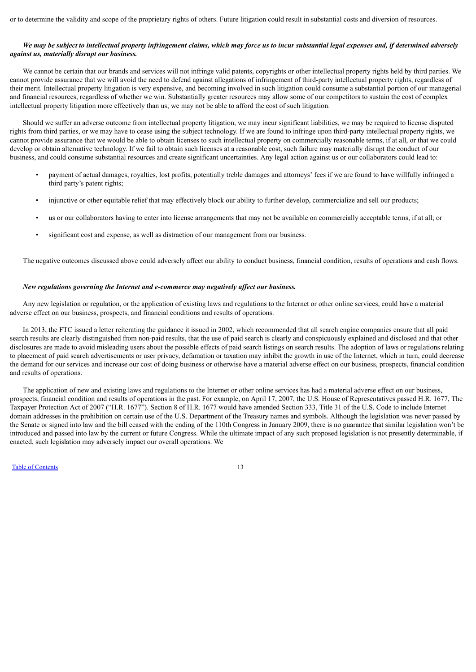or to determine the validity and scope of the proprietary rights of others. Future litigation could result in substantial costs and diversion of resources.

#### We may be subject to intellectual property infringement claims, which may force us to incur substantial legal expenses and, if determined adversely *against us, materially disrupt our business.*

We cannot be certain that our brands and services will not infringe valid patents, copyrights or other intellectual property rights held by third parties. We cannot provide assurance that we will avoid the need to defend against allegations of infringement of third-party intellectual property rights, regardless of their merit. Intellectual property litigation is very expensive, and becoming involved in such litigation could consume a substantial portion of our managerial and financial resources, regardless of whether we win. Substantially greater resources may allow some of our competitors to sustain the cost of complex intellectual property litigation more effectively than us; we may not be able to afford the cost of such litigation.

Should we suffer an adverse outcome from intellectual property litigation, we may incur significant liabilities, we may be required to license disputed rights from third parties, or we may have to cease using the subject technology. If we are found to infringe upon third-party intellectual property rights, we cannot provide assurance that we would be able to obtain licenses to such intellectual property on commercially reasonable terms, if at all, or that we could develop or obtain alternative technology. If we fail to obtain such licenses at a reasonable cost, such failure may materially disrupt the conduct of our business, and could consume substantial resources and create significant uncertainties. Any legal action against us or our collaborators could lead to:

- payment of actual damages, royalties, lost profits, potentially treble damages and attorneys' fees if we are found to have willfully infringed a third party's patent rights;
- injunctive or other equitable relief that may effectively block our ability to further develop, commercialize and sell our products;
- us or our collaborators having to enter into license arrangements that may not be available on commercially acceptable terms, if at all; or
- significant cost and expense, as well as distraction of our management from our business.

The negative outcomes discussed above could adversely affect our ability to conduct business, financial condition, results of operations and cash flows.

#### *New regulations governing the Internet and e-commerce may negatively af ect our business.*

Any new legislation or regulation, or the application of existing laws and regulations to the Internet or other online services, could have a material adverse effect on our business, prospects, and financial conditions and results of operations.

In 2013, the FTC issued a letter reiterating the guidance it issued in 2002, which recommended that all search engine companies ensure that all paid search results are clearly distinguished from non-paid results, that the use of paid search is clearly and conspicuously explained and disclosed and that other disclosures are made to avoid misleading users about the possible effects of paid search listings on search results. The adoption of laws or regulations relating to placement of paid search advertisements or user privacy, defamation or taxation may inhibit the growth in use of the Internet, which in turn, could decrease the demand for our services and increase our cost of doing business or otherwise have a material adverse effect on our business, prospects, financial condition and results of operations.

The application of new and existing laws and regulations to the Internet or other online services has had a material adverse effect on our business, prospects, financial condition and results of operations in the past. For example, on April 17, 2007, the U.S. House of Representatives passed H.R. 1677, The Taxpayer Protection Act of 2007 ("H.R. 1677"). Section 8 of H.R. 1677 would have amended Section 333, Title 31 of the U.S. Code to include Internet domain addresses in the prohibition on certain use of the U.S. Department of the Treasury names and symbols. Although the legislation was never passed by the Senate or signed into law and the bill ceased with the ending of the 110th Congress in January 2009, there is no guarantee that similar legislation won't be introduced and passed into law by the current or future Congress. While the ultimate impact of any such proposed legislation is not presently determinable, if enacted, such legislation may adversely impact our overall operations. We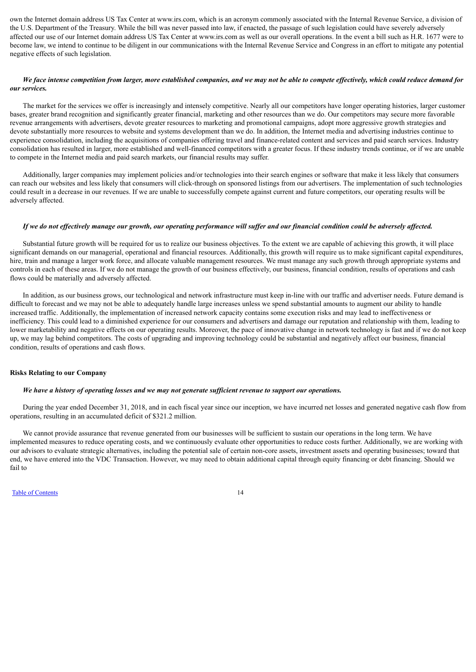own the Internet domain address US Tax Center at www.irs.com, which is an acronym commonly associated with the Internal Revenue Service, a division of the U.S. Department of the Treasury. While the bill was never passed into law, if enacted, the passage of such legislation could have severely adversely affected our use of our Internet domain address US Tax Center at www.irs.com as well as our overall operations. In the event a bill such as H.R. 1677 were to become law, we intend to continue to be diligent in our communications with the Internal Revenue Service and Congress in an effort to mitigate any potential negative effects of such legislation.

#### We face intense competition from larger, more established companies, and we may not be able to compete effectively, which could reduce demand for *our services.*

The market for the services we offer is increasingly and intensely competitive. Nearly all our competitors have longer operating histories, larger customer bases, greater brand recognition and significantly greater financial, marketing and other resources than we do. Our competitors may secure more favorable revenue arrangements with advertisers, devote greater resources to marketing and promotional campaigns, adopt more aggressive growth strategies and devote substantially more resources to website and systems development than we do. In addition, the Internet media and advertising industries continue to experience consolidation, including the acquisitions of companies offering travel and finance-related content and services and paid search services. Industry consolidation has resulted in larger, more established and well-financed competitors with a greater focus. If these industry trends continue, or if we are unable to compete in the Internet media and paid search markets, our financial results may suffer.

Additionally, larger companies may implement policies and/or technologies into their search engines or software that make it less likely that consumers can reach our websites and less likely that consumers will click-through on sponsored listings from our advertisers. The implementation of such technologies could result in a decrease in our revenues. If we are unable to successfully compete against current and future competitors, our operating results will be adversely affected.

#### If we do not effectively manage our growth, our operating performance will suffer and our financial condition could be adversely affected.

Substantial future growth will be required for us to realize our business objectives. To the extent we are capable of achieving this growth, it will place significant demands on our managerial, operational and financial resources. Additionally, this growth will require us to make significant capital expenditures, hire, train and manage a larger work force, and allocate valuable management resources. We must manage any such growth through appropriate systems and controls in each of these areas. If we do not manage the growth of our business effectively, our business, financial condition, results of operations and cash flows could be materially and adversely affected.

In addition, as our business grows, our technological and network infrastructure must keep in-line with our traffic and advertiser needs. Future demand is difficult to forecast and we may not be able to adequately handle large increases unless we spend substantial amounts to augment our ability to handle increased traffic. Additionally, the implementation of increased network capacity contains some execution risks and may lead to ineffectiveness or inefficiency. This could lead to a diminished experience for our consumers and advertisers and damage our reputation and relationship with them, leading to lower marketability and negative effects on our operating results. Moreover, the pace of innovative change in network technology is fast and if we do not keep up, we may lag behind competitors. The costs of upgrading and improving technology could be substantial and negatively affect our business, financial condition, results of operations and cash flows.

#### **Risks Relating to our Company**

#### We have a history of operating losses and we may not generate sufficient revenue to support our operations.

During the year ended December 31, 2018, and in each fiscal year since our inception, we have incurred net losses and generated negative cash flow from operations, resulting in an accumulated deficit of \$321.2 million.

We cannot provide assurance that revenue generated from our businesses will be sufficient to sustain our operations in the long term. We have implemented measures to reduce operating costs, and we continuously evaluate other opportunities to reduce costs further. Additionally, we are working with our advisors to evaluate strategic alternatives, including the potential sale of certain non-core assets, investment assets and operating businesses; toward that end, we have entered into the VDC Transaction. However, we may need to obtain additional capital through equity financing or debt financing. Should we fail to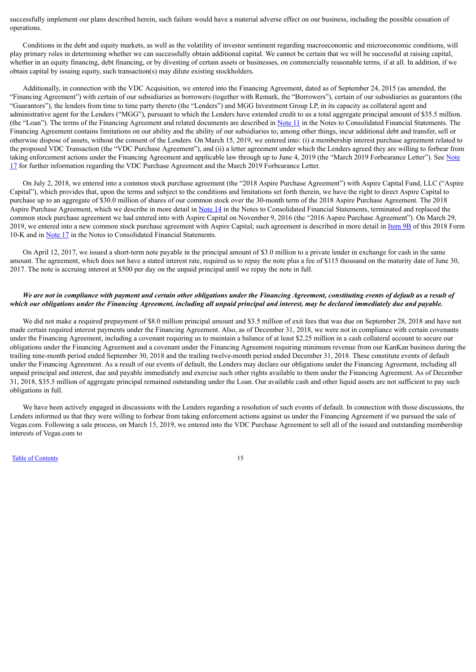successfully implement our plans described herein, such failure would have a material adverse effect on our business, including the possible cessation of operations.

Conditions in the debt and equity markets, as well as the volatility of investor sentiment regarding macroeconomic and microeconomic conditions, will play primary roles in determining whether we can successfully obtain additional capital. We cannot be certain that we will be successful at raising capital, whether in an equity financing, debt financing, or by divesting of certain assets or businesses, on commercially reasonable terms, if at all. In addition, if we obtain capital by issuing equity, such transaction(s) may dilute existing stockholders.

Additionally, in connection with the VDC Acquisition, we entered into the Financing Agreement, dated as of September 24, 2015 (as amended, the "Financing Agreement") with certain of our subsidiaries as borrowers (together with Remark, the "Borrowers"), certain of our subsidiaries as guarantors (the "Guarantors"), the lenders from time to time party thereto (the "Lenders") and MGG Investment Group LP, in its capacity as collateral agent and administrative agent for the Lenders ("MGG"), pursuant to which the Lenders have extended credit to us a total aggregate principal amount of \$35.5 million. (the "Loan"). The terms of the Financing Agreement and related documents are described in [Note](#page-76-0) 11 in the Notes to Consolidated Financial Statements. The Financing Agreement contains limitations on our ability and the ability of our subsidiaries to, among other things, incur additional debt and transfer, sell or otherwise dispose of assets, without the consent of the Lenders. On March 15, 2019, we entered into: (i) a membership interest purchase agreement related to the proposed VDC Transaction (the "VDC Purchase Agreement"), and (ii) a letter agreement under which the Lenders agreed they are willing to forbear from taking [enforcement](#page-86-0) actions under the Financing Agreement and applicable law through up to June 4, 2019 (the "March 2019 Forbearance Letter"). See Note 17 for further information regarding the VDC Purchase Agreement and the March 2019 Forbearance Letter.

On July 2, 2018, we entered into a common stock purchase agreement (the "2018 Aspire Purchase Agreement") with Aspire Capital Fund, LLC ("Aspire Capital"), which provides that, upon the terms and subject to the conditions and limitations set forth therein, we have the right to direct Aspire Capital to purchase up to an aggregate of \$30.0 million of shares of our common stock over the 30-month term of the 2018 Aspire Purchase Agreement. The 2018 Aspire Purchase Agreement, which we describe in more detail in [Note](#page-80-0) 14 in the Notes to Consolidated Financial Statements, terminated and replaced the common stock purchase agreement we had entered into with Aspire Capital on November 9, 2016 (the "2016 Aspire Purchase Agreement"). On March 29, 2019, we entered into a new common stock purchase agreement with Aspire Capital; such agreement is described in more detail in [Item](#page-44-0) 9B of this 2018 Form 10-K and in [Note](#page-86-0) 17 in the Notes to Consolidated Financial Statements.

On April 12, 2017, we issued a short-term note payable in the principal amount of \$3.0 million to a private lender in exchange for cash in the same amount. The agreement, which does not have a stated interest rate, required us to repay the note plus a fee of \$115 thousand on the maturity date of June 30, 2017. The note is accruing interest at \$500 per day on the unpaid principal until we repay the note in full.

#### We are not in compliance with payment and certain other obligations under the Financing Agreement, constituting events of default as a result of which our obligations under the Financing Agreement, including all unpaid principal and interest, may be declared immediately due and payable.

We did not make a required prepayment of \$8.0 million principal amount and \$3.5 million of exit fees that was due on September 28, 2018 and have not made certain required interest payments under the Financing Agreement. Also, as of December 31, 2018, we were not in compliance with certain covenants under the Financing Agreement, including a covenant requiring us to maintain a balance of at least \$2.25 million in a cash collateral account to secure our obligations under the Financing Agreement and a covenant under the Financing Agreement requiring minimum revenue from our KanKan business during the trailing nine-month period ended September 30, 2018 and the trailing twelve-month period ended December 31, 2018. These constitute events of default under the Financing Agreement. As a result of our events of default, the Lenders may declare our obligations under the Financing Agreement, including all unpaid principal and interest, due and payable immediately and exercise such other rights available to them under the Financing Agreement. As of December 31, 2018, \$35.5 million of aggregate principal remained outstanding under the Loan. Our available cash and other liquid assets are not sufficient to pay such obligations in full.

We have been actively engaged in discussions with the Lenders regarding a resolution of such events of default. In connection with those discussions, the Lenders informed us that they were willing to forbear from taking enforcement actions against us under the Financing Agreement if we pursued the sale of Vegas.com. Following a sale process, on March 15, 2019, we entered into the VDC Purchase Agreement to sell all of the issued and outstanding membership interests of Vegas.com to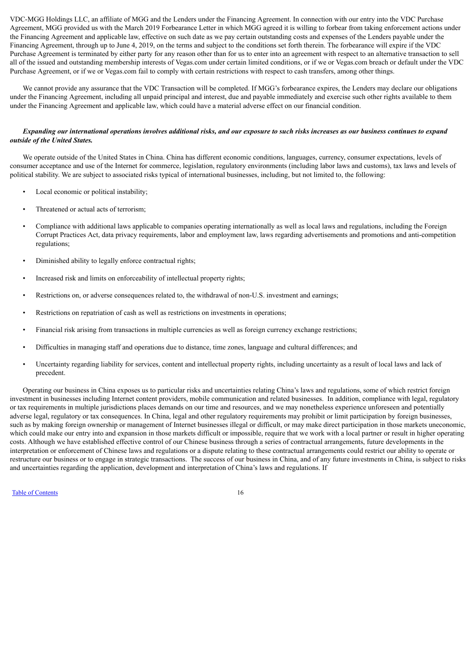VDC-MGG Holdings LLC, an affiliate of MGG and the Lenders under the Financing Agreement. In connection with our entry into the VDC Purchase Agreement, MGG provided us with the March 2019 Forbearance Letter in which MGG agreed it is willing to forbear from taking enforcement actions under the Financing Agreement and applicable law, effective on such date as we pay certain outstanding costs and expenses of the Lenders payable under the Financing Agreement, through up to June 4, 2019, on the terms and subject to the conditions set forth therein. The forbearance will expire if the VDC Purchase Agreement is terminated by either party for any reason other than for us to enter into an agreement with respect to an alternative transaction to sell all of the issued and outstanding membership interests of Vegas.com under certain limited conditions, or if we or Vegas.com breach or default under the VDC Purchase Agreement, or if we or Vegas.com fail to comply with certain restrictions with respect to cash transfers, among other things.

We cannot provide any assurance that the VDC Transaction will be completed. If MGG's forbearance expires, the Lenders may declare our obligations under the Financing Agreement, including all unpaid principal and interest, due and payable immediately and exercise such other rights available to them under the Financing Agreement and applicable law, which could have a material adverse effect on our financial condition.

#### Expanding our international operations involves additional risks, and our exposure to such risks increases as our business continues to expand *outside of the United States.*

We operate outside of the United States in China. China has different economic conditions, languages, currency, consumer expectations, levels of consumer acceptance and use of the Internet for commerce, legislation, regulatory environments (including labor laws and customs), tax laws and levels of political stability. We are subject to associated risks typical of international businesses, including, but not limited to, the following:

- Local economic or political instability;
- Threatened or actual acts of terrorism:
- Compliance with additional laws applicable to companies operating internationally as well as local laws and regulations, including the Foreign Corrupt Practices Act, data privacy requirements, labor and employment law, laws regarding advertisements and promotions and anti-competition regulations;
- Diminished ability to legally enforce contractual rights;
- Increased risk and limits on enforceability of intellectual property rights;
- Restrictions on, or adverse consequences related to, the withdrawal of non-U.S. investment and earnings;
- Restrictions on repatriation of cash as well as restrictions on investments in operations;
- Financial risk arising from transactions in multiple currencies as well as foreign currency exchange restrictions;
- Difficulties in managing staff and operations due to distance, time zones, language and cultural differences; and
- Uncertainty regarding liability for services, content and intellectual property rights, including uncertainty as a result of local laws and lack of precedent.

Operating our business in China exposes us to particular risks and uncertainties relating China's laws and regulations, some of which restrict foreign investment in businesses including Internet content providers, mobile communication and related businesses. In addition, compliance with legal, regulatory or tax requirements in multiple jurisdictions places demands on our time and resources, and we may nonetheless experience unforeseen and potentially adverse legal, regulatory or tax consequences. In China, legal and other regulatory requirements may prohibit or limit participation by foreign businesses, such as by making foreign ownership or management of Internet businesses illegal or difficult, or may make direct participation in those markets uneconomic, which could make our entry into and expansion in those markets difficult or impossible, require that we work with a local partner or result in higher operating costs. Although we have established effective control of our Chinese business through a series of contractual arrangements, future developments in the interpretation or enforcement of Chinese laws and regulations or a dispute relating to these contractual arrangements could restrict our ability to operate or restructure our business or to engage in strategic transactions. The success of our business in China, and of any future investments in China, is subject to risks and uncertainties regarding the application, development and interpretation of China's laws and regulations. If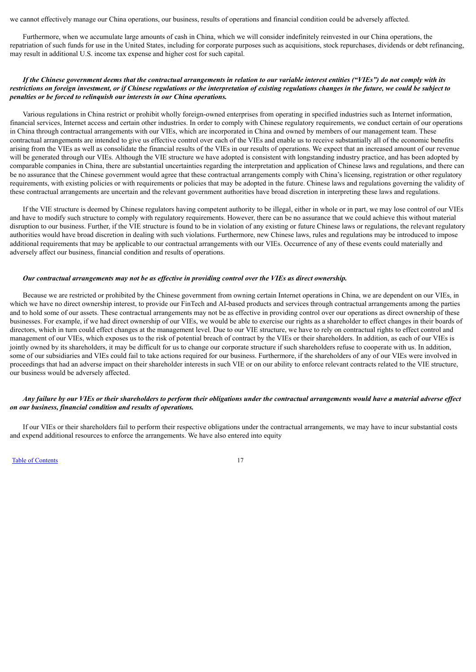we cannot effectively manage our China operations, our business, results of operations and financial condition could be adversely affected.

Furthermore, when we accumulate large amounts of cash in China, which we will consider indefinitely reinvested in our China operations, the repatriation of such funds for use in the United States, including for corporate purposes such as acquisitions, stock repurchases, dividends or debt refinancing, may result in additional U.S. income tax expense and higher cost for such capital.

#### If the Chinese government deems that the contractual arrangements in relation to our variable interest entities ("VIEs") do not comply with its restrictions on foreign investment, or if Chinese regulations or the interpretation of existing regulations changes in the future, we could be subject to *penalties or be forced to relinquish our interests in our China operations.*

Various regulations in China restrict or prohibit wholly foreign-owned enterprises from operating in specified industries such as Internet information, financial services, Internet access and certain other industries. In order to comply with Chinese regulatory requirements, we conduct certain of our operations in China through contractual arrangements with our VIEs, which are incorporated in China and owned by members of our management team. These contractual arrangements are intended to give us effective control over each of the VIEs and enable us to receive substantially all of the economic benefits arising from the VIEs as well as consolidate the financial results of the VIEs in our results of operations. We expect that an increased amount of our revenue will be generated through our VIEs. Although the VIE structure we have adopted is consistent with longstanding industry practice, and has been adopted by comparable companies in China, there are substantial uncertainties regarding the interpretation and application of Chinese laws and regulations, and there can be no assurance that the Chinese government would agree that these contractual arrangements comply with China's licensing, registration or other regulatory requirements, with existing policies or with requirements or policies that may be adopted in the future. Chinese laws and regulations governing the validity of these contractual arrangements are uncertain and the relevant government authorities have broad discretion in interpreting these laws and regulations.

If the VIE structure is deemed by Chinese regulators having competent authority to be illegal, either in whole or in part, we may lose control of our VIEs and have to modify such structure to comply with regulatory requirements. However, there can be no assurance that we could achieve this without material disruption to our business. Further, if the VIE structure is found to be in violation of any existing or future Chinese laws or regulations, the relevant regulatory authorities would have broad discretion in dealing with such violations. Furthermore, new Chinese laws, rules and regulations may be introduced to impose additional requirements that may be applicable to our contractual arrangements with our VIEs. Occurrence of any of these events could materially and adversely affect our business, financial condition and results of operations.

#### Our contractual arrangements may not be as effective in providing control over the VIEs as direct ownership.

Because we are restricted or prohibited by the Chinese government from owning certain Internet operations in China, we are dependent on our VIEs, in which we have no direct ownership interest, to provide our FinTech and AI-based products and services through contractual arrangements among the parties and to hold some of our assets. These contractual arrangements may not be as effective in providing control over our operations as direct ownership of these businesses. For example, if we had direct ownership of our VIEs, we would be able to exercise our rights as a shareholder to effect changes in their boards of directors, which in turn could effect changes at the management level. Due to our VIE structure, we have to rely on contractual rights to effect control and management of our VIEs, which exposes us to the risk of potential breach of contract by the VIEs or their shareholders. In addition, as each of our VIEs is jointly owned by its shareholders, it may be difficult for us to change our corporate structure if such shareholders refuse to cooperate with us. In addition, some of our subsidiaries and VIEs could fail to take actions required for our business. Furthermore, if the shareholders of any of our VIEs were involved in proceedings that had an adverse impact on their shareholder interests in such VIE or on our ability to enforce relevant contracts related to the VIE structure, our business would be adversely affected.

#### Any failure by our VIEs or their shareholders to perform their obligations under the contractual arrangements would have a material adverse effect *on our business, financial condition and results of operations.*

If our VIEs or their shareholders fail to perform their respective obligations under the contractual arrangements, we may have to incur substantial costs and expend additional resources to enforce the arrangements. We have also entered into equity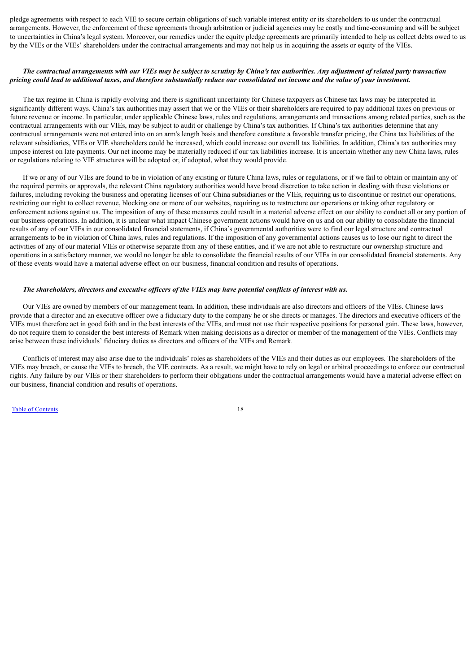pledge agreements with respect to each VIE to secure certain obligations of such variable interest entity or its shareholders to us under the contractual arrangements. However, the enforcement of these agreements through arbitration or judicial agencies may be costly and time-consuming and will be subject to uncertainties in China's legal system. Moreover, our remedies under the equity pledge agreements are primarily intended to help us collect debts owed to us by the VIEs or the VIEs' shareholders under the contractual arrangements and may not help us in acquiring the assets or equity of the VIEs.

#### The contractual arrangements with our VIEs may be subject to scrutiny by China's tax authorities. Any adjustment of related party transaction pricing could lead to additional taxes, and therefore substantially reduce our consolidated net income and the value of your investment.

The tax regime in China is rapidly evolving and there is significant uncertainty for Chinese taxpayers as Chinese tax laws may be interpreted in significantly different ways. China's tax authorities may assert that we or the VIEs or their shareholders are required to pay additional taxes on previous or future revenue or income. In particular, under applicable Chinese laws, rules and regulations, arrangements and transactions among related parties, such as the contractual arrangements with our VIEs, may be subject to audit or challenge by China's tax authorities. If China's tax authorities determine that any contractual arrangements were not entered into on an arm's length basis and therefore constitute a favorable transfer pricing, the China tax liabilities of the relevant subsidiaries, VIEs or VIE shareholders could be increased, which could increase our overall tax liabilities. In addition, China's tax authorities may impose interest on late payments. Our net income may be materially reduced if our tax liabilities increase. It is uncertain whether any new China laws, rules or regulations relating to VIE structures will be adopted or, if adopted, what they would provide.

If we or any of our VIEs are found to be in violation of any existing or future China laws, rules or regulations, or if we fail to obtain or maintain any of the required permits or approvals, the relevant China regulatory authorities would have broad discretion to take action in dealing with these violations or failures, including revoking the business and operating licenses of our China subsidiaries or the VIEs, requiring us to discontinue or restrict our operations, restricting our right to collect revenue, blocking one or more of our websites, requiring us to restructure our operations or taking other regulatory or enforcement actions against us. The imposition of any of these measures could result in a material adverse effect on our ability to conduct all or any portion of our business operations. In addition, it is unclear what impact Chinese government actions would have on us and on our ability to consolidate the financial results of any of our VIEs in our consolidated financial statements, if China's governmental authorities were to find our legal structure and contractual arrangements to be in violation of China laws, rules and regulations. If the imposition of any governmental actions causes us to lose our right to direct the activities of any of our material VIEs or otherwise separate from any of these entities, and if we are not able to restructure our ownership structure and operations in a satisfactory manner, we would no longer be able to consolidate the financial results of our VIEs in our consolidated financial statements. Any of these events would have a material adverse effect on our business, financial condition and results of operations.

#### The shareholders, directors and executive officers of the VIEs may have potential conflicts of interest with us.

Our VIEs are owned by members of our management team. In addition, these individuals are also directors and officers of the VIEs. Chinese laws provide that a director and an executive officer owe a fiduciary duty to the company he or she directs or manages. The directors and executive officers of the VIEs must therefore act in good faith and in the best interests of the VIEs, and must not use their respective positions for personal gain. These laws, however, do not require them to consider the best interests of Remark when making decisions as a director or member of the management of the VIEs. Conflicts may arise between these individuals' fiduciary duties as directors and officers of the VIEs and Remark.

Conflicts of interest may also arise due to the individuals' roles as shareholders of the VIEs and their duties as our employees. The shareholders of the VIEs may breach, or cause the VIEs to breach, the VIE contracts. As a result, we might have to rely on legal or arbitral proceedings to enforce our contractual rights. Any failure by our VIEs or their shareholders to perform their obligations under the contractual arrangements would have a material adverse effect on our business, financial condition and results of operations.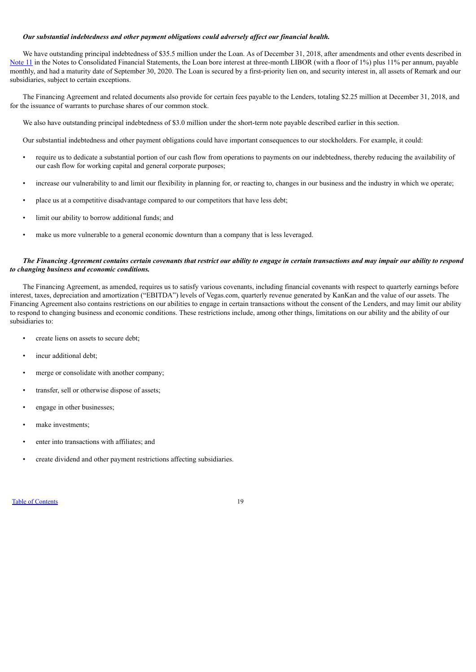#### *Our substantial indebtedness and other payment obligations could adversely af ect our financial health.*

We have outstanding principal indebtedness of \$35.5 million under the Loan. As of December 31, 2018, after amendments and other events described in [Note](#page-76-0) 11 in the Notes to Consolidated Financial Statements, the Loan bore interest at three-month LIBOR (with a floor of 1%) plus 11% per annum, payable monthly, and had a maturity date of September 30, 2020. The Loan is secured by a first-priority lien on, and security interest in, all assets of Remark and our subsidiaries, subject to certain exceptions.

The Financing Agreement and related documents also provide for certain fees payable to the Lenders, totaling \$2.25 million at December 31, 2018, and for the issuance of warrants to purchase shares of our common stock.

We also have outstanding principal indebtedness of \$3.0 million under the short-term note payable described earlier in this section.

Our substantial indebtedness and other payment obligations could have important consequences to our stockholders. For example, it could:

- require us to dedicate a substantial portion of our cash flow from operations to payments on our indebtedness, thereby reducing the availability of our cash flow for working capital and general corporate purposes;
- increase our vulnerability to and limit our flexibility in planning for, or reacting to, changes in our business and the industry in which we operate;
- place us at a competitive disadvantage compared to our competitors that have less debt;
- limit our ability to borrow additional funds; and
- make us more vulnerable to a general economic downturn than a company that is less leveraged.

#### The Financing Agreement contains certain covenants that restrict our ability to engage in certain transactions and may impair our ability to respond *to changing business and economic conditions.*

The Financing Agreement, as amended, requires us to satisfy various covenants, including financial covenants with respect to quarterly earnings before interest, taxes, depreciation and amortization ("EBITDA") levels of Vegas.com, quarterly revenue generated by KanKan and the value of our assets. The Financing Agreement also contains restrictions on our abilities to engage in certain transactions without the consent of the Lenders, and may limit our ability to respond to changing business and economic conditions. These restrictions include, among other things, limitations on our ability and the ability of our subsidiaries to:

- create liens on assets to secure debt;
- incur additional debt;
- merge or consolidate with another company;
- transfer, sell or otherwise dispose of assets;
- engage in other businesses;
- make investments;
- enter into transactions with affiliates; and
- create dividend and other payment restrictions affecting subsidiaries.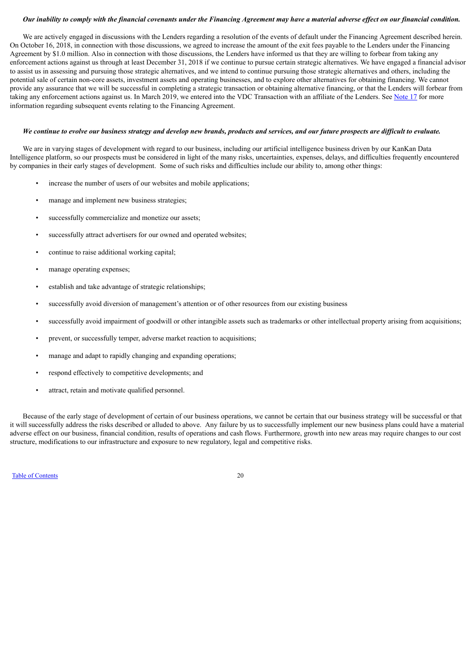#### Our inability to comply with the financial covenants under the Financing Agreement may have a material adverse effect on our financial condition.

We are actively engaged in discussions with the Lenders regarding a resolution of the events of default under the Financing Agreement described herein. On October 16, 2018, in connection with those discussions, we agreed to increase the amount of the exit fees payable to the Lenders under the Financing Agreement by \$1.0 million. Also in connection with those discussions, the Lenders have informed us that they are willing to forbear from taking any enforcement actions against us through at least December 31, 2018 if we continue to pursue certain strategic alternatives. We have engaged a financial advisor to assist us in assessing and pursuing those strategic alternatives, and we intend to continue pursuing those strategic alternatives and others, including the potential sale of certain non-core assets, investment assets and operating businesses, and to explore other alternatives for obtaining financing. We cannot provide any assurance that we will be successful in completing a strategic transaction or obtaining alternative financing, or that the Lenders will forbear from taking any enforcement actions against us. In March 2019, we entered into the VDC Transaction with an affiliate of the Lenders. See Note 17 for more information regarding subsequent events relating to the Financing Agreement.

#### We continue to evolve our business strategy and develop new brands, products and services, and our future prospects are difficult to evaluate.

We are in varying stages of development with regard to our business, including our artificial intelligence business driven by our KanKan Data Intelligence platform, so our prospects must be considered in light of the many risks, uncertainties, expenses, delays, and difficulties frequently encountered by companies in their early stages of development. Some of such risks and difficulties include our ability to, among other things:

- increase the number of users of our websites and mobile applications;
- manage and implement new business strategies;
- successfully commercialize and monetize our assets;
- successfully attract advertisers for our owned and operated websites;
- continue to raise additional working capital;
- manage operating expenses;
- establish and take advantage of strategic relationships;
- successfully avoid diversion of management's attention or of other resources from our existing business
- successfully avoid impairment of goodwill or other intangible assets such as trademarks or other intellectual property arising from acquisitions;
- prevent, or successfully temper, adverse market reaction to acquisitions;
- manage and adapt to rapidly changing and expanding operations;
- respond effectively to competitive developments; and
- attract, retain and motivate qualified personnel.

Because of the early stage of development of certain of our business operations, we cannot be certain that our business strategy will be successful or that it will successfully address the risks described or alluded to above. Any failure by us to successfully implement our new business plans could have a material adverse effect on our business, financial condition, results of operations and cash flows. Furthermore, growth into new areas may require changes to our cost structure, modifications to our infrastructure and exposure to new regulatory, legal and competitive risks.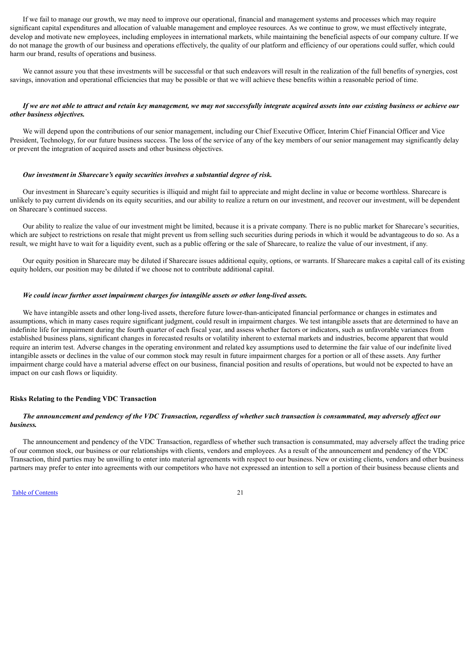If we fail to manage our growth, we may need to improve our operational, financial and management systems and processes which may require significant capital expenditures and allocation of valuable management and employee resources. As we continue to grow, we must effectively integrate, develop and motivate new employees, including employees in international markets, while maintaining the beneficial aspects of our company culture. If we do not manage the growth of our business and operations effectively, the quality of our platform and efficiency of our operations could suffer, which could harm our brand, results of operations and business.

We cannot assure you that these investments will be successful or that such endeavors will result in the realization of the full benefits of synergies, cost savings, innovation and operational efficiencies that may be possible or that we will achieve these benefits within a reasonable period of time.

#### If we are not able to attract and retain key management, we may not successfully integrate acquired assets into our existing business or achieve our *other business objectives.*

We will depend upon the contributions of our senior management, including our Chief Executive Officer, Interim Chief Financial Officer and Vice President, Technology, for our future business success. The loss of the service of any of the key members of our senior management may significantly delay or prevent the integration of acquired assets and other business objectives.

#### *Our investment in Sharecare's equity securities involves a substantial degree of risk.*

Our investment in Sharecare's equity securities is illiquid and might fail to appreciate and might decline in value or become worthless. Sharecare is unlikely to pay current dividends on its equity securities, and our ability to realize a return on our investment, and recover our investment, will be dependent on Sharecare's continued success.

Our ability to realize the value of our investment might be limited, because it is a private company. There is no public market for Sharecare's securities, which are subject to restrictions on resale that might prevent us from selling such securities during periods in which it would be advantageous to do so. As a result, we might have to wait for a liquidity event, such as a public offering or the sale of Sharecare, to realize the value of our investment, if any.

Our equity position in Sharecare may be diluted if Sharecare issues additional equity, options, or warrants. If Sharecare makes a capital call of its existing equity holders, our position may be diluted if we choose not to contribute additional capital.

#### *We could incur further asset impairment charges for intangible assets or other long-lived assets.*

We have intangible assets and other long-lived assets, therefore future lower-than-anticipated financial performance or changes in estimates and assumptions, which in many cases require significant judgment, could result in impairment charges. We test intangible assets that are determined to have an indefinite life for impairment during the fourth quarter of each fiscal year, and assess whether factors or indicators, such as unfavorable variances from established business plans, significant changes in forecasted results or volatility inherent to external markets and industries, become apparent that would require an interim test. Adverse changes in the operating environment and related key assumptions used to determine the fair value of our indefinite lived intangible assets or declines in the value of our common stock may result in future impairment charges for a portion or all of these assets. Any further impairment charge could have a material adverse effect on our business, financial position and results of operations, but would not be expected to have an impact on our cash flows or liquidity.

#### **Risks Relating to the Pending VDC Transaction**

#### The announcement and pendency of the VDC Transaction, regardless of whether such transaction is consummated, may adversely affect our *business.*

The announcement and pendency of the VDC Transaction, regardless of whether such transaction is consummated, may adversely affect the trading price of our common stock, our business or our relationships with clients, vendors and employees. As a result of the announcement and pendency of the VDC Transaction, third parties may be unwilling to enter into material agreements with respect to our business. New or existing clients, vendors and other business partners may prefer to enter into agreements with our competitors who have not expressed an intention to sell a portion of their business because clients and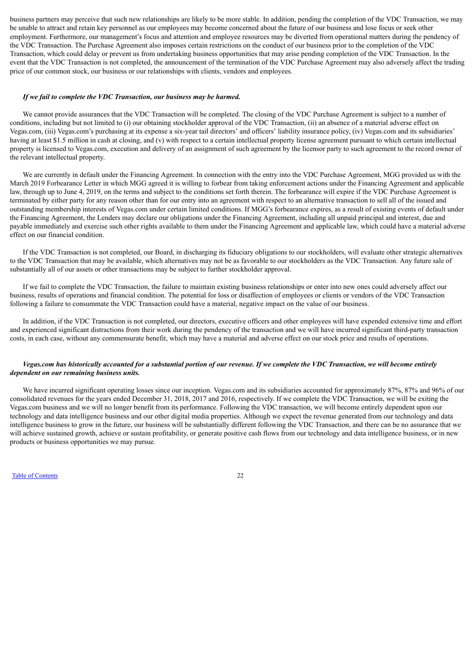business partners may perceive that such new relationships are likely to be more stable. In addition, pending the completion of the VDC Transaction, we may be unable to attract and retain key personnel as our employees may become concerned about the future of our business and lose focus or seek other employment. Furthermore, our management's focus and attention and employee resources may be diverted from operational matters during the pendency of the VDC Transaction. The Purchase Agreement also imposes certain restrictions on the conduct of our business prior to the completion of the VDC Transaction, which could delay or prevent us from undertaking business opportunities that may arise pending completion of the VDC Transaction. In the event that the VDC Transaction is not completed, the announcement of the termination of the VDC Purchase Agreement may also adversely affect the trading price of our common stock, our business or our relationships with clients, vendors and employees.

#### *If we fail to complete the VDC Transaction, our business may be harmed.*

We cannot provide assurances that the VDC Transaction will be completed. The closing of the VDC Purchase Agreement is subject to a number of conditions, including but not limited to (i) our obtaining stockholder approval of the VDC Transaction, (ii) an absence of a material adverse effect on Vegas.com, (iii) Vegas.com's purchasing at its expense a six-year tail directors' and officers' liability insurance policy, (iv) Vegas.com and its subsidiaries' having at least \$1.5 million in cash at closing, and (v) with respect to a certain intellectual property license agreement pursuant to which certain intellectual property is licensed to Vegas.com, execution and delivery of an assignment of such agreement by the licensor party to such agreement to the record owner of the relevant intellectual property.

We are currently in default under the Financing Agreement. In connection with the entry into the VDC Purchase Agreement, MGG provided us with the March 2019 Forbearance Letter in which MGG agreed it is willing to forbear from taking enforcement actions under the Financing Agreement and applicable law, through up to June 4, 2019, on the terms and subject to the conditions set forth therein. The forbearance will expire if the VDC Purchase Agreement is terminated by either party for any reason other than for our entry into an agreement with respect to an alternative transaction to sell all of the issued and outstanding membership interests of Vegas.com under certain limited conditions. If MGG's forbearance expires, as a result of existing events of default under the Financing Agreement, the Lenders may declare our obligations under the Financing Agreement, including all unpaid principal and interest, due and payable immediately and exercise such other rights available to them under the Financing Agreement and applicable law, which could have a material adverse effect on our financial condition.

If the VDC Transaction is not completed, our Board, in discharging its fiduciary obligations to our stockholders, will evaluate other strategic alternatives to the VDC Transaction that may be available, which alternatives may not be as favorable to our stockholders as the VDC Transaction. Any future sale of substantially all of our assets or other transactions may be subject to further stockholder approval.

If we fail to complete the VDC Transaction, the failure to maintain existing business relationships or enter into new ones could adversely affect our business, results of operations and financial condition. The potential for loss or disaffection of employees or clients or vendors of the VDC Transaction following a failure to consummate the VDC Transaction could have a material, negative impact on the value of our business.

In addition, if the VDC Transaction is not completed, our directors, executive officers and other employees will have expended extensive time and effort and experienced significant distractions from their work during the pendency of the transaction and we will have incurred significant third-party transaction costs, in each case, without any commensurate benefit, which may have a material and adverse effect on our stock price and results of operations.

#### Vegas.com has historically accounted for a substantial portion of our revenue. If we complete the VDC Transaction, we will become entirely *dependent on our remaining business units.*

We have incurred significant operating losses since our inception. Vegas.com and its subsidiaries accounted for approximately 87% 87% and 96% of our consolidated revenues for the years ended December 31, 2018, 2017 and 2016, respectively. If we complete the VDC Transaction, we will be exiting the Vegas.com business and we will no longer benefit from its performance. Following the VDC transaction, we will become entirely dependent upon our technology and data intelligence business and our other digital media properties. Although we expect the revenue generated from our technology and data intelligence business to grow in the future, our business will be substantially different following the VDC Transaction, and there can be no assurance that we will achieve sustained growth, achieve or sustain profitability, or generate positive cash flows from our technology and data intelligence business, or in new products or business opportunities we may pursue.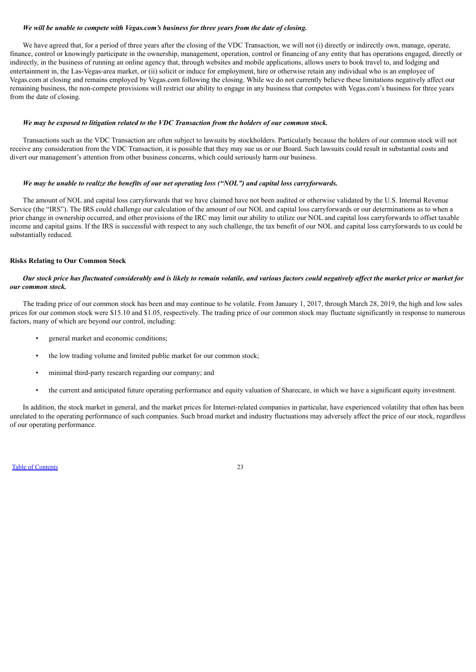#### *We will be unable to compete with Vegas.com's business for three years from the date of closing.*

We have agreed that, for a period of three years after the closing of the VDC Transaction, we will not (i) directly or indirectly own, manage, operate, finance, control or knowingly participate in the ownership, management, operation, control or financing of any entity that has operations engaged, directly or indirectly, in the business of running an online agency that, through websites and mobile applications, allows users to book travel to, and lodging and entertainment in, the Las-Vegas-area market, or (ii) solicit or induce for employment, hire or otherwise retain any individual who is an employee of Vegas.com at closing and remains employed by Vegas.com following the closing. While we do not currently believe these limitations negatively affect our remaining business, the non-compete provisions will restrict our ability to engage in any business that competes with Vegas.com's business for three years from the date of closing.

#### We may be exposed to litigation related to the VDC Transaction from the holders of our common stock.

Transactions such as the VDC Transaction are often subject to lawsuits by stockholders. Particularly because the holders of our common stock will not receive any consideration from the VDC Transaction, it is possible that they may sue us or our Board. Such lawsuits could result in substantial costs and divert our management's attention from other business concerns, which could seriously harm our business.

#### We may be unable to realize the benefits of our net operating loss ("NOL") and capital loss carryforwards.

The amount of NOL and capital loss carryforwards that we have claimed have not been audited or otherwise validated by the U.S. Internal Revenue Service (the "IRS"). The IRS could challenge our calculation of the amount of our NOL and capital loss carryforwards or our determinations as to when a prior change in ownership occurred, and other provisions of the IRC may limit our ability to utilize our NOL and capital loss carryforwards to offset taxable income and capital gains. If the IRS is successful with respect to any such challenge, the tax benefit of our NOL and capital loss carryforwards to us could be substantially reduced.

#### **Risks Relating to Our Common Stock**

#### Our stock price has fluctuated considerably and is likely to remain volatile, and various factors could negatively affect the market price or market for *our common stock.*

The trading price of our common stock has been and may continue to be volatile. From January 1, 2017, through March 28, 2019, the high and low sales prices for our common stock were \$15.10 and \$1.05, respectively. The trading price of our common stock may fluctuate significantly in response to numerous factors, many of which are beyond our control, including:

- general market and economic conditions;
- the low trading volume and limited public market for our common stock;
- minimal third-party research regarding our company; and
- the current and anticipated future operating performance and equity valuation of Sharecare, in which we have a significant equity investment.

In addition, the stock market in general, and the market prices for Internet-related companies in particular, have experienced volatility that often has been unrelated to the operating performance of such companies. Such broad market and industry fluctuations may adversely affect the price of our stock, regardless of our operating performance.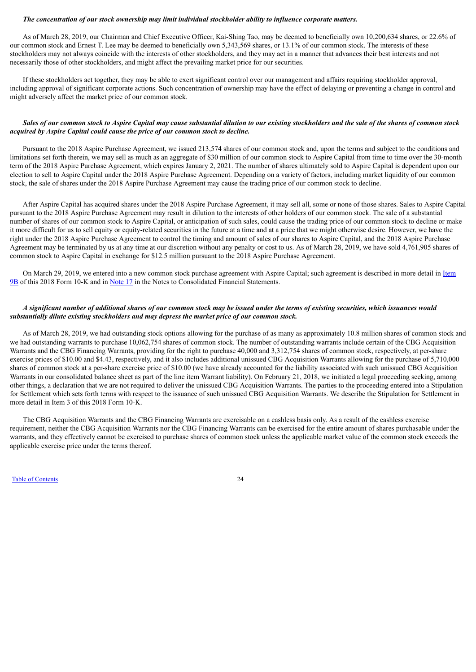#### *The concentration of our stock ownership may limit individual stockholder ability to influence corporate matters.*

As of March 28, 2019, our Chairman and Chief Executive Officer, Kai-Shing Tao, may be deemed to beneficially own 10,200,634 shares, or 22.6% of our common stock and Ernest T. Lee may be deemed to beneficially own 5,343,569 shares, or 13.1% of our common stock. The interests of these stockholders may not always coincide with the interests of other stockholders, and they may act in a manner that advances their best interests and not necessarily those of other stockholders, and might affect the prevailing market price for our securities.

If these stockholders act together, they may be able to exert significant control over our management and affairs requiring stockholder approval, including approval of significant corporate actions. Such concentration of ownership may have the effect of delaying or preventing a change in control and might adversely affect the market price of our common stock.

#### Sales of our common stock to Aspire Capital may cause substantial dilution to our existing stockholders and the sale of the shares of common stock *acquired by Aspire Capital could cause the price of our common stock to decline.*

Pursuant to the 2018 Aspire Purchase Agreement, we issued 213,574 shares of our common stock and, upon the terms and subject to the conditions and limitations set forth therein, we may sell as much as an aggregate of \$30 million of our common stock to Aspire Capital from time to time over the 30-month term of the 2018 Aspire Purchase Agreement, which expires January 2, 2021. The number of shares ultimately sold to Aspire Capital is dependent upon our election to sell to Aspire Capital under the 2018 Aspire Purchase Agreement. Depending on a variety of factors, including market liquidity of our common stock, the sale of shares under the 2018 Aspire Purchase Agreement may cause the trading price of our common stock to decline.

After Aspire Capital has acquired shares under the 2018 Aspire Purchase Agreement, it may sell all, some or none of those shares. Sales to Aspire Capital pursuant to the 2018 Aspire Purchase Agreement may result in dilution to the interests of other holders of our common stock. The sale of a substantial number of shares of our common stock to Aspire Capital, or anticipation of such sales, could cause the trading price of our common stock to decline or make it more difficult for us to sell equity or equity-related securities in the future at a time and at a price that we might otherwise desire. However, we have the right under the 2018 Aspire Purchase Agreement to control the timing and amount of sales of our shares to Aspire Capital, and the 2018 Aspire Purchase Agreement may be terminated by us at any time at our discretion without any penalty or cost to us. As of March 28, 2019, we have sold 4,761,905 shares of common stock to Aspire Capital in exchange for \$12.5 million pursuant to the 2018 Aspire Purchase Agreement.

On March 29, 2019, we entered into a new common stock purchase agreement with Aspire Capital; such agreement is described in more detail in Item 9B of this 2018 Form 10-K and in [Note](#page-86-0) 17 in the Notes to [Consolidated](#page-44-0) Financial Statements.

#### A significant number of additional shares of our common stock may be issued under the terms of existing securities, which issuances would *substantially dilute existing stockholders and may depress the market price of our common stock.*

As of March 28, 2019, we had outstanding stock options allowing for the purchase of as many as approximately 10.8 million shares of common stock and we had outstanding warrants to purchase 10,062,754 shares of common stock. The number of outstanding warrants include certain of the CBG Acquisition Warrants and the CBG Financing Warrants, providing for the right to purchase 40,000 and 3,312,754 shares of common stock, respectively, at per-share exercise prices of \$10.00 and \$4.43, respectively, and it also includes additional unissued CBG Acquisition Warrants allowing for the purchase of 5,710,000 shares of common stock at a per-share exercise price of \$10.00 (we have already accounted for the liability associated with such unissued CBG Acquisition Warrants in our consolidated balance sheet as part of the line item Warrant liability). On February 21, 2018, we initiated a legal proceeding seeking, among other things, a declaration that we are not required to deliver the unissued CBG Acquisition Warrants. The parties to the proceeding entered into a Stipulation for Settlement which sets forth terms with respect to the issuance of such unissued CBG Acquisition Warrants. We describe the Stipulation for Settlement in more detail in Item 3 of this 2018 Form 10-K.

The CBG Acquisition Warrants and the CBG Financing Warrants are exercisable on a cashless basis only. As a result of the cashless exercise requirement, neither the CBG Acquisition Warrants nor the CBG Financing Warrants can be exercised for the entire amount of shares purchasable under the warrants, and they effectively cannot be exercised to purchase shares of common stock unless the applicable market value of the common stock exceeds the applicable exercise price under the terms thereof.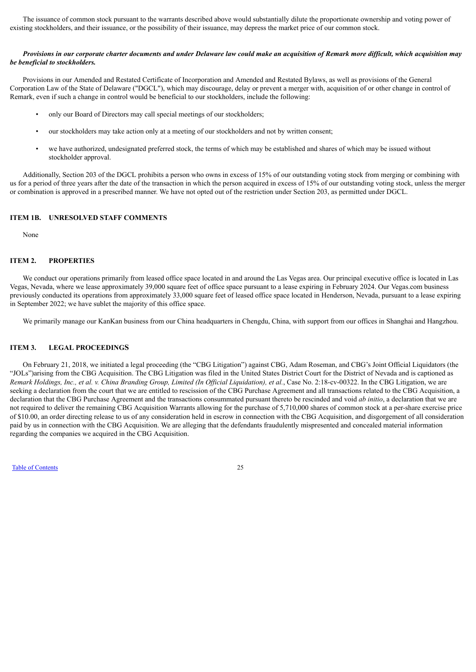The issuance of common stock pursuant to the warrants described above would substantially dilute the proportionate ownership and voting power of existing stockholders, and their issuance, or the possibility of their issuance, may depress the market price of our common stock.

#### Provisions in our corporate charter documents and under Delaware law could make an acquisition of Remark more difficult, which acquisition may *be beneficial to stockholders.*

Provisions in our Amended and Restated Certificate of Incorporation and Amended and Restated Bylaws, as well as provisions of the General Corporation Law of the State of Delaware ("DGCL"), which may discourage, delay or prevent a merger with, acquisition of or other change in control of Remark, even if such a change in control would be beneficial to our stockholders, include the following:

- only our Board of Directors may call special meetings of our stockholders;
- our stockholders may take action only at a meeting of our stockholders and not by written consent;
- we have authorized, undesignated preferred stock, the terms of which may be established and shares of which may be issued without stockholder approval.

Additionally, Section 203 of the DGCL prohibits a person who owns in excess of 15% of our outstanding voting stock from merging or combining with us for a period of three years after the date of the transaction in which the person acquired in excess of 15% of our outstanding voting stock, unless the merger or combination is approved in a prescribed manner. We have not opted out of the restriction under Section 203, as permitted under DGCL.

#### <span id="page-28-0"></span>**ITEM 1B. UNRESOLVED STAFF COMMENTS**

None

#### <span id="page-28-1"></span>**ITEM 2. PROPERTIES**

We conduct our operations primarily from leased office space located in and around the Las Vegas area. Our principal executive office is located in Las Vegas, Nevada, where we lease approximately 39,000 square feet of office space pursuant to a lease expiring in February 2024. Our Vegas.com business previously conducted its operations from approximately 33,000 square feet of leased office space located in Henderson, Nevada, pursuant to a lease expiring in September 2022; we have sublet the majority of this office space.

We primarily manage our KanKan business from our China headquarters in Chengdu, China, with support from our offices in Shanghai and Hangzhou.

#### <span id="page-28-2"></span>**ITEM 3. LEGAL PROCEEDINGS**

On February 21, 2018, we initiated a legal proceeding (the "CBG Litigation") against CBG, Adam Roseman, and CBG's Joint Official Liquidators (the "JOLs")arising from the CBG Acquisition. The CBG Litigation was filed in the United States District Court for the District of Nevada and is captioned as Remark Holdings, Inc., et al. v. China Branding Group, Limited (In Official Liquidation), et al., Case No. 2:18-cv-00322. In the CBG Litigation, we are seeking a declaration from the court that we are entitled to rescission of the CBG Purchase Agreement and all transactions related to the CBG Acquisition, a declaration that the CBG Purchase Agreement and the transactions consummated pursuant thereto be rescinded and void *ab initio*, a declaration that we are not required to deliver the remaining CBG Acquisition Warrants allowing for the purchase of 5,710,000 shares of common stock at a per-share exercise price of \$10.00, an order directing release to us of any consideration held in escrow in connection with the CBG Acquisition, and disgorgement of all consideration paid by us in connection with the CBG Acquisition. We are alleging that the defendants fraudulently mispresented and concealed material information regarding the companies we acquired in the CBG Acquisition.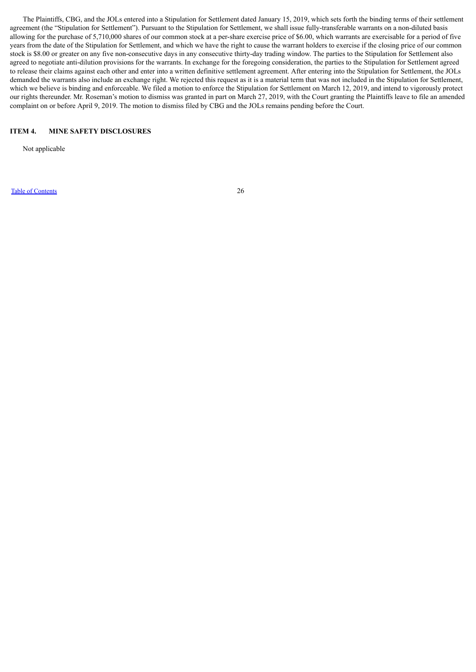The Plaintiffs, CBG, and the JOLs entered into a Stipulation for Settlement dated January 15, 2019, which sets forth the binding terms of their settlement agreement (the "Stipulation for Settlement"). Pursuant to the Stipulation for Settlement, we shall issue fully-transferable warrants on a non-diluted basis allowing for the purchase of 5,710,000 shares of our common stock at a per-share exercise price of \$6.00, which warrants are exercisable for a period of five years from the date of the Stipulation for Settlement, and which we have the right to cause the warrant holders to exercise if the closing price of our common stock is \$8.00 or greater on any five non-consecutive days in any consecutive thirty-day trading window. The parties to the Stipulation for Settlement also agreed to negotiate anti-dilution provisions for the warrants. In exchange for the foregoing consideration, the parties to the Stipulation for Settlement agreed to release their claims against each other and enter into a written definitive settlement agreement. After entering into the Stipulation for Settlement, the JOLs demanded the warrants also include an exchange right. We rejected this request as it is a material term that was not included in the Stipulation for Settlement, which we believe is binding and enforceable. We filed a motion to enforce the Stipulation for Settlement on March 12, 2019, and intend to vigorously protect our rights thereunder. Mr. Roseman's motion to dismiss was granted in part on March 27, 2019, with the Court granting the Plaintiffs leave to file an amended complaint on or before April 9, 2019. The motion to dismiss filed by CBG and the JOLs remains pending before the Court.

#### <span id="page-29-0"></span>**ITEM 4. MINE SAFETY DISCLOSURES**

Not applicable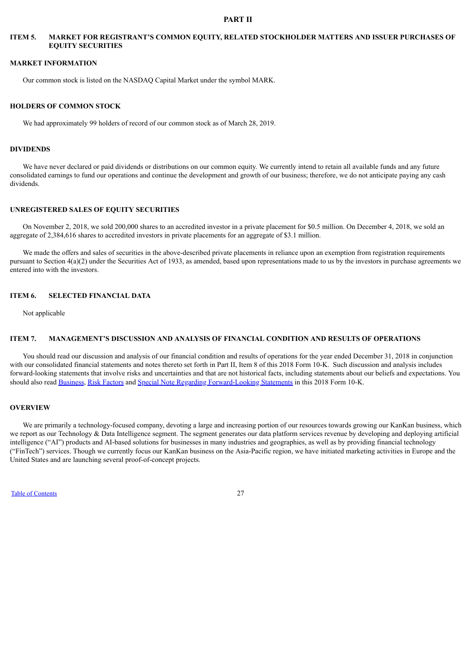#### <span id="page-30-0"></span>**ITEM 5. MARKET FOR REGISTRANT'S COMMON EQUITY, RELATED STOCKHOLDER MATTERS AND ISSUER PURCHASES OF EQUITY SECURITIES**

#### **MARKET INFORMATION**

Our common stock is listed on the NASDAQ Capital Market under the symbol MARK.

#### **HOLDERS OF COMMON STOCK**

We had approximately 99 holders of record of our common stock as of March 28, 2019.

#### **DIVIDENDS**

We have never declared or paid dividends or distributions on our common equity. We currently intend to retain all available funds and any future consolidated earnings to fund our operations and continue the development and growth of our business; therefore, we do not anticipate paying any cash dividends.

#### **UNREGISTERED SALES OF EQUITY SECURITIES**

On November 2, 2018, we sold 200,000 shares to an accredited investor in a private placement for \$0.5 million. On December 4, 2018, we sold an aggregate of 2,384,616 shares to accredited investors in private placements for an aggregate of \$3.1 million.

We made the offers and sales of securities in the above-described private placements in reliance upon an exemption from registration requirements pursuant to Section 4(a)(2) under the Securities Act of 1933, as amended, based upon representations made to us by the investors in purchase agreements we entered into with the investors.

#### <span id="page-30-1"></span>**ITEM 6. SELECTED FINANCIAL DATA**

Not applicable

#### <span id="page-30-2"></span>**ITEM 7. MANAGEMENT'S DISCUSSION AND ANALYSIS OF FINANCIAL CONDITION AND RESULTS OF OPERATIONS**

You should read our discussion and analysis of our financial condition and results of operations for the year ended December 31, 2018 in conjunction with our consolidated financial statements and notes thereto set forth in Part II, Item 8 of this 2018 Form 10-K. Such discussion and analysis includes forward-looking statements that involve risks and uncertainties and that are not historical facts, including statements about our beliefs and expectations. You should also read [Business](#page-4-0), Risk [Factors](#page-10-0) and Special Note Regarding [Forward-Looking](#page-3-0) Statements in this 2018 Form 10-K.

#### **OVERVIEW**

We are primarily a technology-focused company, devoting a large and increasing portion of our resources towards growing our KanKan business, which we report as our Technology & Data Intelligence segment. The segment generates our data platform services revenue by developing and deploying artificial intelligence ("AI") products and AI-based solutions for businesses in many industries and geographies, as well as by providing financial technology ("FinTech") services. Though we currently focus our KanKan business on the Asia-Pacific region, we have initiated marketing activities in Europe and the United States and are launching several proof-of-concept projects.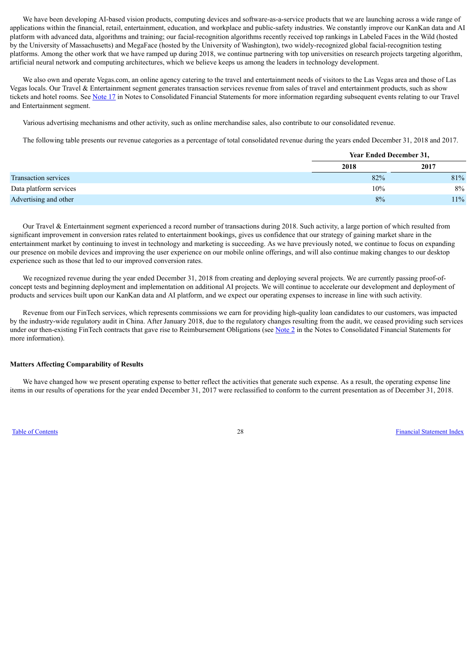We have been developing AI-based vision products, computing devices and software-as-a-service products that we are launching across a wide range of applications within the financial, retail, entertainment, education, and workplace and public-safety industries. We constantly improve our KanKan data and AI platform with advanced data, algorithms and training; our facial-recognition algorithms recently received top rankings in Labeled Faces in the Wild (hosted by the University of Massachusetts) and MegaFace (hosted by the University of Washington), two widely-recognized global facial-recognition testing platforms. Among the other work that we have ramped up during 2018, we continue partnering with top universities on research projects targeting algorithm, artificial neural network and computing architectures, which we believe keeps us among the leaders in technology development.

We also own and operate Vegas.com, an online agency catering to the travel and entertainment needs of visitors to the Las Vegas area and those of Las Vegas locals. Our Travel & Entertainment segment generates transaction services revenue from sales of travel and entertainment products, such as show tickets and hotel rooms. See [Note](#page-86-0) 17 in Notes to Consolidated Financial Statements for more information regarding subsequent events relating to our Travel and Entertainment segment.

Various advertising mechanisms and other activity, such as online merchandise sales, also contribute to our consolidated revenue.

The following table presents our revenue categories as a percentage of total consolidated revenue during the years ended December 31, 2018 and 2017.

|                             |      | <b>Year Ended December 31,</b> |  |
|-----------------------------|------|--------------------------------|--|
|                             | 2018 | 2017                           |  |
| <b>Transaction services</b> | 82%  | 81%                            |  |
| Data platform services      | 10%  | $8\%$                          |  |
| Advertising and other       | 8%   | 11%                            |  |

Our Travel & Entertainment segment experienced a record number of transactions during 2018. Such activity, a large portion of which resulted from significant improvement in conversion rates related to entertainment bookings, gives us confidence that our strategy of gaining market share in the entertainment market by continuing to invest in technology and marketing is succeeding. As we have previously noted, we continue to focus on expanding our presence on mobile devices and improving the user experience on our mobile online offerings, and will also continue making changes to our desktop experience such as those that led to our improved conversion rates.

We recognized revenue during the year ended December 31, 2018 from creating and deploying several projects. We are currently passing proof-ofconcept tests and beginning deployment and implementation on additional AI projects. We will continue to accelerate our development and deployment of products and services built upon our KanKan data and AI platform, and we expect our operating expenses to increase in line with such activity.

Revenue from our FinTech services, which represents commissions we earn for providing high-quality loan candidates to our customers, was impacted by the industry-wide regulatory audit in China. After January 2018, due to the regulatory changes resulting from the audit, we ceased providing such services under our then-existing FinTech contracts that gave rise to Reimbursement Obligations (see Note 2 in the Notes to Consolidated Financial Statements for more information).

#### **Matters Affecting Comparability of Results**

We have changed how we present operating expense to better reflect the activities that generate such expense. As a result, the operating expense line items in our results of operations for the year ended December 31, 2017 were reclassified to conform to the current presentation as of December 31, 2018.

[Table of Contents](#page-2-0) **28** [Financial Statement Index](#page-52-0) **28** Financial Statement Index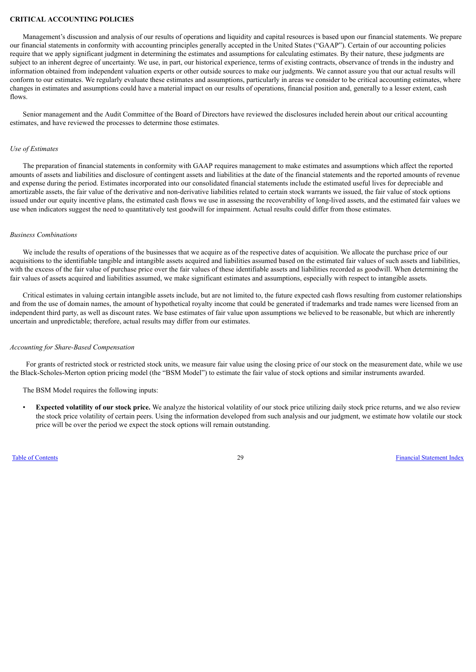#### **CRITICAL ACCOUNTING POLICIES**

Management's discussion and analysis of our results of operations and liquidity and capital resources is based upon our financial statements. We prepare our financial statements in conformity with accounting principles generally accepted in the United States ("GAAP"). Certain of our accounting policies require that we apply significant judgment in determining the estimates and assumptions for calculating estimates. By their nature, these judgments are subject to an inherent degree of uncertainty. We use, in part, our historical experience, terms of existing contracts, observance of trends in the industry and information obtained from independent valuation experts or other outside sources to make our judgments. We cannot assure you that our actual results will conform to our estimates. We regularly evaluate these estimates and assumptions, particularly in areas we consider to be critical accounting estimates, where changes in estimates and assumptions could have a material impact on our results of operations, financial position and, generally to a lesser extent, cash flows.

Senior management and the Audit Committee of the Board of Directors have reviewed the disclosures included herein about our critical accounting estimates, and have reviewed the processes to determine those estimates.

#### *Use of Estimates*

The preparation of financial statements in conformity with GAAP requires management to make estimates and assumptions which affect the reported amounts of assets and liabilities and disclosure of contingent assets and liabilities at the date of the financial statements and the reported amounts of revenue and expense during the period. Estimates incorporated into our consolidated financial statements include the estimated useful lives for depreciable and amortizable assets, the fair value of the derivative and non-derivative liabilities related to certain stock warrants we issued, the fair value of stock options issued under our equity incentive plans, the estimated cash flows we use in assessing the recoverability of long-lived assets, and the estimated fair values we use when indicators suggest the need to quantitatively test goodwill for impairment. Actual results could differ from those estimates.

#### *Business Combinations*

We include the results of operations of the businesses that we acquire as of the respective dates of acquisition. We allocate the purchase price of our acquisitions to the identifiable tangible and intangible assets acquired and liabilities assumed based on the estimated fair values of such assets and liabilities, with the excess of the fair value of purchase price over the fair values of these identifiable assets and liabilities recorded as goodwill. When determining the fair values of assets acquired and liabilities assumed, we make significant estimates and assumptions, especially with respect to intangible assets.

Critical estimates in valuing certain intangible assets include, but are not limited to, the future expected cash flows resulting from customer relationships and from the use of domain names, the amount of hypothetical royalty income that could be generated if trademarks and trade names were licensed from an independent third party, as well as discount rates. We base estimates of fair value upon assumptions we believed to be reasonable, but which are inherently uncertain and unpredictable; therefore, actual results may differ from our estimates.

#### *Accounting for Share-Based Compensation*

For grants of restricted stock or restricted stock units, we measure fair value using the closing price of our stock on the measurement date, while we use the Black-Scholes-Merton option pricing model (the "BSM Model") to estimate the fair value of stock options and similar instruments awarded.

The BSM Model requires the following inputs:

• **Expected volatility of our stock price.** We analyze the historical volatility of our stock price utilizing daily stock price returns, and we also review the stock price volatility of certain peers. Using the information developed from such analysis and our judgment, we estimate how volatile our stock price will be over the period we expect the stock options will remain outstanding.

[Table of Contents](#page-2-0) **29** [Financial Statement Index](#page-52-0) **29** Financial Statement Index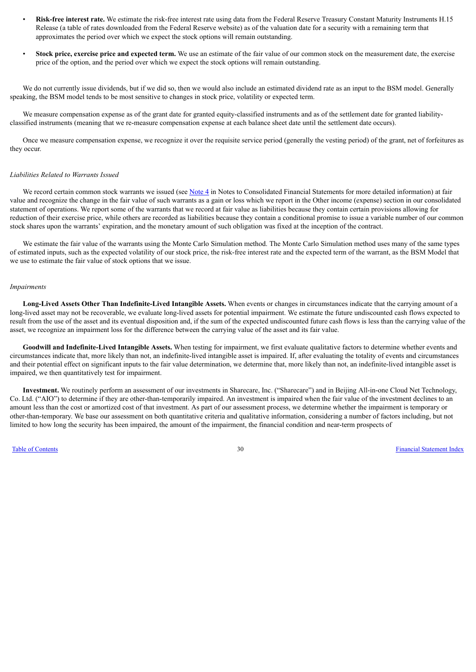- **Risk-free interest rate.** We estimate the risk-free interest rate using data from the Federal Reserve Treasury Constant Maturity Instruments H.15 Release (a table of rates downloaded from the Federal Reserve website) as of the valuation date for a security with a remaining term that approximates the period over which we expect the stock options will remain outstanding.
- **Stock price, exercise price and expected term.** We use an estimate of the fair value of our common stock on the measurement date, the exercise price of the option, and the period over which we expect the stock options will remain outstanding.

We do not currently issue dividends, but if we did so, then we would also include an estimated dividend rate as an input to the BSM model. Generally speaking, the BSM model tends to be most sensitive to changes in stock price, volatility or expected term.

We measure compensation expense as of the grant date for granted equity-classified instruments and as of the settlement date for granted liabilityclassified instruments (meaning that we re-measure compensation expense at each balance sheet date until the settlement date occurs).

Once we measure compensation expense, we recognize it over the requisite service period (generally the vesting period) of the grant, net of forfeitures as they occur.

#### *Liabilities Related to Warrants Issued*

We record certain common stock warrants we issued (see [Note](#page-67-0) 4 in Notes to Consolidated Financial Statements for more detailed information) at fair value and recognize the change in the fair value of such warrants as a gain or loss which we report in the Other income (expense) section in our consolidated statement of operations. We report some of the warrants that we record at fair value as liabilities because they contain certain provisions allowing for reduction of their exercise price, while others are recorded as liabilities because they contain a conditional promise to issue a variable number of our common stock shares upon the warrants' expiration, and the monetary amount of such obligation was fixed at the inception of the contract.

We estimate the fair value of the warrants using the Monte Carlo Simulation method. The Monte Carlo Simulation method uses many of the same types of estimated inputs, such as the expected volatility of our stock price, the risk-free interest rate and the expected term of the warrant, as the BSM Model that we use to estimate the fair value of stock options that we issue.

#### *Impairments*

**Long-Lived Assets Other Than Indefinite-Lived Intangible Assets.** When events or changes in circumstances indicate that the carrying amount of a long-lived asset may not be recoverable, we evaluate long-lived assets for potential impairment. We estimate the future undiscounted cash flows expected to result from the use of the asset and its eventual disposition and, if the sum of the expected undiscounted future cash flows is less than the carrying value of the asset, we recognize an impairment loss for the difference between the carrying value of the asset and its fair value.

**Goodwill and Indefinite-Lived Intangible Assets.** When testing for impairment, we first evaluate qualitative factors to determine whether events and circumstances indicate that, more likely than not, an indefinite-lived intangible asset is impaired. If, after evaluating the totality of events and circumstances and their potential effect on significant inputs to the fair value determination, we determine that, more likely than not, an indefinite-lived intangible asset is impaired, we then quantitatively test for impairment.

**Investment.** We routinely perform an assessment of our investments in Sharecare, Inc. ("Sharecare") and in Beijing All-in-one Cloud Net Technology, Co. Ltd. ("AIO") to determine if they are other-than-temporarily impaired. An investment is impaired when the fair value of the investment declines to an amount less than the cost or amortized cost of that investment. As part of our assessment process, we determine whether the impairment is temporary or other-than-temporary. We base our assessment on both quantitative criteria and qualitative information, considering a number of factors including, but not limited to how long the security has been impaired, the amount of the impairment, the financial condition and near-term prospects of

[Table of Contents](#page-2-0) **Table of Contents** 30 [Financial Statement Index](#page-52-0)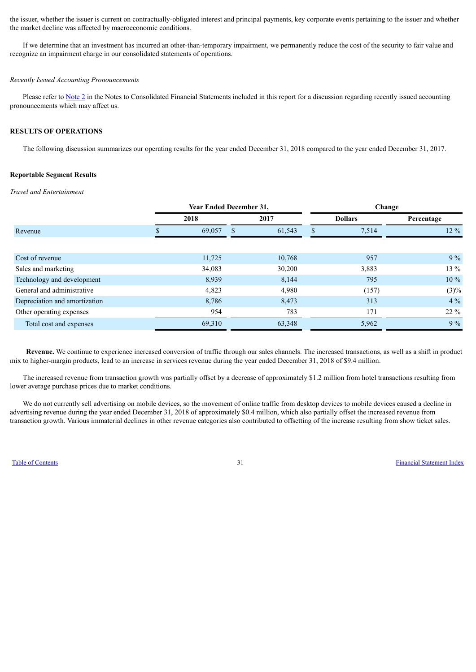the issuer, whether the issuer is current on contractually-obligated interest and principal payments, key corporate events pertaining to the issuer and whether the market decline was affected by macroeconomic conditions.

If we determine that an investment has incurred an other-than-temporary impairment, we permanently reduce the cost of the security to fair value and recognize an impairment charge in our consolidated statements of operations.

#### *Recently Issued Accounting Pronouncements*

Please refer to [Note](#page-60-0) 2 in the Notes to Consolidated Financial Statements included in this report for a discussion regarding recently issued accounting pronouncements which may affect us.

#### **RESULTS OF OPERATIONS**

The following discussion summarizes our operating results for the year ended December 31, 2018 compared to the year ended December 31, 2017.

#### **Reportable Segment Results**

#### *Travel and Entertainment*

|                               | <b>Year Ended December 31,</b> |                    | Change         |            |
|-------------------------------|--------------------------------|--------------------|----------------|------------|
|                               | 2018                           | 2017               | <b>Dollars</b> | Percentage |
| Revenue                       | 69,057                         | 61,543<br><b>S</b> | 7,514<br>S.    | $12 \%$    |
|                               |                                |                    |                |            |
| Cost of revenue               | 11,725                         | 10,768             | 957            | $9\%$      |
| Sales and marketing           | 34,083                         | 30,200             | 3,883          | 13 %       |
| Technology and development    | 8,939                          | 8,144              | 795            | 10 %       |
| General and administrative    | 4,823                          | 4,980              | (157)          | $(3)\%$    |
| Depreciation and amortization | 8,786                          | 8,473              | 313            | $4\%$      |
| Other operating expenses      | 954                            | 783                | 171            | $22\%$     |
| Total cost and expenses       | 69,310                         | 63,348             | 5,962          | 9%         |

**Revenue.** We continue to experience increased conversion of traffic through our sales channels. The increased transactions, as well as a shift in product mix to higher-margin products, lead to an increase in services revenue during the year ended December 31, 2018 of \$9.4 million.

The increased revenue from transaction growth was partially offset by a decrease of approximately \$1.2 million from hotel transactions resulting from lower average purchase prices due to market conditions.

We do not currently sell advertising on mobile devices, so the movement of online traffic from desktop devices to mobile devices caused a decline in advertising revenue during the year ended December 31, 2018 of approximately \$0.4 million, which also partially offset the increased revenue from transaction growth. Various immaterial declines in other revenue categories also contributed to offsetting of the increase resulting from show ticket sales.

[Table of Contents](#page-2-0) **31** [Financial Statement Index](#page-52-0)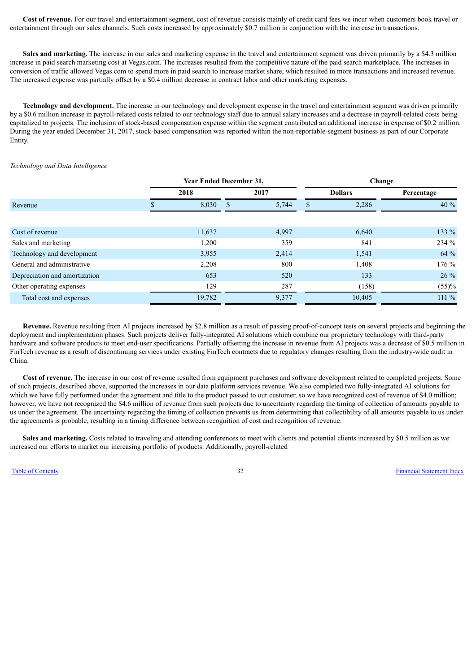**Cost of revenue.** For our travel and entertainment segment, cost of revenue consists mainly of credit card fees we incur when customers book travel or entertainment through our sales channels. Such costs increased by approximately \$0.7 million in conjunction with the increase in transactions.

**Sales and marketing.** The increase in our sales and marketing expense in the travel and entertainment segment was driven primarily by a \$4.3 million increase in paid search marketing cost at Vegas.com. The increases resulted from the competitive nature of the paid search marketplace. The increases in conversion of traffic allowed Vegas.com to spend more in paid search to increase market share, which resulted in more transactions and increased revenue. The increased expense was partially offset by a \$0.4 million decrease in contract labor and other marketing expenses.

**Technology and development.** The increase in our technology and development expense in the travel and entertainment segment was driven primarily by a \$0.6 million increase in payroll-related costs related to our technology staff due to annual salary increases and a decrease in payroll-related costs being capitalized to projects. The inclusion of stock-based compensation expense within the segment contributed an additional increase in expense of \$0.2 million. During the year ended December 31, 2017, stock-based compensation was reported within the non-reportable-segment business as part of our Corporate Entity.

#### *Technology and Data Intelligence*

|                               | <b>Year Ended December 31,</b> |                   | Change         |            |
|-------------------------------|--------------------------------|-------------------|----------------|------------|
|                               | 2018                           | 2017              | <b>Dollars</b> | Percentage |
| Revenue                       | 8,030                          | 5,744<br><b>S</b> | 2,286          | 40%        |
|                               |                                |                   |                |            |
| Cost of revenue               | 11,637                         | 4,997             | 6,640          | 133 %      |
| Sales and marketing           | 1,200                          | 359               | 841            | 234 %      |
| Technology and development    | 3,955                          | 2,414             | 1,541          | 64 %       |
| General and administrative    | 2,208                          | 800               | 1,408          | $176\%$    |
| Depreciation and amortization | 653                            | 520               | 133            | 26 %       |
| Other operating expenses      | 129                            | 287               | (158)          | (55)%      |
| Total cost and expenses       | 19,782                         | 9,377             | 10,405         | $111\%$    |

Revenue. Revenue resulting from AI projects increased by \$2.8 million as a result of passing proof-of-concept tests on several projects and beginning the deployment and implementation phases. Such projects deliver fully-integrated AI solutions which combine our proprietary technology with third-party hardware and software products to meet end-user specifications. Partially offsetting the increase in revenue from AI projects was a decrease of \$0.5 million in FinTech revenue as a result of discontinuing services under existing FinTech contracts due to regulatory changes resulting from the industry-wide audit in China.

**Cost of revenue.** The increase in our cost of revenue resulted from equipment purchases and software development related to completed projects. Some of such projects, described above, supported the increases in our data platform services revenue. We also completed two fully-integrated AI solutions for which we have fully performed under the agreement and title to the product passed to our customer, so we have recognized cost of revenue of \$4.0 million; however, we have not recognized the \$4.6 million of revenue from such projects due to uncertainty regarding the timing of collection of amounts payable to us under the agreement. The uncertainty regarding the timing of collection prevents us from determining that collectibility of all amounts payable to us under the agreements is probable, resulting in a timing difference between recognition of cost and recognition of revenue.

**Sales and marketing.** Costs related to traveling and attending conferences to meet with clients and potential clients increased by \$0.5 million as we increased our efforts to market our increasing portfolio of products. Additionally, payroll-related

[Table of Contents](#page-2-0) **32** [Financial Statement Index](#page-52-0) **Financial Statement Index**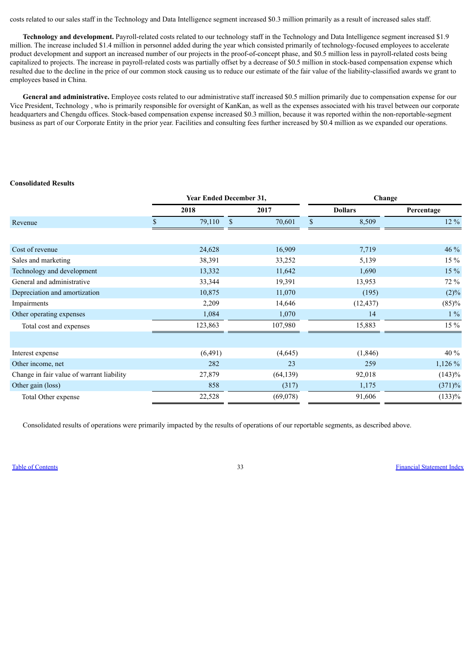costs related to our sales staff in the Technology and Data Intelligence segment increased \$0.3 million primarily as a result of increased sales staff.

**Technology and development.** Payroll-related costs related to our technology staff in the Technology and Data Intelligence segment increased \$1.9 million. The increase included \$1.4 million in personnel added during the year which consisted primarily of technology-focused employees to accelerate product development and support an increased number of our projects in the proof-of-concept phase, and \$0.5 million less in payroll-related costs being capitalized to projects. The increase in payroll-related costs was partially offset by a decrease of \$0.5 million in stock-based compensation expense which resulted due to the decline in the price of our common stock causing us to reduce our estimate of the fair value of the liability-classified awards we grant to employees based in China.

**General and administrative.** Employee costs related to our administrative staff increased \$0.5 million primarily due to compensation expense for our Vice President, Technology , who is primarily responsible for oversight of KanKan, as well as the expenses associated with his travel between our corporate headquarters and Chengdu offices. Stock-based compensation expense increased \$0.3 million, because it was reported within the non-reportable-segment business as part of our Corporate Entity in the prior year. Facilities and consulting fees further increased by \$0.4 million as we expanded our operations.

## **Consolidated Results**

|                                           |          | <b>Year Ended December 31,</b> | Change         |            |  |  |  |  |
|-------------------------------------------|----------|--------------------------------|----------------|------------|--|--|--|--|
|                                           | 2018     | 2017                           | <b>Dollars</b> | Percentage |  |  |  |  |
| Revenue                                   | 79,110   | S<br>70,601                    | 8,509          | $12 \%$    |  |  |  |  |
|                                           |          |                                |                |            |  |  |  |  |
| Cost of revenue                           | 24,628   | 16,909                         | 7,719          | 46 %       |  |  |  |  |
| Sales and marketing                       | 38,391   | 33,252                         | 5,139          | 15 %       |  |  |  |  |
| Technology and development                | 13,332   | 11,642                         | 1,690          | 15 %       |  |  |  |  |
| General and administrative                | 33,344   | 19,391                         | 13,953         | 72 %       |  |  |  |  |
| Depreciation and amortization             | 10,875   | 11,070                         | (195)          | $(2)\%$    |  |  |  |  |
| Impairments                               | 2,209    | 14,646                         | (12, 437)      | (85)%      |  |  |  |  |
| Other operating expenses                  | 1,084    | 1,070                          | 14             | $1\%$      |  |  |  |  |
| Total cost and expenses                   | 123,863  | 107,980                        | 15,883         | 15 %       |  |  |  |  |
|                                           |          |                                |                |            |  |  |  |  |
| Interest expense                          | (6, 491) | (4,645)                        | (1, 846)       | 40%        |  |  |  |  |
| Other income, net                         | 282      | 23                             | 259            | 1,126%     |  |  |  |  |
| Change in fair value of warrant liability | 27,879   | (64, 139)                      | 92,018         | $(143)\%$  |  |  |  |  |
| Other gain (loss)                         | 858      | (317)                          | 1,175          | $(371)\%$  |  |  |  |  |
| Total Other expense                       | 22,528   | (69,078)                       | 91,606         | (133)%     |  |  |  |  |

Consolidated results of operations were primarily impacted by the results of operations of our reportable segments, as described above.

[Table of Contents](#page-2-0) **Table of Contents** 33 [Financial Statement Index](#page-52-0)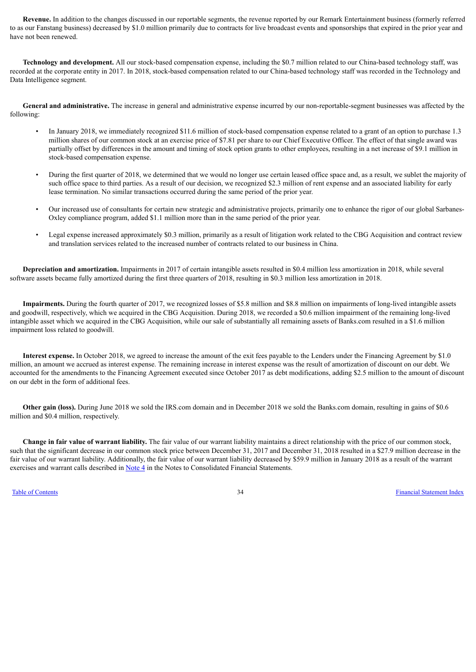**Revenue.** In addition to the changes discussed in our reportable segments, the revenue reported by our Remark Entertainment business (formerly referred to as our Fanstang business) decreased by \$1.0 million primarily due to contracts for live broadcast events and sponsorships that expired in the prior year and have not been renewed.

**Technology and development.** All our stock-based compensation expense, including the \$0.7 million related to our China-based technology staff, was recorded at the corporate entity in 2017. In 2018, stock-based compensation related to our China-based technology staff was recorded in the Technology and Data Intelligence segment.

**General and administrative.** The increase in general and administrative expense incurred by our non-reportable-segment businesses was affected by the following:

- In January 2018, we immediately recognized \$11.6 million of stock-based compensation expense related to a grant of an option to purchase 1.3 million shares of our common stock at an exercise price of \$7.81 per share to our Chief Executive Officer. The effect of that single award was partially offset by differences in the amount and timing of stock option grants to other employees, resulting in a net increase of \$9.1 million in stock-based compensation expense.
- During the first quarter of 2018, we determined that we would no longer use certain leased office space and, as a result, we sublet the majority of such office space to third parties. As a result of our decision, we recognized \$2.3 million of rent expense and an associated liability for early lease termination. No similar transactions occurred during the same period of the prior year.
- Our increased use of consultants for certain new strategic and administrative projects, primarily one to enhance the rigor of our global Sarbanes-Oxley compliance program, added \$1.1 million more than in the same period of the prior year.
- Legal expense increased approximately \$0.3 million, primarily as a result of litigation work related to the CBG Acquisition and contract review and translation services related to the increased number of contracts related to our business in China.

**Depreciation and amortization.** Impairments in 2017 of certain intangible assets resulted in \$0.4 million less amortization in 2018, while several software assets became fully amortized during the first three quarters of 2018, resulting in \$0.3 million less amortization in 2018.

**Impairments.** During the fourth quarter of 2017, we recognized losses of \$5.8 million and \$8.8 million on impairments of long-lived intangible assets and goodwill, respectively, which we acquired in the CBG Acquisition. During 2018, we recorded a \$0.6 million impairment of the remaining long-lived intangible asset which we acquired in the CBG Acquisition, while our sale of substantially all remaining assets of Banks.com resulted in a \$1.6 million impairment loss related to goodwill.

**Interest expense.** In October 2018, we agreed to increase the amount of the exit fees payable to the Lenders under the Financing Agreement by \$1.0 million, an amount we accrued as interest expense. The remaining increase in interest expense was the result of amortization of discount on our debt. We accounted for the amendments to the Financing Agreement executed since October 2017 as debt modifications, adding \$2.5 million to the amount of discount on our debt in the form of additional fees.

**Other gain (loss).** During June 2018 we sold the IRS.com domain and in December 2018 we sold the Banks.com domain, resulting in gains of \$0.6 million and \$0.4 million, respectively.

**Change in fair value of warrant liability.** The fair value of our warrant liability maintains a direct relationship with the price of our common stock, such that the significant decrease in our common stock price between December 31, 2017 and December 31, 2018 resulted in a \$27.9 million decrease in the fair value of our warrant liability. Additionally, the fair value of our warrant liability decreased by \$59.9 million in January 2018 as a result of the warrant exercises and warrant calls described in [Note](#page-67-0) 4 in the Notes to Consolidated Financial Statements.

[Table of Contents](#page-2-0) **34** [Financial Statement Index](#page-52-0) **34** Financial Statement Index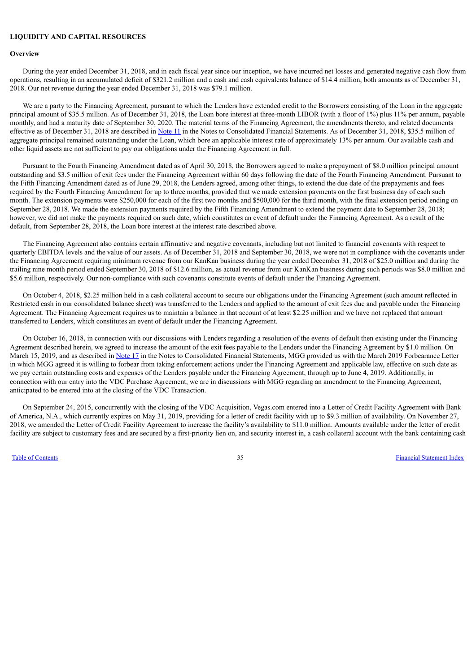## **LIQUIDITY AND CAPITAL RESOURCES**

#### **Overview**

During the year ended December 31, 2018, and in each fiscal year since our inception, we have incurred net losses and generated negative cash flow from operations, resulting in an accumulated deficit of \$321.2 million and a cash and cash equivalents balance of \$14.4 million, both amounts as of December 31, 2018. Our net revenue during the year ended December 31, 2018 was \$79.1 million.

We are a party to the Financing Agreement, pursuant to which the Lenders have extended credit to the Borrowers consisting of the Loan in the aggregate principal amount of \$35.5 million. As of December 31, 2018, the Loan bore interest at three-month LIBOR (with a floor of 1%) plus 11% per annum, payable monthly, and had a maturity date of September 30, 2020. The material terms of the Financing Agreement, the amendments thereto, and related documents effective as of December 31, 2018 are described in Note 11 in the Notes to Consolidated Financial Statements. As of December 31, 2018, \$35.5 million of aggregate principal remained outstanding under the Loan, which bore an applicable interest rate of approximately 13% per annum. Our available cash and other liquid assets are not sufficient to pay our obligations under the Financing Agreement in full.

Pursuant to the Fourth Financing Amendment dated as of April 30, 2018, the Borrowers agreed to make a prepayment of \$8.0 million principal amount outstanding and \$3.5 million of exit fees under the Financing Agreement within 60 days following the date of the Fourth Financing Amendment. Pursuant to the Fifth Financing Amendment dated as of June 29, 2018, the Lenders agreed, among other things, to extend the due date of the prepayments and fees required by the Fourth Financing Amendment for up to three months, provided that we made extension payments on the first business day of each such month. The extension payments were \$250,000 for each of the first two months and \$500,000 for the third month, with the final extension period ending on September 28, 2018. We made the extension payments required by the Fifth Financing Amendment to extend the payment date to September 28, 2018; however, we did not make the payments required on such date, which constitutes an event of default under the Financing Agreement. As a result of the default, from September 28, 2018, the Loan bore interest at the interest rate described above.

The Financing Agreement also contains certain affirmative and negative covenants, including but not limited to financial covenants with respect to quarterly EBITDA levels and the value of our assets. As of December 31, 2018 and September 30, 2018, we were not in compliance with the covenants under the Financing Agreement requiring minimum revenue from our KanKan business during the year ended December 31, 2018 of \$25.0 million and during the trailing nine month period ended September 30, 2018 of \$12.6 million, as actual revenue from our KanKan business during such periods was \$8.0 million and \$5.6 million, respectively. Our non-compliance with such covenants constitute events of default under the Financing Agreement.

On October 4, 2018, \$2.25 million held in a cash collateral account to secure our obligations under the Financing Agreement (such amount reflected in Restricted cash in our consolidated balance sheet) was transferred to the Lenders and applied to the amount of exit fees due and payable under the Financing Agreement. The Financing Agreement requires us to maintain a balance in that account of at least \$2.25 million and we have not replaced that amount transferred to Lenders, which constitutes an event of default under the Financing Agreement.

On October 16, 2018, in connection with our discussions with Lenders regarding a resolution of the events of default then existing under the Financing Agreement described herein, we agreed to increase the amount of the exit fees payable to the Lenders under the Financing Agreement by \$1.0 million. On March 15, 2019, and as described in [Note](#page-86-0) 17 in the Notes to Consolidated Financial Statements, MGG provided us with the March 2019 Forbearance Letter in which MGG agreed it is willing to forbear from taking enforcement actions under the Financing Agreement and applicable law, effective on such date as we pay certain outstanding costs and expenses of the Lenders payable under the Financing Agreement, through up to June 4, 2019. Additionally, in connection with our entry into the VDC Purchase Agreement, we are in discussions with MGG regarding an amendment to the Financing Agreement, anticipated to be entered into at the closing of the VDC Transaction.

On September 24, 2015, concurrently with the closing of the VDC Acquisition, Vegas.com entered into a Letter of Credit Facility Agreement with Bank of America, N.A., which currently expires on May 31, 2019, providing for a letter of credit facility with up to \$9.3 million of availability. On November 27, 2018, we amended the Letter of Credit Facility Agreement to increase the facility's availability to \$11.0 million. Amounts available under the letter of credit facility are subject to customary fees and are secured by a first-priority lien on, and security interest in, a cash collateral account with the bank containing cash

[Table of Contents](#page-2-0) **[Financial Statement Index](#page-52-0)** 35 **Financial Statement Index**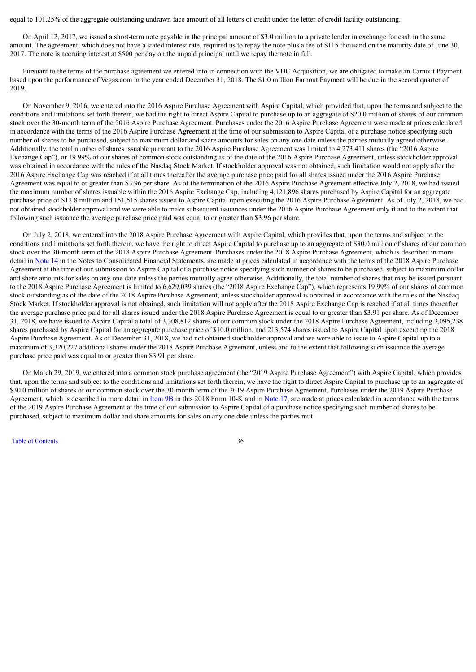equal to 101.25% of the aggregate outstanding undrawn face amount of all letters of credit under the letter of credit facility outstanding.

On April 12, 2017, we issued a short-term note payable in the principal amount of \$3.0 million to a private lender in exchange for cash in the same amount. The agreement, which does not have a stated interest rate, required us to repay the note plus a fee of \$115 thousand on the maturity date of June 30, 2017. The note is accruing interest at \$500 per day on the unpaid principal until we repay the note in full.

Pursuant to the terms of the purchase agreement we entered into in connection with the VDC Acquisition, we are obligated to make an Earnout Payment based upon the performance of Vegas.com in the year ended December 31, 2018. The \$1.0 million Earnout Payment will be due in the second quarter of 2019.

On November 9, 2016, we entered into the 2016 Aspire Purchase Agreement with Aspire Capital, which provided that, upon the terms and subject to the conditions and limitations set forth therein, we had the right to direct Aspire Capital to purchase up to an aggregate of \$20.0 million of shares of our common stock over the 30-month term of the 2016 Aspire Purchase Agreement. Purchases under the 2016 Aspire Purchase Agreement were made at prices calculated in accordance with the terms of the 2016 Aspire Purchase Agreement at the time of our submission to Aspire Capital of a purchase notice specifying such number of shares to be purchased, subject to maximum dollar and share amounts for sales on any one date unless the parties mutually agreed otherwise. Additionally, the total number of shares issuable pursuant to the 2016 Aspire Purchase Agreement was limited to 4,273,411 shares (the "2016 Aspire Exchange Cap"), or 19.99% of our shares of common stock outstanding as of the date of the 2016 Aspire Purchase Agreement, unless stockholder approval was obtained in accordance with the rules of the Nasdaq Stock Market. If stockholder approval was not obtained, such limitation would not apply after the 2016 Aspire Exchange Cap was reached if at all times thereafter the average purchase price paid for all shares issued under the 2016 Aspire Purchase Agreement was equal to or greater than \$3.96 per share. As of the termination of the 2016 Aspire Purchase Agreement effective July 2, 2018, we had issued the maximum number of shares issuable within the 2016 Aspire Exchange Cap, including 4,121,896 shares purchased by Aspire Capital for an aggregate purchase price of \$12.8 million and 151,515 shares issued to Aspire Capital upon executing the 2016 Aspire Purchase Agreement. As of July 2, 2018, we had not obtained stockholder approval and we were able to make subsequent issuances under the 2016 Aspire Purchase Agreement only if and to the extent that following such issuance the average purchase price paid was equal to or greater than \$3.96 per share.

On July 2, 2018, we entered into the 2018 Aspire Purchase Agreement with Aspire Capital, which provides that, upon the terms and subject to the conditions and limitations set forth therein, we have the right to direct Aspire Capital to purchase up to an aggregate of \$30.0 million of shares of our common stock over the 30-month term of the 2018 Aspire Purchase Agreement. Purchases under the 2018 Aspire Purchase Agreement, which is described in more detail in Note 14 in the Notes to Consolidated Financial Statements, are made at prices calculated in accordance with the terms of the 2018 Aspire Purchase Agreement at the time of our submission to Aspire Capital of a purchase notice specifying such number of shares to be purchased, subject to maximum dollar and share amounts for sales on any one date unless the parties mutually agree otherwise. Additionally, the total number of shares that may be issued pursuant to the 2018 Aspire Purchase Agreement is limited to 6,629,039 shares (the "2018 Aspire Exchange Cap"), which represents 19.99% of our shares of common stock outstanding as of the date of the 2018 Aspire Purchase Agreement, unless stockholder approval is obtained in accordance with the rules of the Nasdaq Stock Market. If stockholder approval is not obtained, such limitation will not apply after the 2018 Aspire Exchange Cap is reached if at all times thereafter the average purchase price paid for all shares issued under the 2018 Aspire Purchase Agreement is equal to or greater than \$3.91 per share. As of December 31, 2018, we have issued to Aspire Capital a total of 3,308,812 shares of our common stock under the 2018 Aspire Purchase Agreement, including 3,095,238 shares purchased by Aspire Capital for an aggregate purchase price of \$10.0 million, and 213,574 shares issued to Aspire Capital upon executing the 2018 Aspire Purchase Agreement. As of December 31, 2018, we had not obtained stockholder approval and we were able to issue to Aspire Capital up to a maximum of 3,320,227 additional shares under the 2018 Aspire Purchase Agreement, unless and to the extent that following such issuance the average purchase price paid was equal to or greater than \$3.91 per share.

On March 29, 2019, we entered into a common stock purchase agreement (the "2019 Aspire Purchase Agreement") with Aspire Capital, which provides that, upon the terms and subject to the conditions and limitations set forth therein, we have the right to direct Aspire Capital to purchase up to an aggregate of \$30.0 million of shares of our common stock over the 30-month term of the 2019 Aspire Purchase Agreement. Purchases under the 2019 Aspire Purchase Agreement, which is described in more detail in [Item](#page-44-0) 9B in this 2018 Form 10-K and in [Note](#page-86-0) 17, are made at prices calculated in accordance with the terms of the 2019 Aspire Purchase Agreement at the time of our submission to Aspire Capital of a purchase notice specifying such number of shares to be purchased, subject to maximum dollar and share amounts for sales on any one date unless the parties mut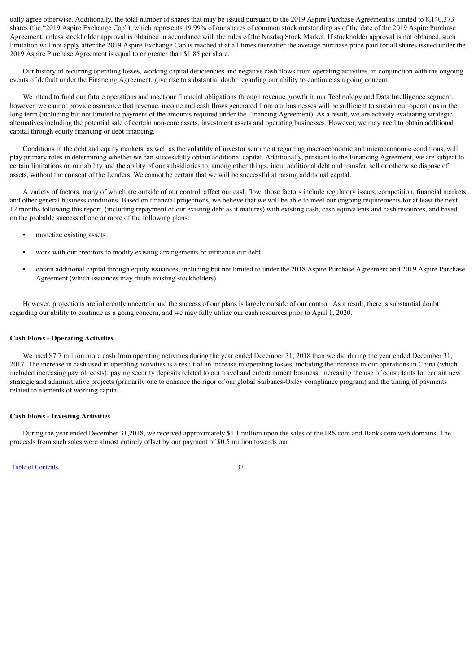ually agree otherwise. Additionally, the total number of shares that may be issued pursuant to the 2019 Aspire Purchase Agreement is limited to 8,140,373 shares (the "2019 Aspire Exchange Cap"), which represents 19.99% of our shares of common stock outstanding as of the date of the 2019 Aspire Purchase Agreement, unless stockholder approval is obtained in accordance with the rules of the Nasdaq Stock Market. If stockholder approval is not obtained, such limitation will not apply after the 2019 Aspire Exchange Cap is reached if at all times thereafter the average purchase price paid for all shares issued under the 2019 Aspire Purchase Agreement is equal to or greater than \$1.85 per share.

Our history of recurring operating losses, working capital deficiencies and negative cash flows from operating activities, in conjunction with the ongoing events of default under the Financing Agreement, give rise to substantial doubt regarding our ability to continue as a going concern.

We intend to fund our future operations and meet our financial obligations through revenue growth in our Technology and Data Intelligence segment; however, we cannot provide assurance that revenue, income and cash flows generated from our businesses will be sufficient to sustain our operations in the long term (including but not limited to payment of the amounts required under the Financing Agreement). As a result, we are actively evaluating strategic alternatives including the potential sale of certain non-core assets, investment assets and operating businesses. However, we may need to obtain additional capital through equity financing or debt financing.

Conditions in the debt and equity markets, as well as the volatility of investor sentiment regarding macroeconomic and microeconomic conditions, will play primary roles in determining whether we can successfully obtain additional capital. Additionally, pursuant to the Financing Agreement, we are subject to certain limitations on our ability and the ability of our subsidiaries to, among other things, incur additional debt and transfer, sell or otherwise dispose of assets, without the consent of the Lenders. We cannot be certain that we will be successful at raising additional capital.

A variety of factors, many of which are outside of our control, affect our cash flow; those factors include regulatory issues, competition, financial markets and other general business conditions. Based on financial projections, we believe that we will be able to meet our ongoing requirements for at least the next 12 months following this report, (including repayment of our existing debt as it matures) with existing cash, cash equivalents and cash resources, and based on the probable success of one or more of the following plans:

- monetize existing assets
- work with our creditors to modify existing arrangements or refinance our debt
- obtain additional capital through equity issuances, including but not limited to under the 2018 Aspire Purchase Agreement and 2019 Aspire Purchase Agreement (which issuances may dilute existing stockholders)

However, projections are inherently uncertain and the success of our plans is largely outside of our control. As a result, there is substantial doubt regarding our ability to continue as a going concern, and we may fully utilize our cash resources prior to April 1, 2020.

## **Cash Flows - Operating Activities**

We used \$7.7 million more cash from operating activities during the year ended December 31, 2018 than we did during the year ended December 31, 2017. The increase in cash used in operating activities is a result of an increase in operating losses, including the increase in our operations in China (which included increasing payroll costs); paying security deposits related to our travel and entertainment business; increasing the use of consultants for certain new strategic and administrative projects (primarily one to enhance the rigor of our global Sarbanes-Oxley compliance program) and the timing of payments related to elements of working capital.

### **Cash Flows - Investing Activities**

During the year ended December 31,2018, we received approximately \$1.1 million upon the sales of the IRS.com and Banks.com web domains. The proceeds from such sales were almost entirely offset by our payment of \$0.5 million towards our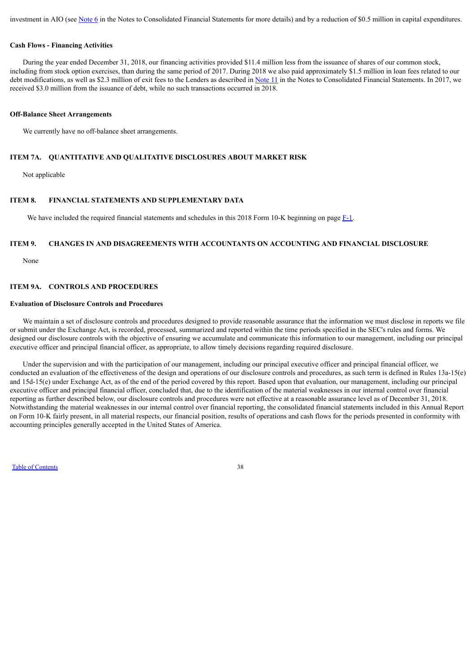investment in AIO (see Note 6 in the Notes to Consolidated Financial Statements for more details) and by a reduction of \$0.5 million in capital expenditures.

#### **Cash Flows - Financing Activities**

During the year ended December 31, 2018, our financing activities provided \$11.4 million less from the issuance of shares of our common stock, including from stock option exercises, than during the same period of 2017. During 2018 we also paid approximately \$1.5 million in loan fees related to our debt modifications, as well as \$2.3 million of exit fees to the Lenders as described in [Note](#page-76-0) 11 in the Notes to Consolidated Financial Statements. In 2017, we received \$3.0 million from the issuance of debt, while no such transactions occurred in 2018.

#### **Off-Balance Sheet Arrangements**

We currently have no off-balance sheet arrangements.

## **ITEM 7A. QUANTITATIVE AND QUALITATIVE DISCLOSURES ABOUT MARKET RISK**

Not applicable

## **ITEM 8. FINANCIAL STATEMENTS AND SUPPLEMENTARY DATA**

We have included the required financial statements and schedules in this 2018 Form 10-K beginning on page  $F-1$ .

## **ITEM 9. CHANGES IN AND DISAGREEMENTS WITH ACCOUNTANTS ON ACCOUNTING AND FINANCIAL DISCLOSURE**

None

### **ITEM 9A. CONTROLS AND PROCEDURES**

#### **Evaluation of Disclosure Controls and Procedures**

We maintain a set of disclosure controls and procedures designed to provide reasonable assurance that the information we must disclose in reports we file or submit under the Exchange Act, is recorded, processed, summarized and reported within the time periods specified in the SEC's rules and forms. We designed our disclosure controls with the objective of ensuring we accumulate and communicate this information to our management, including our principal executive officer and principal financial officer, as appropriate, to allow timely decisions regarding required disclosure.

Under the supervision and with the participation of our management, including our principal executive officer and principal financial officer, we conducted an evaluation of the effectiveness of the design and operations of our disclosure controls and procedures, as such term is defined in Rules 13a-15(e) and 15d-15(e) under Exchange Act, as of the end of the period covered by this report. Based upon that evaluation, our management, including our principal executive officer and principal financial officer, concluded that, due to the identification of the material weaknesses in our internal control over financial reporting as further described below, our disclosure controls and procedures were not effective at a reasonable assurance level as of December 31, 2018. Notwithstanding the material weaknesses in our internal control over financial reporting, the consolidated financial statements included in this Annual Report on Form 10-K fairly present, in all material respects, our financial position, results of operations and cash flows for the periods presented in conformity with accounting principles generally accepted in the United States of America.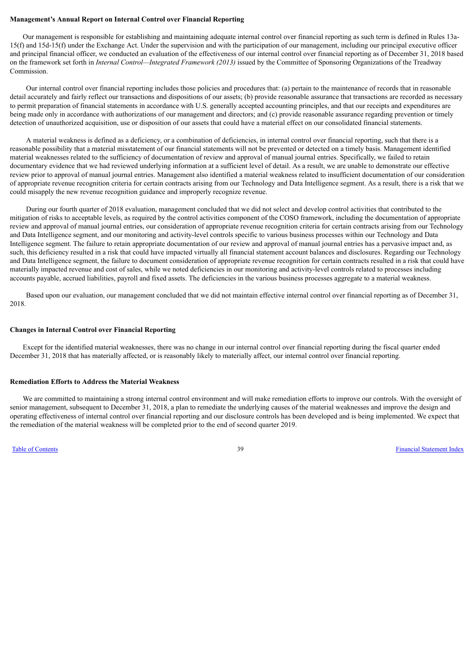#### **Management's Annual Report on Internal Control over Financial Reporting**

Our management is responsible for establishing and maintaining adequate internal control over financial reporting as such term is defined in Rules 13a-15(f) and 15d-15(f) under the Exchange Act. Under the supervision and with the participation of our management, including our principal executive officer and principal financial officer, we conducted an evaluation of the effectiveness of our internal control over financial reporting as of December 31, 2018 based on the framework set forth in *Internal Control—Integrated Framework (2013)* issued by the Committee of Sponsoring Organizations of the Treadway Commission.

Our internal control over financial reporting includes those policies and procedures that: (a) pertain to the maintenance of records that in reasonable detail accurately and fairly reflect our transactions and dispositions of our assets; (b) provide reasonable assurance that transactions are recorded as necessary to permit preparation of financial statements in accordance with U.S. generally accepted accounting principles, and that our receipts and expenditures are being made only in accordance with authorizations of our management and directors; and (c) provide reasonable assurance regarding prevention or timely detection of unauthorized acquisition, use or disposition of our assets that could have a material effect on our consolidated financial statements.

A material weakness is defined as a deficiency, or a combination of deficiencies, in internal control over financial reporting, such that there is a reasonable possibility that a material misstatement of our financial statements will not be prevented or detected on a timely basis. Management identified material weaknesses related to the sufficiency of documentation of review and approval of manual journal entries. Specifically, we failed to retain documentary evidence that we had reviewed underlying information at a sufficient level of detail. As a result, we are unable to demonstrate our effective review prior to approval of manual journal entries. Management also identified a material weakness related to insufficient documentation of our consideration of appropriate revenue recognition criteria for certain contracts arising from our Technology and Data Intelligence segment. As a result, there is a risk that we could misapply the new revenue recognition guidance and improperly recognize revenue.

During our fourth quarter of 2018 evaluation, management concluded that we did not select and develop control activities that contributed to the mitigation of risks to acceptable levels, as required by the control activities component of the COSO framework, including the documentation of appropriate review and approval of manual journal entries, our consideration of appropriate revenue recognition criteria for certain contracts arising from our Technology and Data Intelligence segment, and our monitoring and activity-level controls specific to various business processes within our Technology and Data Intelligence segment. The failure to retain appropriate documentation of our review and approval of manual journal entries has a pervasive impact and, as such, this deficiency resulted in a risk that could have impacted virtually all financial statement account balances and disclosures. Regarding our Technology and Data Intelligence segment, the failure to document consideration of appropriate revenue recognition for certain contracts resulted in a risk that could have materially impacted revenue and cost of sales, while we noted deficiencies in our monitoring and activity-level controls related to processes including accounts payable, accrued liabilities, payroll and fixed assets. The deficiencies in the various business processes aggregate to a material weakness.

Based upon our evaluation, our management concluded that we did not maintain effective internal control over financial reporting as of December 31, 2018.

## **Changes in Internal Control over Financial Reporting**

Except for the identified material weaknesses, there was no change in our internal control over financial reporting during the fiscal quarter ended December 31, 2018 that has materially affected, or is reasonably likely to materially affect, our internal control over financial reporting.

## **Remediation Efforts to Address the Material Weakness**

We are committed to maintaining a strong internal control environment and will make remediation efforts to improve our controls. With the oversight of senior management, subsequent to December 31, 2018, a plan to remediate the underlying causes of the material weaknesses and improve the design and operating effectiveness of internal control over financial reporting and our disclosure controls has been developed and is being implemented. We expect that the remediation of the material weakness will be completed prior to the end of second quarter 2019.

[Table of Contents](#page-2-0) **Table of Contents** 39 [Financial Statement Index](#page-52-0)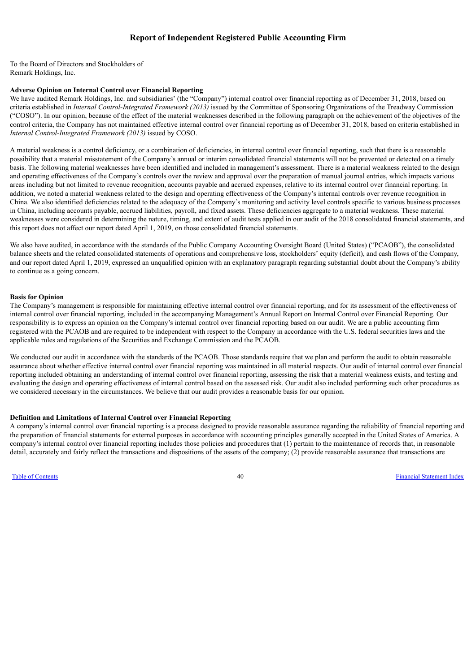# **Report of Independent Registered Public Accounting Firm**

To the Board of Directors and Stockholders of Remark Holdings, Inc.

## **Adverse Opinion on Internal Control over Financial Reporting**

We have audited Remark Holdings, Inc. and subsidiaries' (the "Company") internal control over financial reporting as of December 31, 2018, based on criteria established in *Internal Control-Integrated Framework (2013)* issued by the Committee of Sponsoring Organizations of the Treadway Commission ("COSO"). In our opinion, because of the effect of the material weaknesses described in the following paragraph on the achievement of the objectives of the control criteria, the Company has not maintained effective internal control over financial reporting as of December 31, 2018, based on criteria established in *Internal Control-Integrated Framework (2013)* issued by COSO.

A material weakness is a control deficiency, or a combination of deficiencies, in internal control over financial reporting, such that there is a reasonable possibility that a material misstatement of the Company's annual or interim consolidated financial statements will not be prevented or detected on a timely basis. The following material weaknesses have been identified and included in management's assessment. There is a material weakness related to the design and operating effectiveness of the Company's controls over the review and approval over the preparation of manual journal entries, which impacts various areas including but not limited to revenue recognition, accounts payable and accrued expenses, relative to its internal control over financial reporting. In addition, we noted a material weakness related to the design and operating effectiveness of the Company's internal controls over revenue recognition in China. We also identified deficiencies related to the adequacy of the Company's monitoring and activity level controls specific to various business processes in China, including accounts payable, accrued liabilities, payroll, and fixed assets. These deficiencies aggregate to a material weakness. These material weaknesses were considered in determining the nature, timing, and extent of audit tests applied in our audit of the 2018 consolidated financial statements, and this report does not affect our report dated April 1, 2019, on those consolidated financial statements.

We also have audited, in accordance with the standards of the Public Company Accounting Oversight Board (United States) ("PCAOB"), the consolidated balance sheets and the related consolidated statements of operations and comprehensive loss, stockholders' equity (deficit), and cash flows of the Company, and our report dated April 1, 2019, expressed an unqualified opinion with an explanatory paragraph regarding substantial doubt about the Company's ability to continue as a going concern.

### **Basis for Opinion**

The Company's management is responsible for maintaining effective internal control over financial reporting, and for its assessment of the effectiveness of internal control over financial reporting, included in the accompanying Management's Annual Report on Internal Control over Financial Reporting. Our responsibility is to express an opinion on the Company's internal control over financial reporting based on our audit. We are a public accounting firm registered with the PCAOB and are required to be independent with respect to the Company in accordance with the U.S. federal securities laws and the applicable rules and regulations of the Securities and Exchange Commission and the PCAOB.

We conducted our audit in accordance with the standards of the PCAOB. Those standards require that we plan and perform the audit to obtain reasonable assurance about whether effective internal control over financial reporting was maintained in all material respects. Our audit of internal control over financial reporting included obtaining an understanding of internal control over financial reporting, assessing the risk that a material weakness exists, and testing and evaluating the design and operating effectiveness of internal control based on the assessed risk. Our audit also included performing such other procedures as we considered necessary in the circumstances. We believe that our audit provides a reasonable basis for our opinion.

## **Definition and Limitations of Internal Control over Financial Reporting**

A company's internal control over financial reporting is a process designed to provide reasonable assurance regarding the reliability of financial reporting and the preparation of financial statements for external purposes in accordance with accounting principles generally accepted in the United States of America. A company's internal control over financial reporting includes those policies and procedures that (1) pertain to the maintenance of records that, in reasonable detail, accurately and fairly reflect the transactions and dispositions of the assets of the company; (2) provide reasonable assurance that transactions are

[Table of Contents](#page-2-0) **[Financial Statement Index](#page-52-0)** 40 Financial Statement Index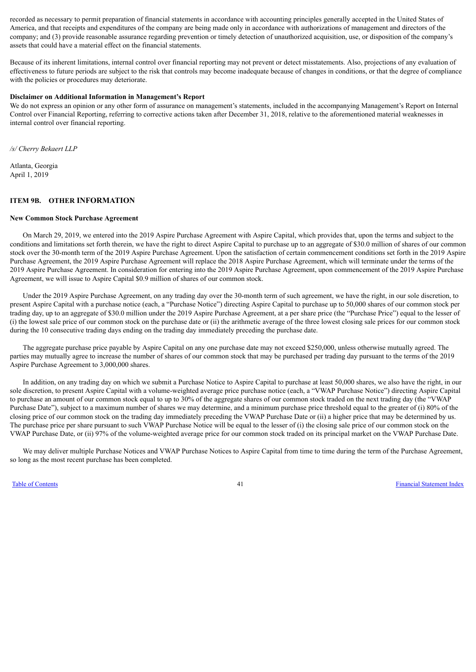recorded as necessary to permit preparation of financial statements in accordance with accounting principles generally accepted in the United States of America, and that receipts and expenditures of the company are being made only in accordance with authorizations of management and directors of the company; and (3) provide reasonable assurance regarding prevention or timely detection of unauthorized acquisition, use, or disposition of the company's assets that could have a material effect on the financial statements.

Because of its inherent limitations, internal control over financial reporting may not prevent or detect misstatements. Also, projections of any evaluation of effectiveness to future periods are subject to the risk that controls may become inadequate because of changes in conditions, or that the degree of compliance with the policies or procedures may deteriorate.

#### **Disclaimer on Additional Information in Management's Report**

We do not express an opinion or any other form of assurance on management's statements, included in the accompanying Management's Report on Internal Control over Financial Reporting, referring to corrective actions taken after December 31, 2018, relative to the aforementioned material weaknesses in internal control over financial reporting.

*/s/ Cherry Bekaert LLP*

Atlanta, Georgia April 1, 2019

## <span id="page-44-0"></span>**ITEM 9B. OTHER INFORMATION**

#### **New Common Stock Purchase Agreement**

On March 29, 2019, we entered into the 2019 Aspire Purchase Agreement with Aspire Capital, which provides that, upon the terms and subject to the conditions and limitations set forth therein, we have the right to direct Aspire Capital to purchase up to an aggregate of \$30.0 million of shares of our common stock over the 30-month term of the 2019 Aspire Purchase Agreement. Upon the satisfaction of certain commencement conditions set forth in the 2019 Aspire Purchase Agreement, the 2019 Aspire Purchase Agreement will replace the 2018 Aspire Purchase Agreement, which will terminate under the terms of the 2019 Aspire Purchase Agreement. In consideration for entering into the 2019 Aspire Purchase Agreement, upon commencement of the 2019 Aspire Purchase Agreement, we will issue to Aspire Capital \$0.9 million of shares of our common stock.

Under the 2019 Aspire Purchase Agreement, on any trading day over the 30-month term of such agreement, we have the right, in our sole discretion, to present Aspire Capital with a purchase notice (each, a "Purchase Notice") directing Aspire Capital to purchase up to 50,000 shares of our common stock per trading day, up to an aggregate of \$30.0 million under the 2019 Aspire Purchase Agreement, at a per share price (the "Purchase Price") equal to the lesser of (i) the lowest sale price of our common stock on the purchase date or (ii) the arithmetic average of the three lowest closing sale prices for our common stock during the 10 consecutive trading days ending on the trading day immediately preceding the purchase date.

The aggregate purchase price payable by Aspire Capital on any one purchase date may not exceed \$250,000, unless otherwise mutually agreed. The parties may mutually agree to increase the number of shares of our common stock that may be purchased per trading day pursuant to the terms of the 2019 Aspire Purchase Agreement to 3,000,000 shares.

In addition, on any trading day on which we submit a Purchase Notice to Aspire Capital to purchase at least 50,000 shares, we also have the right, in our sole discretion, to present Aspire Capital with a volume-weighted average price purchase notice (each, a "VWAP Purchase Notice") directing Aspire Capital to purchase an amount of our common stock equal to up to 30% of the aggregate shares of our common stock traded on the next trading day (the "VWAP Purchase Date"), subject to a maximum number of shares we may determine, and a minimum purchase price threshold equal to the greater of (i) 80% of the closing price of our common stock on the trading day immediately preceding the VWAP Purchase Date or (ii) a higher price that may be determined by us. The purchase price per share pursuant to such VWAP Purchase Notice will be equal to the lesser of (i) the closing sale price of our common stock on the VWAP Purchase Date, or (ii) 97% of the volume-weighted average price for our common stock traded on its principal market on the VWAP Purchase Date.

We may deliver multiple Purchase Notices and VWAP Purchase Notices to Aspire Capital from time to time during the term of the Purchase Agreement, so long as the most recent purchase has been completed.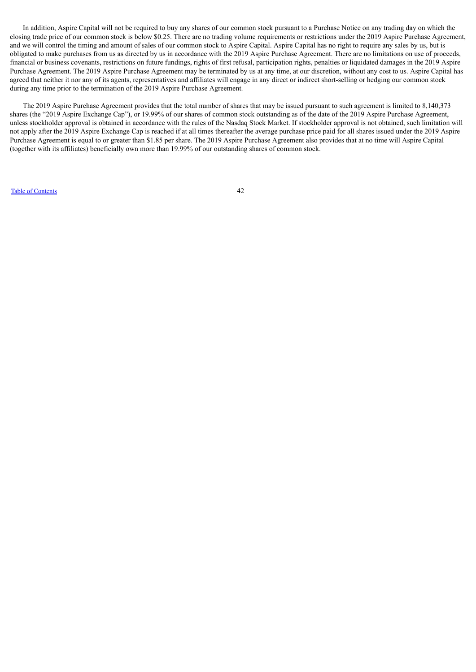In addition, Aspire Capital will not be required to buy any shares of our common stock pursuant to a Purchase Notice on any trading day on which the closing trade price of our common stock is below \$0.25. There are no trading volume requirements or restrictions under the 2019 Aspire Purchase Agreement, and we will control the timing and amount of sales of our common stock to Aspire Capital. Aspire Capital has no right to require any sales by us, but is obligated to make purchases from us as directed by us in accordance with the 2019 Aspire Purchase Agreement. There are no limitations on use of proceeds, financial or business covenants, restrictions on future fundings, rights of first refusal, participation rights, penalties or liquidated damages in the 2019 Aspire Purchase Agreement. The 2019 Aspire Purchase Agreement may be terminated by us at any time, at our discretion, without any cost to us. Aspire Capital has agreed that neither it nor any of its agents, representatives and affiliates will engage in any direct or indirect short-selling or hedging our common stock during any time prior to the termination of the 2019 Aspire Purchase Agreement.

The 2019 Aspire Purchase Agreement provides that the total number of shares that may be issued pursuant to such agreement is limited to 8,140,373 shares (the "2019 Aspire Exchange Cap"), or 19.99% of our shares of common stock outstanding as of the date of the 2019 Aspire Purchase Agreement, unless stockholder approval is obtained in accordance with the rules of the Nasdaq Stock Market. If stockholder approval is not obtained, such limitation will not apply after the 2019 Aspire Exchange Cap is reached if at all times thereafter the average purchase price paid for all shares issued under the 2019 Aspire Purchase Agreement is equal to or greater than \$1.85 per share. The 2019 Aspire Purchase Agreement also provides that at no time will Aspire Capital (together with its affiliates) beneficially own more than 19.99% of our outstanding shares of common stock.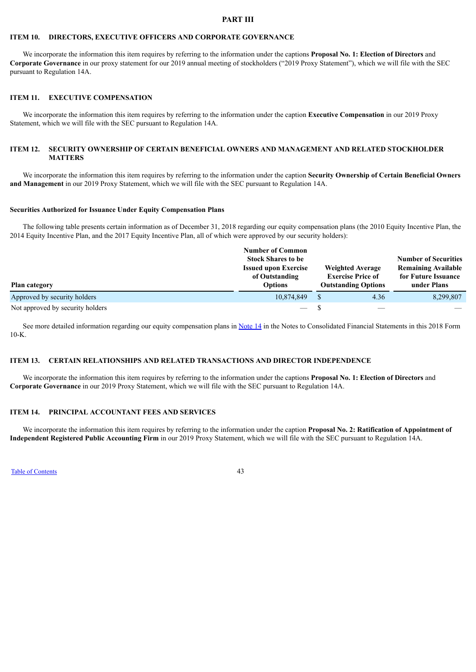### **PART III**

#### **ITEM 10. DIRECTORS, EXECUTIVE OFFICERS AND CORPORATE GOVERNANCE**

We incorporate the information this item requires by referring to the information under the captions **Proposal No. 1: Election of Directors** and **Corporate Governance** in our proxy statement for our 2019 annual meeting of stockholders ("2019 Proxy Statement"), which we will file with the SEC pursuant to Regulation 14A.

### **ITEM 11. EXECUTIVE COMPENSATION**

We incorporate the information this item requires by referring to the information under the caption **Executive Compensation** in our 2019 Proxy Statement, which we will file with the SEC pursuant to Regulation 14A.

## **ITEM 12. SECURITY OWNERSHIP OF CERTAIN BENEFICIAL OWNERS AND MANAGEMENT AND RELATED STOCKHOLDER MATTERS**

We incorporate the information this item requires by referring to the information under the caption **Security Ownership of Certain Beneficial Owners and Management** in our 2019 Proxy Statement, which we will file with the SEC pursuant to Regulation 14A.

#### **Securities Authorized for Issuance Under Equity Compensation Plans**

The following table presents certain information as of December 31, 2018 regarding our equity compensation plans (the 2010 Equity Incentive Plan, the 2014 Equity Incentive Plan, and the 2017 Equity Incentive Plan, all of which were approved by our security holders):

| Plan category                    | <b>Number of Common</b><br><b>Stock Shares to be</b><br><b>Issued upon Exercise</b><br>of Outstanding<br><b>Options</b> | <b>Weighted Average</b><br><b>Exercise Price of</b><br><b>Outstanding Options</b> | <b>Number of Securities</b><br><b>Remaining Available</b><br>for Future Issuance<br>under Plans |
|----------------------------------|-------------------------------------------------------------------------------------------------------------------------|-----------------------------------------------------------------------------------|-------------------------------------------------------------------------------------------------|
| Approved by security holders     | 10,874,849                                                                                                              | 4.36                                                                              | 8,299,807                                                                                       |
| Not approved by security holders | $\overbrace{\phantom{13333}}$                                                                                           |                                                                                   |                                                                                                 |

See more detailed information regarding our equity compensation plans in [Note](#page-80-0) 14 in the Notes to Consolidated Financial Statements in this 2018 Form  $10-K$ 

### **ITEM 13. CERTAIN RELATIONSHIPS AND RELATED TRANSACTIONS AND DIRECTOR INDEPENDENCE**

We incorporate the information this item requires by referring to the information under the captions **Proposal No. 1: Election of Directors** and **Corporate Governance** in our 2019 Proxy Statement, which we will file with the SEC pursuant to Regulation 14A.

### **ITEM 14. PRINCIPAL ACCOUNTANT FEES AND SERVICES**

We incorporate the information this item requires by referring to the information under the caption **Proposal No. 2: Ratification of Appointment of Independent Registered Public Accounting Firm** in our 2019 Proxy Statement, which we will file with the SEC pursuant to Regulation 14A.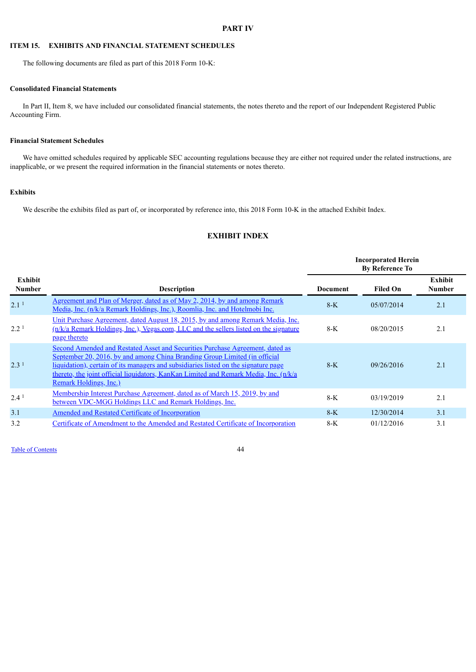## **ITEM 15. EXHIBITS AND FINANCIAL STATEMENT SCHEDULES**

The following documents are filed as part of this 2018 Form 10-K:

#### **Consolidated Financial Statements**

In Part II, Item 8, we have included our consolidated financial statements, the notes thereto and the report of our Independent Registered Public Accounting Firm.

### **Financial Statement Schedules**

We have omitted schedules required by applicable SEC accounting regulations because they are either not required under the related instructions, are inapplicable, or we present the required information in the financial statements or notes thereto.

## **Exhibits**

We describe the exhibits filed as part of, or incorporated by reference into, this 2018 Form 10-K in the attached Exhibit Index.

# **EXHIBIT INDEX**

|                          |                                                                                                                                                                                                                                                                                                                                                                       | <b>Incorporated Herein</b><br><b>By Reference To</b> |                 |                          |  |  |
|--------------------------|-----------------------------------------------------------------------------------------------------------------------------------------------------------------------------------------------------------------------------------------------------------------------------------------------------------------------------------------------------------------------|------------------------------------------------------|-----------------|--------------------------|--|--|
| Exhibit<br><b>Number</b> | <b>Description</b>                                                                                                                                                                                                                                                                                                                                                    | <b>Document</b>                                      | <b>Filed On</b> | Exhibit<br><b>Number</b> |  |  |
| 2.1 <sup>1</sup>         | Agreement and Plan of Merger, dated as of May 2, 2014, by and among Remark<br>Media, Inc. (n/k/a Remark Holdings, Inc.), Roomlia, Inc. and Hotelmobi Inc.                                                                                                                                                                                                             | $8-K$                                                | 05/07/2014      | 2.1                      |  |  |
| 2.2 <sup>1</sup>         | Unit Purchase Agreement, dated August 18, 2015, by and among Remark Media, Inc.<br>(n/k/a Remark Holdings, Inc.), Vegas.com, LLC and the sellers listed on the signature<br>page thereto                                                                                                                                                                              | $8-K$                                                | 08/20/2015      | 2.1                      |  |  |
| 2.3 <sup>1</sup>         | Second Amended and Restated Asset and Securities Purchase Agreement, dated as<br>September 20, 2016, by and among China Branding Group Limited (in official<br>liquidation), certain of its managers and subsidiaries listed on the signature page<br>thereto, the joint official liquidators, KanKan Limited and Remark Media, Inc. (n/k/a<br>Remark Holdings, Inc.) | $8-K$                                                | 09/26/2016      | 2.1                      |  |  |
| 2.4 <sup>1</sup>         | Membership Interest Purchase Agreement, dated as of March 15, 2019, by and<br>between VDC-MGG Holdings LLC and Remark Holdings, Inc.                                                                                                                                                                                                                                  | $8-K$                                                | 03/19/2019      | 2.1                      |  |  |
| 3.1                      | Amended and Restated Certificate of Incorporation                                                                                                                                                                                                                                                                                                                     | $8-K$                                                | 12/30/2014      | 3.1                      |  |  |
| 3.2                      | Certificate of Amendment to the Amended and Restated Certificate of Incorporation                                                                                                                                                                                                                                                                                     | $8-K$                                                | 01/12/2016      | 3.1                      |  |  |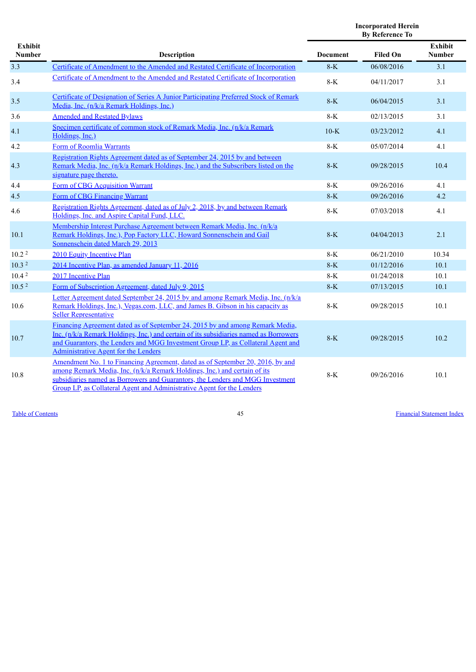|                                 |                                                                                                                                                                                                                                                                                                                         | <b>Incorporated Herein</b><br><b>By Reference To</b> |                 |                                 |
|---------------------------------|-------------------------------------------------------------------------------------------------------------------------------------------------------------------------------------------------------------------------------------------------------------------------------------------------------------------------|------------------------------------------------------|-----------------|---------------------------------|
| <b>Exhibit</b><br><b>Number</b> | Description                                                                                                                                                                                                                                                                                                             | <b>Document</b>                                      | <b>Filed On</b> | <b>Exhibit</b><br><b>Number</b> |
| 3.3                             | Certificate of Amendment to the Amended and Restated Certificate of Incorporation                                                                                                                                                                                                                                       | $8-K$                                                | 06/08/2016      | 3.1                             |
| 3.4                             | Certificate of Amendment to the Amended and Restated Certificate of Incorporation                                                                                                                                                                                                                                       | $8-K$                                                | 04/11/2017      | 3.1                             |
| 3.5                             | Certificate of Designation of Series A Junior Participating Preferred Stock of Remark<br>Media, Inc. (n/k/a Remark Holdings, Inc.)                                                                                                                                                                                      | $8-K$                                                | 06/04/2015      | 3.1                             |
| 3.6                             | <b>Amended and Restated Bylaws</b>                                                                                                                                                                                                                                                                                      | $8-K$                                                | 02/13/2015      | 3.1                             |
| 4.1                             | Specimen certificate of common stock of Remark Media, Inc. (n/k/a Remark<br>Holdings, Inc.)                                                                                                                                                                                                                             | $10-K$                                               | 03/23/2012      | 4.1                             |
| 4.2                             | Form of Roomlia Warrants                                                                                                                                                                                                                                                                                                | $8-K$                                                | 05/07/2014      | 4.1                             |
| 4.3                             | Registration Rights Agreement dated as of September 24, 2015 by and between<br>Remark Media, Inc. (n/k/a Remark Holdings, Inc.) and the Subscribers listed on the<br>signature page thereto.                                                                                                                            | $8-K$                                                | 09/28/2015      | 10.4                            |
| 4.4                             | Form of CBG Acquisition Warrant                                                                                                                                                                                                                                                                                         | $8-K$                                                | 09/26/2016      | 4.1                             |
| 4.5                             | Form of CBG Financing Warrant                                                                                                                                                                                                                                                                                           | $8-K$                                                | 09/26/2016      | 4.2                             |
| 4.6                             | Registration Rights Agreement, dated as of July 2, 2018, by and between Remark<br>Holdings, Inc. and Aspire Capital Fund, LLC.                                                                                                                                                                                          | $8-K$                                                | 07/03/2018      | 4.1                             |
| 10.1                            | Membership Interest Purchase Agreement between Remark Media, Inc. (n/k/a<br>Remark Holdings, Inc.), Pop Factory LLC, Howard Sonnenschein and Gail<br>Sonnenschein dated March 29, 2013                                                                                                                                  | $8-K$                                                | 04/04/2013      | 2.1                             |
| 10.2 <sup>2</sup>               | 2010 Equity Incentive Plan                                                                                                                                                                                                                                                                                              | $8-K$                                                | 06/21/2010      | 10.34                           |
| 10.3 <sup>2</sup>               | 2014 Incentive Plan, as amended January 11, 2016                                                                                                                                                                                                                                                                        | $8-K$                                                | 01/12/2016      | 10.1                            |
| 10.4 <sup>2</sup>               | 2017 Incentive Plan                                                                                                                                                                                                                                                                                                     | $8-K$                                                | 01/24/2018      | 10.1                            |
| 10.5 <sup>2</sup>               | Form of Subscription Agreement, dated July 9, 2015                                                                                                                                                                                                                                                                      | $8-K$                                                | 07/13/2015      | 10.1                            |
| 10.6                            | Letter Agreement dated September 24, 2015 by and among Remark Media, Inc. (n/k/a<br>Remark Holdings, Inc.), Vegas.com, LLC, and James B. Gibson in his capacity as<br><b>Seller Representative</b>                                                                                                                      | $8-K$                                                | 09/28/2015      | 10.1                            |
| 10.7                            | Financing Agreement dated as of September 24, 2015 by and among Remark Media,<br>Inc. (n/k/a Remark Holdings, Inc.) and certain of its subsidiaries named as Borrowers<br>and Guarantors, the Lenders and MGG Investment Group LP, as Collateral Agent and<br>Administrative Agent for the Lenders                      | $8-K$                                                | 09/28/2015      | 10.2                            |
| 10.8                            | Amendment No. 1 to Financing Agreement, dated as of September 20, 2016, by and<br>among Remark Media, Inc. (n/k/a Remark Holdings, Inc.) and certain of its<br>subsidiaries named as Borrowers and Guarantors, the Lenders and MGG Investment<br>Group LP, as Collateral Agent and Administrative Agent for the Lenders | $8-K$                                                | 09/26/2016      | 10.1                            |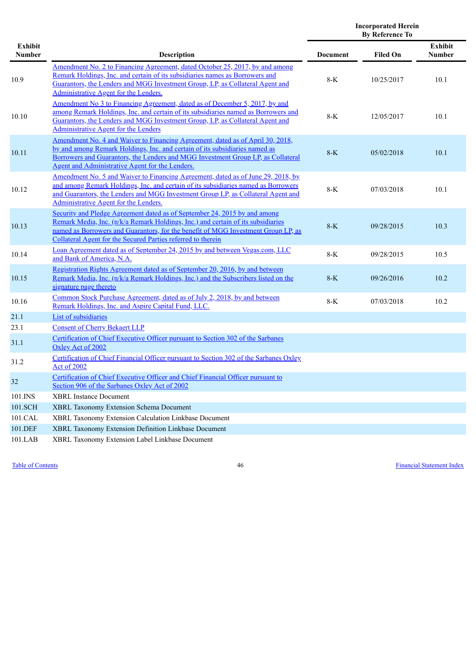|                                 |                                                                                                                                                                                                                                                                                                                    |                 | <b>Incorporated Herein</b><br><b>By Reference To</b> |                                 |
|---------------------------------|--------------------------------------------------------------------------------------------------------------------------------------------------------------------------------------------------------------------------------------------------------------------------------------------------------------------|-----------------|------------------------------------------------------|---------------------------------|
| <b>Exhibit</b><br><b>Number</b> | <b>Description</b>                                                                                                                                                                                                                                                                                                 | <b>Document</b> | <b>Filed On</b>                                      | <b>Exhibit</b><br><b>Number</b> |
| 10.9                            | <u>Amendment No. 2 to Financing Agreement, dated October 25, 2017, by and among</u><br>Remark Holdings, Inc. and certain of its subsidiaries names as Borrowers and<br>Guarantors, the Lenders and MGG Investment Group, LP, as Collateral Agent and<br>Administrative Agent for the Lenders.                      | $8-K$           | 10/25/2017                                           | 10.1                            |
| 10.10                           | <u>Amendment No 3 to Financing Agreement, dated as of December 5, 2017, by and</u><br>among Remark Holdings, Inc. and certain of its subsidiaries named as Borrowers and<br>Guarantors, the Lenders and MGG Investment Group, LP, as Collateral Agent and<br><b>Administrative Agent for the Lenders</b>           | $8-K$           | 12/05/2017                                           | 10.1                            |
| 10.11                           | Amendment No. 4 and Waiver to Financing Agreement, dated as of April 30, 2018,<br>by and among Remark Holdings, Inc. and certain of its subsidiaries named as<br>Borrowers and Guarantors, the Lenders and MGG Investment Group LP, as Collateral<br>Agent and Administrative Agent for the Lenders.               | $8-K$           | 05/02/2018                                           | 10.1                            |
| 10.12                           | Amendment No. 5 and Waiver to Financing Agreement, dated as of June 29, 2018, by<br>and among Remark Holdings, Inc. and certain of its subsidiaries named as Borrowers<br>and Guarantors, the Lenders and MGG Investment Group LP, as Collateral Agent and<br>Administrative Agent for the Lenders.                | $8-K$           | 07/03/2018                                           | 10.1                            |
| 10.13                           | Security and Pledge Agreement dated as of September 24, 2015 by and among<br>Remark Media, Inc. (n/k/a Remark Holdings, Inc.) and certain of its subsidiaries<br>named as Borrowers and Guarantors, for the benefit of MGG Investment Group LP, as<br>Collateral Agent for the Secured Parties referred to therein | $8-K$           | 09/28/2015                                           | 10.3                            |
| 10.14                           | Loan Agreement dated as of September 24, 2015 by and between Vegas.com, LLC<br>and Bank of America, N.A.                                                                                                                                                                                                           | $8-K$           | 09/28/2015                                           | 10.5                            |
| 10.15                           | Registration Rights Agreement dated as of September 20, 2016, by and between<br>Remark Media, Inc. (n/k/a Remark Holdings, Inc.) and the Subscribers listed on the<br>signature page thereto                                                                                                                       | $8-K$           | 09/26/2016                                           | 10.2                            |
| 10.16                           | Common Stock Purchase Agreement, dated as of July 2, 2018, by and between<br>Remark Holdings, Inc. and Aspire Capital Fund, LLC.                                                                                                                                                                                   | $8-K$           | 07/03/2018                                           | 10.2                            |
| 21.1                            | <b>List of subsidiaries</b>                                                                                                                                                                                                                                                                                        |                 |                                                      |                                 |
| 23.1                            | <b>Consent of Cherry Bekaert LLP</b>                                                                                                                                                                                                                                                                               |                 |                                                      |                                 |
| 31.1                            | Certification of Chief Executive Officer pursuant to Section 302 of the Sarbanes<br>Oxley Act of 2002                                                                                                                                                                                                              |                 |                                                      |                                 |
| 31.2                            | Certification of Chief Financial Officer pursuant to Section 302 of the Sarbanes Oxley<br>Act of 2002                                                                                                                                                                                                              |                 |                                                      |                                 |
| $32\,$                          | Certification of Chief Executive Officer and Chief Financial Officer pursuant to<br>Section 906 of the Sarbanes Oxley Act of 2002                                                                                                                                                                                  |                 |                                                      |                                 |
| 101.INS                         | <b>XBRL Instance Document</b>                                                                                                                                                                                                                                                                                      |                 |                                                      |                                 |
| 101.SCH                         | XBRL Taxonomy Extension Schema Document                                                                                                                                                                                                                                                                            |                 |                                                      |                                 |
| $101$ CAL $\,$                  | XBRL Taxonomy Extension Calculation Linkbase Document                                                                                                                                                                                                                                                              |                 |                                                      |                                 |
| 101.DEF                         | XBRL Taxonomy Extension Definition Linkbase Document                                                                                                                                                                                                                                                               |                 |                                                      |                                 |
| 101.LAB                         | XBRL Taxonomy Extension Label Linkbase Document                                                                                                                                                                                                                                                                    |                 |                                                      |                                 |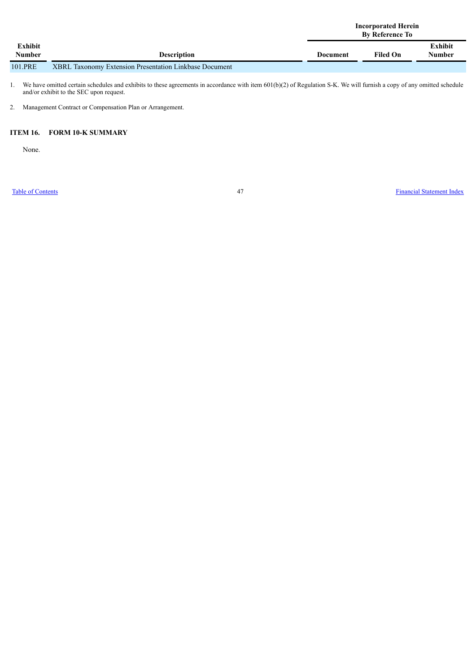|               |                                                               |          | <b>Incorporated Herein</b><br><b>By Reference To</b> |         |  |  |  |
|---------------|---------------------------------------------------------------|----------|------------------------------------------------------|---------|--|--|--|
| Exhibit       |                                                               |          |                                                      | Exhibit |  |  |  |
| <b>Number</b> | <b>Description</b>                                            | Document | <b>Filed On</b>                                      | Number  |  |  |  |
| 101.PRE       | <b>XBRL Taxonomy Extension Presentation Linkbase Document</b> |          |                                                      |         |  |  |  |

1. We have omitted certain schedules and exhibits to these agreements in accordance with item 601(b)(2) of Regulation S-K. We will furnish a copy of any omitted schedule and/or exhibit to the SEC upon request.

2. Management Contract or Compensation Plan or Arrangement.

## **ITEM 16. FORM 10-K SUMMARY**

None.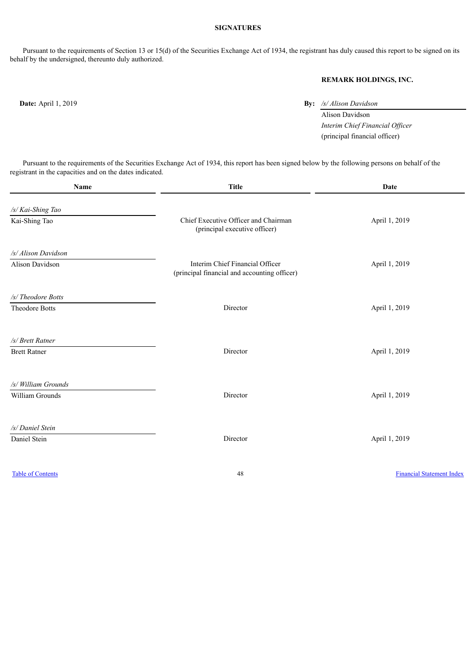## **SIGNATURES**

Pursuant to the requirements of Section 13 or 15(d) of the Securities Exchange Act of 1934, the registrant has duly caused this report to be signed on its behalf by the undersigned, thereunto duly authorized.

# **REMARK HOLDINGS, INC.**

**Date:** April 1, 2019 **By:** */s/ Alison Davidson*

Alison Davidson *Interim Chief Financial Of icer* (principal financial officer)

Pursuant to the requirements of the Securities Exchange Act of 1934, this report has been signed below by the following persons on behalf of the registrant in the capacities and on the dates indicated.

| Name                     | <b>Title</b>                                                                    | Date                             |  |  |  |
|--------------------------|---------------------------------------------------------------------------------|----------------------------------|--|--|--|
| /s/ Kai-Shing Tao        |                                                                                 |                                  |  |  |  |
| Kai-Shing Tao            | Chief Executive Officer and Chairman<br>(principal executive officer)           | April 1, 2019                    |  |  |  |
| /s/ Alison Davidson      |                                                                                 |                                  |  |  |  |
| Alison Davidson          | Interim Chief Financial Officer<br>(principal financial and accounting officer) | April 1, 2019                    |  |  |  |
| /s/ Theodore Botts       |                                                                                 |                                  |  |  |  |
| Theodore Botts           | Director                                                                        | April 1, 2019                    |  |  |  |
| /s/ Brett Ratner         |                                                                                 |                                  |  |  |  |
| <b>Brett Ratner</b>      | Director                                                                        | April 1, 2019                    |  |  |  |
| /s/ William Grounds      |                                                                                 |                                  |  |  |  |
| William Grounds          | Director                                                                        | April 1, 2019                    |  |  |  |
| /s/ Daniel Stein         |                                                                                 |                                  |  |  |  |
| Daniel Stein             | Director                                                                        | April 1, 2019                    |  |  |  |
| <b>Table of Contents</b> | 48                                                                              | <b>Financial Statement Index</b> |  |  |  |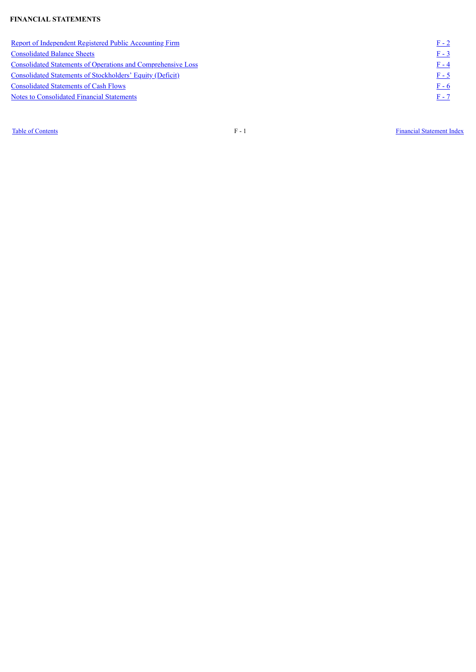# <span id="page-52-0"></span>**FINANCIAL STATEMENTS**

| <b>Report of Independent Registered Public Accounting Firm</b> | $F - 2$ |
|----------------------------------------------------------------|---------|
| <b>Consolidated Balance Sheets</b>                             | $F - 3$ |
| Consolidated Statements of Operations and Comprehensive Loss   | $F - 4$ |
| Consolidated Statements of Stockholders' Equity (Deficit)      | $F - 5$ |
| <b>Consolidated Statements of Cash Flows</b>                   | $F - 6$ |
| Notes to Consolidated Financial Statements                     | $F - 7$ |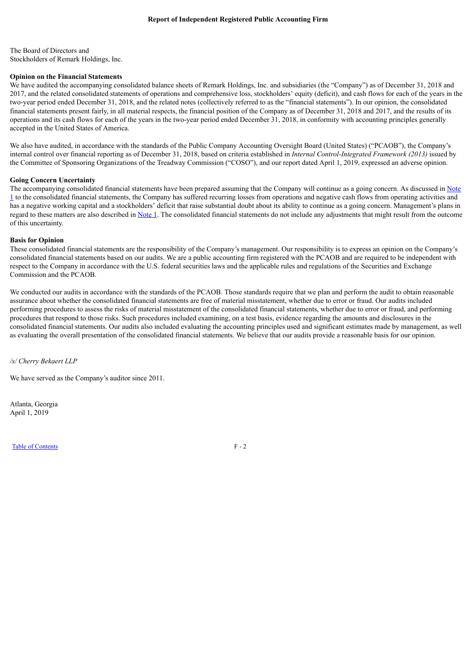<span id="page-53-0"></span>The Board of Directors and Stockholders of Remark Holdings, Inc.

## **Opinion on the Financial Statements**

We have audited the accompanying consolidated balance sheets of Remark Holdings, Inc. and subsidiaries (the "Company") as of December 31, 2018 and 2017, and the related consolidated statements of operations and comprehensive loss, stockholders' equity (deficit), and cash flows for each of the years in the two-year period ended December 31, 2018, and the related notes (collectively referred to as the "financial statements"). In our opinion, the consolidated financial statements present fairly, in all material respects, the financial position of the Company as of December 31, 2018 and 2017, and the results of its operations and its cash flows for each of the years in the two-year period ended December 31, 2018, in conformity with accounting principles generally accepted in the United States of America.

We also have audited, in accordance with the standards of the Public Company Accounting Oversight Board (United States) ("PCAOB"), the Company's internal control over financial reporting as of December 31, 2018, based on criteria established in *Internal Control-Integrated Framework (2013)* issued by the Committee of Sponsoring Organizations of the Treadway Commission ("COSO"), and our report dated April 1, 2019, expressed an adverse opinion.

## **Going Concern Uncertainty**

The [accompanying](#page-58-1) consolidated financial statements have been prepared assuming that the Company will continue as a going concern. As discussed in Note 1 to the consolidated financial statements, the Company has suffered recurring losses from operations and negative cash flows from operating activities and has a negative working capital and a stockholders' deficit that raise substantial doubt about its ability to continue as a going concern. Management's plans in regard to these matters are also described in [Note](#page-58-1) 1. The consolidated financial statements do not include any adjustments that might result from the outcome of this uncertainty.

#### **Basis for Opinion**

These consolidated financial statements are the responsibility of the Company's management. Our responsibility is to express an opinion on the Company's consolidated financial statements based on our audits. We are a public accounting firm registered with the PCAOB and are required to be independent with respect to the Company in accordance with the U.S. federal securities laws and the applicable rules and regulations of the Securities and Exchange Commission and the PCAOB.

We conducted our audits in accordance with the standards of the PCAOB. Those standards require that we plan and perform the audit to obtain reasonable assurance about whether the consolidated financial statements are free of material misstatement, whether due to error or fraud. Our audits included performing procedures to assess the risks of material misstatement of the consolidated financial statements, whether due to error or fraud, and performing procedures that respond to those risks. Such procedures included examining, on a test basis, evidence regarding the amounts and disclosures in the consolidated financial statements. Our audits also included evaluating the accounting principles used and significant estimates made by management, as well as evaluating the overall presentation of the consolidated financial statements. We believe that our audits provide a reasonable basis for our opinion.

*/s/ Cherry Bekaert LLP*

We have served as the Company's auditor since 2011.

Atlanta, Georgia April 1, 2019

[Table of Contents](#page-2-0) F - 2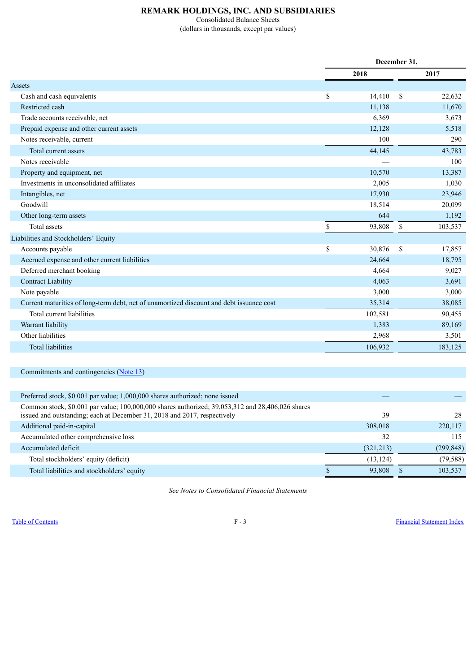Consolidated Balance Sheets (dollars in thousands, except par values)

<span id="page-54-0"></span>

|                                                                                          | December 31, |         |               |         |
|------------------------------------------------------------------------------------------|--------------|---------|---------------|---------|
|                                                                                          |              | 2018    |               | 2017    |
| Assets                                                                                   |              |         |               |         |
| Cash and cash equivalents                                                                | \$           | 14,410  | <sup>\$</sup> | 22,632  |
| Restricted cash                                                                          |              | 11,138  |               | 11,670  |
| Trade accounts receivable, net                                                           |              | 6,369   |               | 3,673   |
| Prepaid expense and other current assets                                                 |              | 12,128  |               | 5,518   |
| Notes receivable, current                                                                |              | 100     |               | 290     |
| Total current assets                                                                     |              | 44,145  |               | 43,783  |
| Notes receivable                                                                         |              |         |               | 100     |
| Property and equipment, net                                                              |              | 10,570  |               | 13,387  |
| Investments in unconsolidated affiliates                                                 |              | 2,005   |               | 1,030   |
| Intangibles, net                                                                         |              | 17,930  |               | 23,946  |
| Goodwill                                                                                 |              | 18,514  |               | 20,099  |
| Other long-term assets                                                                   |              | 644     |               | 1,192   |
| Total assets                                                                             | \$           | 93,808  | $\mathbb{S}$  | 103,537 |
| Liabilities and Stockholders' Equity                                                     |              |         |               |         |
| Accounts payable                                                                         | \$           | 30,876  | <sup>\$</sup> | 17,857  |
| Accrued expense and other current liabilities                                            |              | 24,664  |               | 18,795  |
| Deferred merchant booking                                                                |              | 4,664   |               | 9,027   |
| <b>Contract Liability</b>                                                                |              | 4,063   |               | 3,691   |
| Note payable                                                                             |              | 3,000   |               | 3,000   |
| Current maturities of long-term debt, net of unamortized discount and debt issuance cost |              | 35,314  |               | 38,085  |
| Total current liabilities                                                                |              | 102,581 |               | 90,455  |
| Warrant liability                                                                        |              | 1,383   |               | 89,169  |
| Other liabilities                                                                        |              | 2,968   |               | 3,501   |
| <b>Total liabilities</b>                                                                 |              | 106,932 |               | 183,125 |

# Commitments and contingencies [\(Note](#page-79-0) 13)

| Preferred stock, \$0.001 par value; 1,000,000 shares authorized; none issued                                                                                                 |            |            |
|------------------------------------------------------------------------------------------------------------------------------------------------------------------------------|------------|------------|
| Common stock, \$0.001 par value; 100,000,000 shares authorized; 39,053,312 and 28,406,026 shares<br>issued and outstanding; each at December 31, 2018 and 2017, respectively | 39         | 28         |
| Additional paid-in-capital                                                                                                                                                   | 308,018    | 220,117    |
| Accumulated other comprehensive loss                                                                                                                                         | 32         | 115        |
| Accumulated deficit                                                                                                                                                          | (321, 213) | (299, 848) |
| Total stockholders' equity (deficit)                                                                                                                                         | (13, 124)  | (79, 588)  |
| Total liabilities and stockholders' equity                                                                                                                                   | 93.808     | 103,537    |
|                                                                                                                                                                              |            |            |

*See Notes to Consolidated Financial Statements*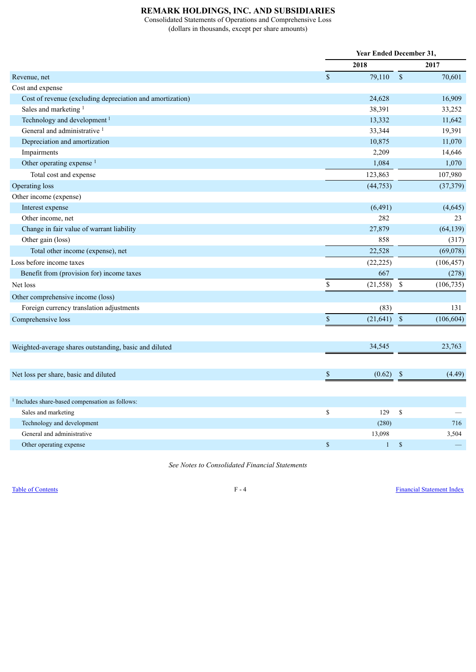Consolidated Statements of Operations and Comprehensive Loss (dollars in thousands, except per share amounts)

<span id="page-55-0"></span>

|                                                            |               | Year Ended December 31, |                           |            |
|------------------------------------------------------------|---------------|-------------------------|---------------------------|------------|
|                                                            |               | 2018                    |                           | 2017       |
| Revenue, net                                               | \$            | 79,110                  | $\mathcal{S}$             | 70,601     |
| Cost and expense                                           |               |                         |                           |            |
| Cost of revenue (excluding depreciation and amortization)  |               | 24,628                  |                           | 16,909     |
| Sales and marketing <sup>1</sup>                           |               | 38,391                  |                           | 33,252     |
| Technology and development <sup>1</sup>                    |               | 13,332                  |                           | 11,642     |
| General and administrative <sup>1</sup>                    |               | 33,344                  |                           | 19,391     |
| Depreciation and amortization                              |               | 10,875                  |                           | 11,070     |
| Impairments                                                |               | 2,209                   |                           | 14,646     |
| Other operating expense <sup>1</sup>                       |               | 1,084                   |                           | 1,070      |
| Total cost and expense                                     |               | 123,863                 |                           | 107,980    |
| Operating loss                                             |               | (44, 753)               |                           | (37, 379)  |
| Other income (expense)                                     |               |                         |                           |            |
| Interest expense                                           |               | (6, 491)                |                           | (4,645)    |
| Other income, net                                          |               | 282                     |                           | 23         |
| Change in fair value of warrant liability                  |               | 27,879                  |                           | (64, 139)  |
| Other gain (loss)                                          |               | 858                     |                           | (317)      |
| Total other income (expense), net                          |               | 22,528                  |                           | (69,078)   |
| Loss before income taxes                                   |               | (22, 225)               |                           | (106, 457) |
| Benefit from (provision for) income taxes                  |               | 667                     |                           | (278)      |
| Net loss                                                   | \$            | (21, 558)               | \$                        | (106, 735) |
| Other comprehensive income (loss)                          |               |                         |                           |            |
| Foreign currency translation adjustments                   |               | (83)                    |                           | 131        |
| Comprehensive loss                                         | $\mathcal{S}$ | (21, 641)               | $\mathsf{\$}$             | (106, 604) |
|                                                            |               |                         |                           |            |
| Weighted-average shares outstanding, basic and diluted     |               | 34,545                  |                           | 23,763     |
|                                                            |               |                         |                           |            |
| Net loss per share, basic and diluted                      | $\mathbb{S}$  | (0.62)                  | $\boldsymbol{\mathsf{S}}$ | (4.49)     |
| <sup>1</sup> Includes share-based compensation as follows: |               |                         |                           |            |
| Sales and marketing                                        | $\mathbb{S}$  | 129                     | $\mathbb{S}$              |            |
| Technology and development                                 |               | (280)                   |                           | 716        |
| General and administrative                                 |               | 13,098                  |                           | 3,504      |
| Other operating expense                                    | \$            | $\mathbf{1}$            | $\boldsymbol{\mathsf{S}}$ |            |

*See Notes to Consolidated Financial Statements*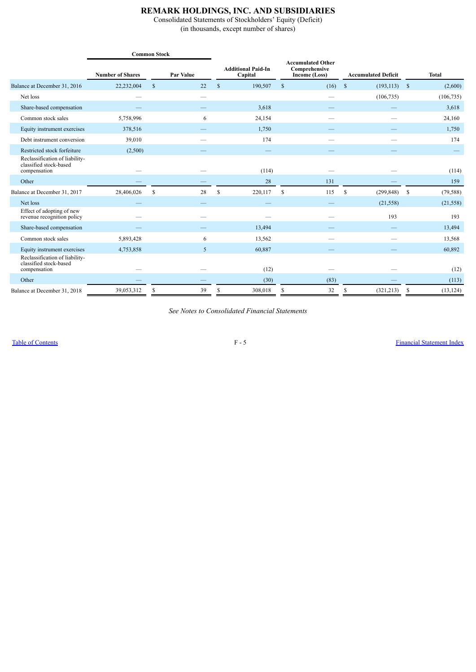Consolidated Statements of Stockholders' Equity (Deficit) (in thousands, except number of shares)

<span id="page-56-0"></span>

|                                                                          | <b>Common Stock</b>     |              |                  |               |                                      |               |                                                            |               |                            |              |              |
|--------------------------------------------------------------------------|-------------------------|--------------|------------------|---------------|--------------------------------------|---------------|------------------------------------------------------------|---------------|----------------------------|--------------|--------------|
|                                                                          | <b>Number of Shares</b> |              | <b>Par Value</b> |               | <b>Additional Paid-In</b><br>Capital |               | <b>Accumulated Other</b><br>Comprehensive<br>Income (Loss) |               | <b>Accumulated Deficit</b> |              | <b>Total</b> |
| Balance at December 31, 2016                                             | 22,232,004              | $\mathbb{S}$ | 22               | $\mathcal{S}$ | 190,507                              | $\mathcal{S}$ | (16)                                                       | $\mathsf{\$}$ | (193, 113)                 | $\mathbf{s}$ | (2,600)      |
| Net loss                                                                 |                         |              |                  |               |                                      |               |                                                            |               | (106, 735)                 |              | (106, 735)   |
| Share-based compensation                                                 |                         |              |                  |               | 3,618                                |               |                                                            |               |                            |              | 3,618        |
| Common stock sales                                                       | 5,758,996               |              | 6                |               | 24,154                               |               |                                                            |               |                            |              | 24,160       |
| Equity instrument exercises                                              | 378,516                 |              |                  |               | 1,750                                |               |                                                            |               |                            |              | 1,750        |
| Debt instrument conversion                                               | 39,010                  |              |                  |               | 174                                  |               |                                                            |               |                            |              | 174          |
| Restricted stock forfeiture                                              | (2,500)                 |              |                  |               |                                      |               |                                                            |               |                            |              |              |
| Reclassification of liability-<br>classified stock-based<br>compensation |                         |              |                  |               | (114)                                |               |                                                            |               |                            |              | (114)        |
| Other                                                                    |                         |              |                  |               | 28                                   |               | 131                                                        |               |                            |              | 159          |
| Balance at December 31, 2017                                             | 28,406,026              | S            | 28               | <sup>\$</sup> | 220,117                              | \$            | 115                                                        | \$            | (299, 848)                 | $\mathbf S$  | (79, 588)    |
| Net loss                                                                 |                         |              |                  |               |                                      |               |                                                            |               | (21, 558)                  |              | (21, 558)    |
| Effect of adopting of new<br>revenue recognition policy                  |                         |              |                  |               |                                      |               |                                                            |               | 193                        |              | 193          |
| Share-based compensation                                                 |                         |              |                  |               | 13,494                               |               |                                                            |               |                            |              | 13,494       |
| Common stock sales                                                       | 5,893,428               |              | 6                |               | 13,562                               |               |                                                            |               |                            |              | 13,568       |
| Equity instrument exercises                                              | 4,753,858               |              | 5                |               | 60,887                               |               |                                                            |               |                            |              | 60,892       |
| Reclassification of liability-<br>classified stock-based<br>compensation |                         |              |                  |               | (12)                                 |               |                                                            |               |                            |              | (12)         |
| Other                                                                    |                         |              |                  |               | (30)                                 |               | (83)                                                       |               |                            |              | (113)        |
| Balance at December 31, 2018                                             | 39,053,312              | \$           | 39               | \$            | 308,018                              | \$            | 32                                                         | \$            | (321, 213)                 | \$           | (13, 124)    |

*See Notes to Consolidated Financial Statements*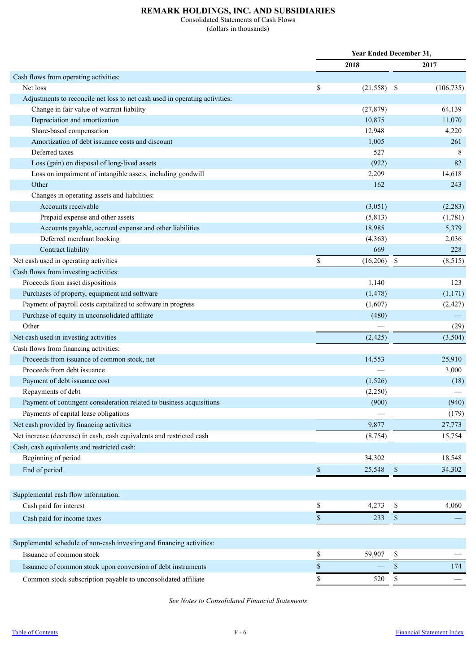Consolidated Statements of Cash Flows (dollars in thousands)

<span id="page-57-0"></span>

|                                                                             |      | Year Ended December 31, |             |            |  |
|-----------------------------------------------------------------------------|------|-------------------------|-------------|------------|--|
|                                                                             |      | 2018                    |             | 2017       |  |
| Cash flows from operating activities:                                       |      |                         |             |            |  |
| Net loss                                                                    | \$   | $(21,558)$ \$           |             | (106, 735) |  |
| Adjustments to reconcile net loss to net cash used in operating activities: |      |                         |             |            |  |
| Change in fair value of warrant liability                                   |      | (27, 879)               |             | 64,139     |  |
| Depreciation and amortization                                               |      | 10,875                  |             | 11,070     |  |
| Share-based compensation                                                    |      | 12,948                  |             | 4,220      |  |
| Amortization of debt issuance costs and discount                            |      | 1,005                   |             | 261        |  |
| Deferred taxes                                                              |      | 527                     |             | 8          |  |
| Loss (gain) on disposal of long-lived assets                                |      | (922)                   |             | 82         |  |
| Loss on impairment of intangible assets, including goodwill                 |      | 2,209                   |             | 14,618     |  |
| Other                                                                       |      | 162                     |             | 243        |  |
| Changes in operating assets and liabilities:                                |      |                         |             |            |  |
| Accounts receivable                                                         |      | (3,051)                 |             | (2, 283)   |  |
| Prepaid expense and other assets                                            |      | (5, 813)                |             | (1,781)    |  |
| Accounts payable, accrued expense and other liabilities                     |      | 18,985                  |             | 5,379      |  |
| Deferred merchant booking                                                   |      | (4,363)                 |             | 2,036      |  |
| Contract liability                                                          |      | 669                     |             | 228        |  |
| Net cash used in operating activities                                       | \$   | (16,206)                | \$          | (8, 515)   |  |
| Cash flows from investing activities:                                       |      |                         |             |            |  |
| Proceeds from asset dispositions                                            |      | 1,140                   |             | 123        |  |
| Purchases of property, equipment and software                               |      | (1, 478)                |             | (1,171)    |  |
| Payment of payroll costs capitalized to software in progress                |      | (1,607)                 |             | (2, 427)   |  |
| Purchase of equity in unconsolidated affiliate                              |      | (480)                   |             |            |  |
| Other                                                                       |      |                         |             | (29)       |  |
| Net cash used in investing activities                                       |      | (2, 425)                |             | (3,504)    |  |
| Cash flows from financing activities:                                       |      |                         |             |            |  |
| Proceeds from issuance of common stock, net                                 |      | 14,553                  |             | 25,910     |  |
| Proceeds from debt issuance                                                 |      |                         |             | 3,000      |  |
| Payment of debt issuance cost                                               |      | (1,526)                 |             | (18)       |  |
| Repayments of debt                                                          |      | (2,250)                 |             |            |  |
| Payment of contingent consideration related to business acquisitions        |      | (900)                   |             | (940)      |  |
| Payments of capital lease obligations                                       |      |                         |             | (179)      |  |
| Net cash provided by financing activities                                   |      | 9,877                   |             | 27,773     |  |
| Net increase (decrease) in cash, cash equivalents and restricted cash       |      | (8, 754)                |             | 15,754     |  |
| Cash, cash equivalents and restricted cash:                                 |      |                         |             |            |  |
| Beginning of period                                                         |      | 34,302                  |             | 18,548     |  |
| End of period                                                               | $\$$ | 25,548                  | $\mathbb S$ | 34,302     |  |
|                                                                             |      |                         |             |            |  |
| Supplemental cash flow information:                                         |      |                         |             |            |  |
| Cash paid for interest                                                      | \$   | 4,273                   | \$          | 4,060      |  |
| Cash paid for income taxes                                                  | \$   | 233                     | $\$$        |            |  |
|                                                                             |      |                         |             |            |  |
| Supplemental schedule of non-cash investing and financing activities:       |      |                         |             |            |  |
| Issuance of common stock                                                    | \$   | 59,907                  | \$          |            |  |
| Issuance of common stock upon conversion of debt instruments                | \$   |                         | \$          | 174        |  |
| Common stock subscription payable to unconsolidated affiliate               | \$   | 520                     | \$          |            |  |
|                                                                             |      |                         |             |            |  |

*See Notes to Consolidated Financial Statements*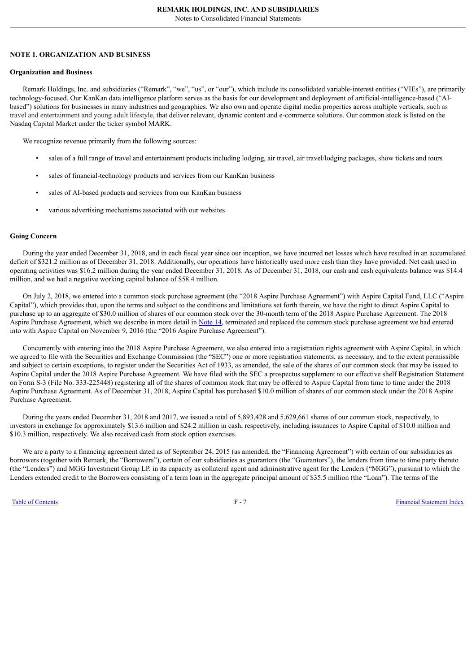## <span id="page-58-1"></span><span id="page-58-0"></span>**NOTE 1. ORGANIZATION AND BUSINESS**

## **Organization and Business**

Remark Holdings, Inc. and subsidiaries ("Remark", "we", "us", or "our"), which include its consolidated variable-interest entities ("VIEs"), are primarily technology-focused. Our KanKan data intelligence platform serves as the basis for our development and deployment of artificial-intelligence-based ("AIbased") solutions for businesses in many industries and geographies. We also own and operate digital media properties across multiple verticals, such as travel and entertainment and young adult lifestyle, that deliver relevant, dynamic content and e-commerce solutions. Our common stock is listed on the Nasdaq Capital Market under the ticker symbol MARK.

We recognize revenue primarily from the following sources:

- sales of a full range of travel and entertainment products including lodging, air travel, air travel/lodging packages, show tickets and tours
- sales of financial-technology products and services from our KanKan business
- sales of AI-based products and services from our KanKan business
- various advertising mechanisms associated with our websites

## **Going Concern**

During the year ended December 31, 2018, and in each fiscal year since our inception, we have incurred net losses which have resulted in an accumulated deficit of \$321.2 million as of December 31, 2018. Additionally, our operations have historically used more cash than they have provided. Net cash used in operating activities was \$16.2 million during the year ended December 31, 2018. As of December 31, 2018, our cash and cash equivalents balance was \$14.4 million, and we had a negative working capital balance of \$58.4 million.

On July 2, 2018, we entered into a common stock purchase agreement (the "2018 Aspire Purchase Agreement") with Aspire Capital Fund, LLC ("Aspire Capital"), which provides that, upon the terms and subject to the conditions and limitations set forth therein, we have the right to direct Aspire Capital to purchase up to an aggregate of \$30.0 million of shares of our common stock over the 30-month term of the 2018 Aspire Purchase Agreement. The 2018 Aspire Purchase Agreement, which we describe in more detail in [Note](#page-80-0) 14, terminated and replaced the common stock purchase agreement we had entered into with Aspire Capital on November 9, 2016 (the "2016 Aspire Purchase Agreement").

Concurrently with entering into the 2018 Aspire Purchase Agreement, we also entered into a registration rights agreement with Aspire Capital, in which we agreed to file with the Securities and Exchange Commission (the "SEC") one or more registration statements, as necessary, and to the extent permissible and subject to certain exceptions, to register under the Securities Act of 1933, as amended, the sale of the shares of our common stock that may be issued to Aspire Capital under the 2018 Aspire Purchase Agreement. We have filed with the SEC a prospectus supplement to our effective shelf Registration Statement on Form S-3 (File No. 333-225448) registering all of the shares of common stock that may be offered to Aspire Capital from time to time under the 2018 Aspire Purchase Agreement. As of December 31, 2018, Aspire Capital has purchased \$10.0 million of shares of our common stock under the 2018 Aspire Purchase Agreement.

During the years ended December 31, 2018 and 2017, we issued a total of 5,893,428 and 5,629,661 shares of our common stock, respectively, to investors in exchange for approximately \$13.6 million and \$24.2 million in cash, respectively, including issuances to Aspire Capital of \$10.0 million and \$10.3 million, respectively. We also received cash from stock option exercises.

We are a party to a financing agreement dated as of September 24, 2015 (as amended, the "Financing Agreement") with certain of our subsidiaries as borrowers (together with Remark, the "Borrowers"), certain of our subsidiaries as guarantors (the "Guarantors"), the lenders from time to time party thereto (the "Lenders") and MGG Investment Group LP, in its capacity as collateral agent and administrative agent for the Lenders ("MGG"), pursuant to which the Lenders extended credit to the Borrowers consisting of a term loan in the aggregate principal amount of \$35.5 million (the "Loan"). The terms of the

[Table of Contents](#page-2-0) F - 7 [Financial Statement Index](#page-52-0) F - 7 Financial Statement Index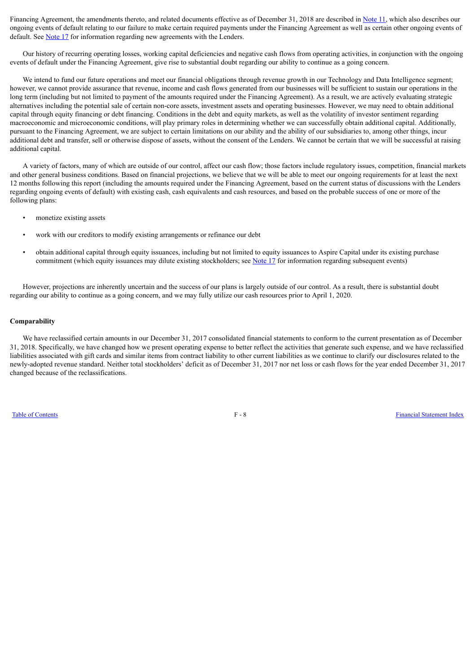Financing Agreement, the amendments thereto, and related documents effective as of December 31, 2018 are described in [Note](#page-76-0) 11, which also describes our ongoing events of default relating to our failure to make certain required payments under the Financing Agreement as well as certain other ongoing events of default. See [Note](#page-86-0) 17 for information regarding new agreements with the Lenders.

Our history of recurring operating losses, working capital deficiencies and negative cash flows from operating activities, in conjunction with the ongoing events of default under the Financing Agreement, give rise to substantial doubt regarding our ability to continue as a going concern.

We intend to fund our future operations and meet our financial obligations through revenue growth in our Technology and Data Intelligence segment; however, we cannot provide assurance that revenue, income and cash flows generated from our businesses will be sufficient to sustain our operations in the long term (including but not limited to payment of the amounts required under the Financing Agreement). As a result, we are actively evaluating strategic alternatives including the potential sale of certain non-core assets, investment assets and operating businesses. However, we may need to obtain additional capital through equity financing or debt financing. Conditions in the debt and equity markets, as well as the volatility of investor sentiment regarding macroeconomic and microeconomic conditions, will play primary roles in determining whether we can successfully obtain additional capital. Additionally, pursuant to the Financing Agreement, we are subject to certain limitations on our ability and the ability of our subsidiaries to, among other things, incur additional debt and transfer, sell or otherwise dispose of assets, without the consent of the Lenders. We cannot be certain that we will be successful at raising additional capital.

A variety of factors, many of which are outside of our control, affect our cash flow; those factors include regulatory issues, competition, financial markets and other general business conditions. Based on financial projections, we believe that we will be able to meet our ongoing requirements for at least the next 12 months following this report (including the amounts required under the Financing Agreement, based on the current status of discussions with the Lenders regarding ongoing events of default) with existing cash, cash equivalents and cash resources, and based on the probable success of one or more of the following plans:

- monetize existing assets
- work with our creditors to modify existing arrangements or refinance our debt
- obtain additional capital through equity issuances, including but not limited to equity issuances to Aspire Capital under its existing purchase commitment (which equity issuances may dilute existing stockholders; see [Note](#page-86-0) 17 for information regarding subsequent events)

However, projections are inherently uncertain and the success of our plans is largely outside of our control. As a result, there is substantial doubt regarding our ability to continue as a going concern, and we may fully utilize our cash resources prior to April 1, 2020.

#### **Comparability**

We have reclassified certain amounts in our December 31, 2017 consolidated financial statements to conform to the current presentation as of December 31, 2018. Specifically, we have changed how we present operating expense to better reflect the activities that generate such expense, and we have reclassified liabilities associated with gift cards and similar items from contract liability to other current liabilities as we continue to clarify our disclosures related to the newly-adopted revenue standard. Neither total stockholders' deficit as of December 31, 2017 nor net loss or cash flows for the year ended December 31, 2017 changed because of the reclassifications.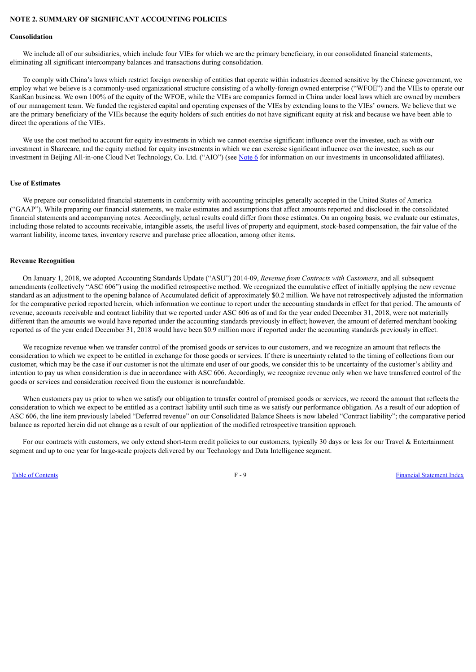## **NOTE 2. SUMMARY OF SIGNIFICANT ACCOUNTING POLICIES**

#### **Consolidation**

We include all of our subsidiaries, which include four VIEs for which we are the primary beneficiary, in our consolidated financial statements, eliminating all significant intercompany balances and transactions during consolidation.

To comply with China's laws which restrict foreign ownership of entities that operate within industries deemed sensitive by the Chinese government, we employ what we believe is a commonly-used organizational structure consisting of a wholly-foreign owned enterprise ("WFOE") and the VIEs to operate our KanKan business. We own 100% of the equity of the WFOE, while the VIEs are companies formed in China under local laws which are owned by members of our management team. We funded the registered capital and operating expenses of the VIEs by extending loans to the VIEs' owners. We believe that we are the primary beneficiary of the VIEs because the equity holders of such entities do not have significant equity at risk and because we have been able to direct the operations of the VIEs.

We use the cost method to account for equity investments in which we cannot exercise significant influence over the investee, such as with our investment in Sharecare, and the equity method for equity investments in which we can exercise significant influence over the investee, such as our investment in Beijing All-in-one Cloud Net Technology, Co. Ltd. ("AIO") (see [Note](#page-69-0) 6 for information on our investments in unconsolidated affiliates).

#### **Use of Estimates**

We prepare our consolidated financial statements in conformity with accounting principles generally accepted in the United States of America ("GAAP"). While preparing our financial statements, we make estimates and assumptions that affect amounts reported and disclosed in the consolidated financial statements and accompanying notes. Accordingly, actual results could differ from those estimates. On an ongoing basis, we evaluate our estimates, including those related to accounts receivable, intangible assets, the useful lives of property and equipment, stock-based compensation, the fair value of the warrant liability, income taxes, inventory reserve and purchase price allocation, among other items.

#### **Revenue Recognition**

On January 1, 2018, we adopted Accounting Standards Update ("ASU") 2014-09, *Revenue from Contracts with Customers*, and all subsequent amendments (collectively "ASC 606") using the modified retrospective method. We recognized the cumulative effect of initially applying the new revenue standard as an adjustment to the opening balance of Accumulated deficit of approximately \$0.2 million. We have not retrospectively adjusted the information for the comparative period reported herein, which information we continue to report under the accounting standards in effect for that period. The amounts of revenue, accounts receivable and contract liability that we reported under ASC 606 as of and for the year ended December 31, 2018, were not materially different than the amounts we would have reported under the accounting standards previously in effect; however, the amount of deferred merchant booking reported as of the year ended December 31, 2018 would have been \$0.9 million more if reported under the accounting standards previously in effect.

We recognize revenue when we transfer control of the promised goods or services to our customers, and we recognize an amount that reflects the consideration to which we expect to be entitled in exchange for those goods or services. If there is uncertainty related to the timing of collections from our customer, which may be the case if our customer is not the ultimate end user of our goods, we consider this to be uncertainty of the customer's ability and intention to pay us when consideration is due in accordance with ASC 606. Accordingly, we recognize revenue only when we have transferred control of the goods or services and consideration received from the customer is nonrefundable.

When customers pay us prior to when we satisfy our obligation to transfer control of promised goods or services, we record the amount that reflects the consideration to which we expect to be entitled as a contract liability until such time as we satisfy our performance obligation. As a result of our adoption of ASC 606, the line item previously labeled "Deferred revenue" on our Consolidated Balance Sheets is now labeled "Contract liability"; the comparative period balance as reported herein did not change as a result of our application of the modified retrospective transition approach.

For our contracts with customers, we only extend short-term credit policies to our customers, typically 30 days or less for our Travel & Entertainment segment and up to one year for large-scale projects delivered by our Technology and Data Intelligence segment.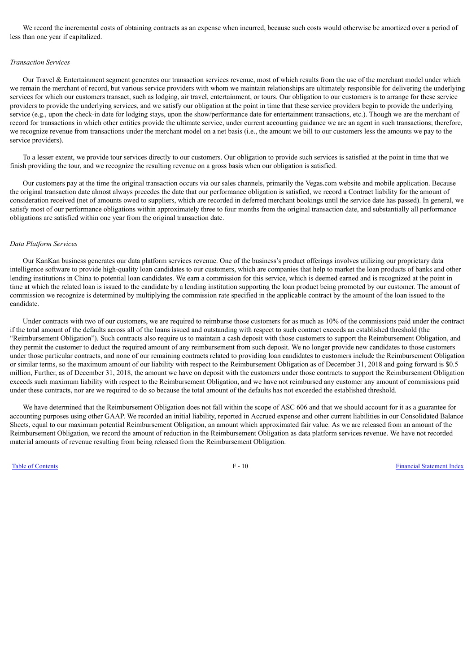We record the incremental costs of obtaining contracts as an expense when incurred, because such costs would otherwise be amortized over a period of less than one year if capitalized.

#### *Transaction Services*

Our Travel & Entertainment segment generates our transaction services revenue, most of which results from the use of the merchant model under which we remain the merchant of record, but various service providers with whom we maintain relationships are ultimately responsible for delivering the underlying services for which our customers transact, such as lodging, air travel, entertainment, or tours. Our obligation to our customers is to arrange for these service providers to provide the underlying services, and we satisfy our obligation at the point in time that these service providers begin to provide the underlying service (e.g., upon the check-in date for lodging stays, upon the show/performance date for entertainment transactions, etc.). Though we are the merchant of record for transactions in which other entities provide the ultimate service, under current accounting guidance we are an agent in such transactions; therefore, we recognize revenue from transactions under the merchant model on a net basis (i.e., the amount we bill to our customers less the amounts we pay to the service providers).

To a lesser extent, we provide tour services directly to our customers. Our obligation to provide such services is satisfied at the point in time that we finish providing the tour, and we recognize the resulting revenue on a gross basis when our obligation is satisfied.

Our customers pay at the time the original transaction occurs via our sales channels, primarily the Vegas.com website and mobile application. Because the original transaction date almost always precedes the date that our performance obligation is satisfied, we record a Contract liability for the amount of consideration received (net of amounts owed to suppliers, which are recorded in deferred merchant bookings until the service date has passed). In general, we satisfy most of our performance obligations within approximately three to four months from the original transaction date, and substantially all performance obligations are satisfied within one year from the original transaction date.

#### *Data Platform Services*

Our KanKan business generates our data platform services revenue. One of the business's product offerings involves utilizing our proprietary data intelligence software to provide high-quality loan candidates to our customers, which are companies that help to market the loan products of banks and other lending institutions in China to potential loan candidates. We earn a commission for this service, which is deemed earned and is recognized at the point in time at which the related loan is issued to the candidate by a lending institution supporting the loan product being promoted by our customer. The amount of commission we recognize is determined by multiplying the commission rate specified in the applicable contract by the amount of the loan issued to the candidate.

Under contracts with two of our customers, we are required to reimburse those customers for as much as 10% of the commissions paid under the contract if the total amount of the defaults across all of the loans issued and outstanding with respect to such contract exceeds an established threshold (the "Reimbursement Obligation"). Such contracts also require us to maintain a cash deposit with those customers to support the Reimbursement Obligation, and they permit the customer to deduct the required amount of any reimbursement from such deposit. We no longer provide new candidates to those customers under those particular contracts, and none of our remaining contracts related to providing loan candidates to customers include the Reimbursement Obligation or similar terms, so the maximum amount of our liability with respect to the Reimbursement Obligation as of December 31, 2018 and going forward is \$0.5 million, Further, as of December 31, 2018, the amount we have on deposit with the customers under those contracts to support the Reimbursement Obligation exceeds such maximum liability with respect to the Reimbursement Obligation, and we have not reimbursed any customer any amount of commissions paid under these contracts, nor are we required to do so because the total amount of the defaults has not exceeded the established threshold.

We have determined that the Reimbursement Obligation does not fall within the scope of ASC 606 and that we should account for it as a guarantee for accounting purposes using other GAAP. We recorded an initial liability, reported in Accrued expense and other current liabilities in our Consolidated Balance Sheets, equal to our maximum potential Reimbursement Obligation, an amount which approximated fair value. As we are released from an amount of the Reimbursement Obligation, we record the amount of reduction in the Reimbursement Obligation as data platform services revenue. We have not recorded material amounts of revenue resulting from being released from the Reimbursement Obligation.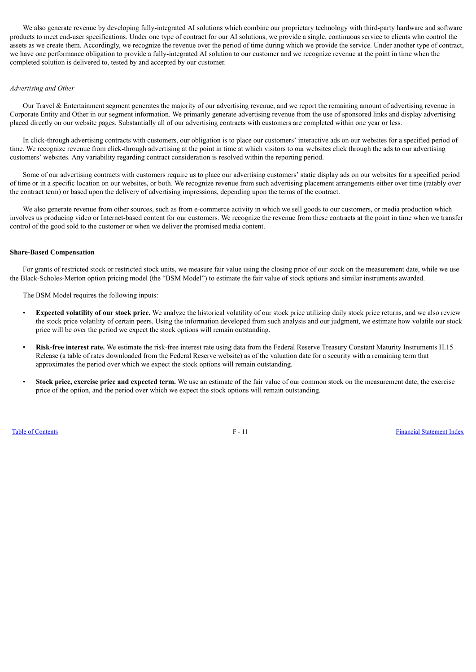We also generate revenue by developing fully-integrated AI solutions which combine our proprietary technology with third-party hardware and software products to meet end-user specifications. Under one type of contract for our AI solutions, we provide a single, continuous service to clients who control the assets as we create them. Accordingly, we recognize the revenue over the period of time during which we provide the service. Under another type of contract, we have one performance obligation to provide a fully-integrated AI solution to our customer and we recognize revenue at the point in time when the completed solution is delivered to, tested by and accepted by our customer.

## *Advertising and Other*

Our Travel & Entertainment segment generates the majority of our advertising revenue, and we report the remaining amount of advertising revenue in Corporate Entity and Other in our segment information. We primarily generate advertising revenue from the use of sponsored links and display advertising placed directly on our website pages. Substantially all of our advertising contracts with customers are completed within one year or less.

In click-through advertising contracts with customers, our obligation is to place our customers' interactive ads on our websites for a specified period of time. We recognize revenue from click-through advertising at the point in time at which visitors to our websites click through the ads to our advertising customers' websites. Any variability regarding contract consideration is resolved within the reporting period.

Some of our advertising contracts with customers require us to place our advertising customers' static display ads on our websites for a specified period of time or in a specific location on our websites, or both. We recognize revenue from such advertising placement arrangements either over time (ratably over the contract term) or based upon the delivery of advertising impressions, depending upon the terms of the contract.

We also generate revenue from other sources, such as from e-commerce activity in which we sell goods to our customers, or media production which involves us producing video or Internet-based content for our customers. We recognize the revenue from these contracts at the point in time when we transfer control of the good sold to the customer or when we deliver the promised media content.

## **Share-Based Compensation**

For grants of restricted stock or restricted stock units, we measure fair value using the closing price of our stock on the measurement date, while we use the Black-Scholes-Merton option pricing model (the "BSM Model") to estimate the fair value of stock options and similar instruments awarded.

The BSM Model requires the following inputs:

- **Expected volatility of our stock price.** We analyze the historical volatility of our stock price utilizing daily stock price returns, and we also review the stock price volatility of certain peers. Using the information developed from such analysis and our judgment, we estimate how volatile our stock price will be over the period we expect the stock options will remain outstanding.
- **Risk-free interest rate.** We estimate the risk-free interest rate using data from the Federal Reserve Treasury Constant Maturity Instruments H.15 Release (a table of rates downloaded from the Federal Reserve website) as of the valuation date for a security with a remaining term that approximates the period over which we expect the stock options will remain outstanding.
- **Stock price, exercise price and expected term.** We use an estimate of the fair value of our common stock on the measurement date, the exercise price of the option, and the period over which we expect the stock options will remain outstanding.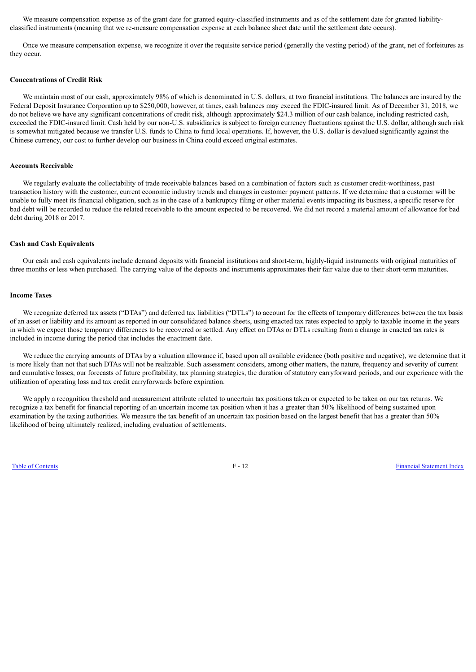We measure compensation expense as of the grant date for granted equity-classified instruments and as of the settlement date for granted liabilityclassified instruments (meaning that we re-measure compensation expense at each balance sheet date until the settlement date occurs).

Once we measure compensation expense, we recognize it over the requisite service period (generally the vesting period) of the grant, net of forfeitures as they occur.

#### **Concentrations of Credit Risk**

We maintain most of our cash, approximately 98% of which is denominated in U.S. dollars, at two financial institutions. The balances are insured by the Federal Deposit Insurance Corporation up to \$250,000; however, at times, cash balances may exceed the FDIC-insured limit. As of December 31, 2018, we do not believe we have any significant concentrations of credit risk, although approximately \$24.3 million of our cash balance, including restricted cash, exceeded the FDIC-insured limit. Cash held by our non-U.S. subsidiaries is subject to foreign currency fluctuations against the U.S. dollar, although such risk is somewhat mitigated because we transfer U.S. funds to China to fund local operations. If, however, the U.S. dollar is devalued significantly against the Chinese currency, our cost to further develop our business in China could exceed original estimates.

#### **Accounts Receivable**

We regularly evaluate the collectability of trade receivable balances based on a combination of factors such as customer credit-worthiness, past transaction history with the customer, current economic industry trends and changes in customer payment patterns. If we determine that a customer will be unable to fully meet its financial obligation, such as in the case of a bankruptcy filing or other material events impacting its business, a specific reserve for bad debt will be recorded to reduce the related receivable to the amount expected to be recovered. We did not record a material amount of allowance for bad debt during 2018 or 2017.

#### **Cash and Cash Equivalents**

Our cash and cash equivalents include demand deposits with financial institutions and short-term, highly-liquid instruments with original maturities of three months or less when purchased. The carrying value of the deposits and instruments approximates their fair value due to their short-term maturities.

## **Income Taxes**

We recognize deferred tax assets ("DTAs") and deferred tax liabilities ("DTLs") to account for the effects of temporary differences between the tax basis of an asset or liability and its amount as reported in our consolidated balance sheets, using enacted tax rates expected to apply to taxable income in the years in which we expect those temporary differences to be recovered or settled. Any effect on DTAs or DTLs resulting from a change in enacted tax rates is included in income during the period that includes the enactment date.

We reduce the carrying amounts of DTAs by a valuation allowance if, based upon all available evidence (both positive and negative), we determine that it is more likely than not that such DTAs will not be realizable. Such assessment considers, among other matters, the nature, frequency and severity of current and cumulative losses, our forecasts of future profitability, tax planning strategies, the duration of statutory carryforward periods, and our experience with the utilization of operating loss and tax credit carryforwards before expiration.

We apply a recognition threshold and measurement attribute related to uncertain tax positions taken or expected to be taken on our tax returns. We recognize a tax benefit for financial reporting of an uncertain income tax position when it has a greater than 50% likelihood of being sustained upon examination by the taxing authorities. We measure the tax benefit of an uncertain tax position based on the largest benefit that has a greater than 50% likelihood of being ultimately realized, including evaluation of settlements.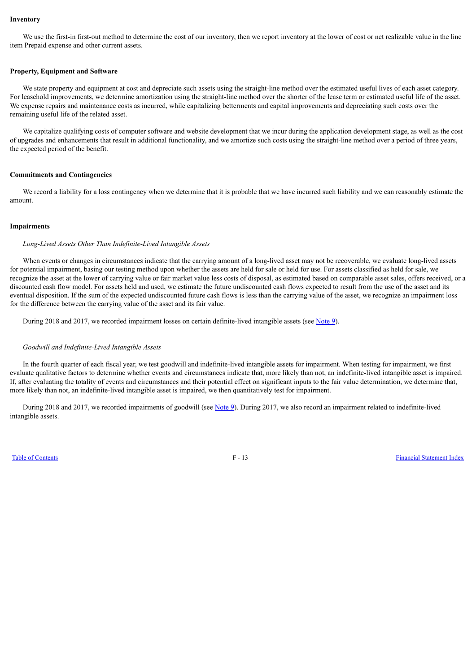## **Inventory**

We use the first-in first-out method to determine the cost of our inventory, then we report inventory at the lower of cost or net realizable value in the line item Prepaid expense and other current assets.

### **Property, Equipment and Software**

We state property and equipment at cost and depreciate such assets using the straight-line method over the estimated useful lives of each asset category. For leasehold improvements, we determine amortization using the straight-line method over the shorter of the lease term or estimated useful life of the asset. We expense repairs and maintenance costs as incurred, while capitalizing betterments and capital improvements and depreciating such costs over the remaining useful life of the related asset.

We capitalize qualifying costs of computer software and website development that we incur during the application development stage, as well as the cost of upgrades and enhancements that result in additional functionality, and we amortize such costs using the straight-line method over a period of three years, the expected period of the benefit.

## **Commitments and Contingencies**

We record a liability for a loss contingency when we determine that it is probable that we have incurred such liability and we can reasonably estimate the amount.

## **Impairments**

## *Long-Lived Assets Other Than Indefinite-Lived Intangible Assets*

When events or changes in circumstances indicate that the carrying amount of a long-lived asset may not be recoverable, we evaluate long-lived assets for potential impairment, basing our testing method upon whether the assets are held for sale or held for use. For assets classified as held for sale, we recognize the asset at the lower of carrying value or fair market value less costs of disposal, as estimated based on comparable asset sales, offers received, or a discounted cash flow model. For assets held and used, we estimate the future undiscounted cash flows expected to result from the use of the asset and its eventual disposition. If the sum of the expected undiscounted future cash flows is less than the carrying value of the asset, we recognize an impairment loss for the difference between the carrying value of the asset and its fair value.

During 2018 and 2017, we recorded impairment losses on certain definite-lived intangible assets (see [Note](#page-71-0) 9).

### *Goodwill and Indefinite-Lived Intangible Assets*

In the fourth quarter of each fiscal year, we test goodwill and indefinite-lived intangible assets for impairment. When testing for impairment, we first evaluate qualitative factors to determine whether events and circumstances indicate that, more likely than not, an indefinite-lived intangible asset is impaired. If, after evaluating the totality of events and circumstances and their potential effect on significant inputs to the fair value determination, we determine that, more likely than not, an indefinite-lived intangible asset is impaired, we then quantitatively test for impairment.

During 2018 and 2017, we recorded impairments of goodwill (see [Note](#page-71-0) 9). During 2017, we also record an impairment related to indefinite-lived intangible assets.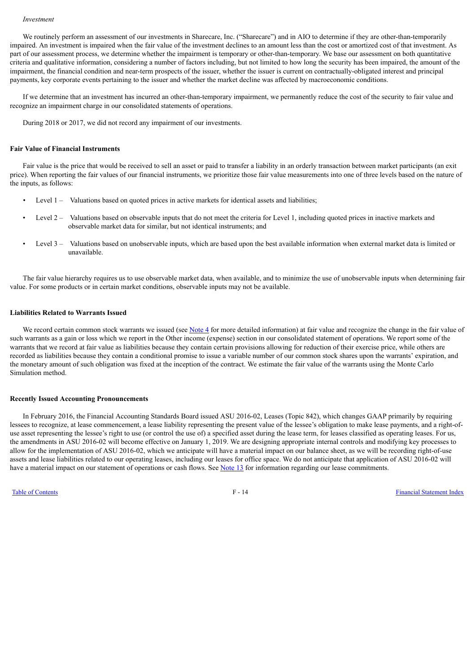#### *Investment*

We routinely perform an assessment of our investments in Sharecare, Inc. ("Sharecare") and in AIO to determine if they are other-than-temporarily impaired. An investment is impaired when the fair value of the investment declines to an amount less than the cost or amortized cost of that investment. As part of our assessment process, we determine whether the impairment is temporary or other-than-temporary. We base our assessment on both quantitative criteria and qualitative information, considering a number of factors including, but not limited to how long the security has been impaired, the amount of the impairment, the financial condition and near-term prospects of the issuer, whether the issuer is current on contractually-obligated interest and principal payments, key corporate events pertaining to the issuer and whether the market decline was affected by macroeconomic conditions.

If we determine that an investment has incurred an other-than-temporary impairment, we permanently reduce the cost of the security to fair value and recognize an impairment charge in our consolidated statements of operations.

During 2018 or 2017, we did not record any impairment of our investments.

## **Fair Value of Financial Instruments**

Fair value is the price that would be received to sell an asset or paid to transfer a liability in an orderly transaction between market participants (an exit price). When reporting the fair values of our financial instruments, we prioritize those fair value measurements into one of three levels based on the nature of the inputs, as follows:

- Level 1 Valuations based on quoted prices in active markets for identical assets and liabilities;
- Level 2 Valuations based on observable inputs that do not meet the criteria for Level 1, including quoted prices in inactive markets and observable market data for similar, but not identical instruments; and
- Level 3 Valuations based on unobservable inputs, which are based upon the best available information when external market data is limited or unavailable.

The fair value hierarchy requires us to use observable market data, when available, and to minimize the use of unobservable inputs when determining fair value. For some products or in certain market conditions, observable inputs may not be available.

## **Liabilities Related to Warrants Issued**

We record certain common stock warrants we issued (see [Note](#page-67-0) 4 for more detailed information) at fair value and recognize the change in the fair value of such warrants as a gain or loss which we report in the Other income (expense) section in our consolidated statement of operations. We report some of the warrants that we record at fair value as liabilities because they contain certain provisions allowing for reduction of their exercise price, while others are recorded as liabilities because they contain a conditional promise to issue a variable number of our common stock shares upon the warrants' expiration, and the monetary amount of such obligation was fixed at the inception of the contract. We estimate the fair value of the warrants using the Monte Carlo Simulation method.

### **Recently Issued Accounting Pronouncements**

In February 2016, the Financial Accounting Standards Board issued ASU 2016-02, Leases (Topic 842), which changes GAAP primarily by requiring lessees to recognize, at lease commencement, a lease liability representing the present value of the lessee's obligation to make lease payments, and a right-ofuse asset representing the lessee's right to use (or control the use of) a specified asset during the lease term, for leases classified as operating leases. For us, the amendments in ASU 2016-02 will become effective on January 1, 2019. We are designing appropriate internal controls and modifying key processes to allow for the implementation of ASU 2016-02, which we anticipate will have a material impact on our balance sheet, as we will be recording right-of-use assets and lease liabilities related to our operating leases, including our leases for office space. We do not anticipate that application of ASU 2016-02 will have a material impact on our statement of operations or cash flows. See [Note](#page-79-0) 13 for information regarding our lease commitments.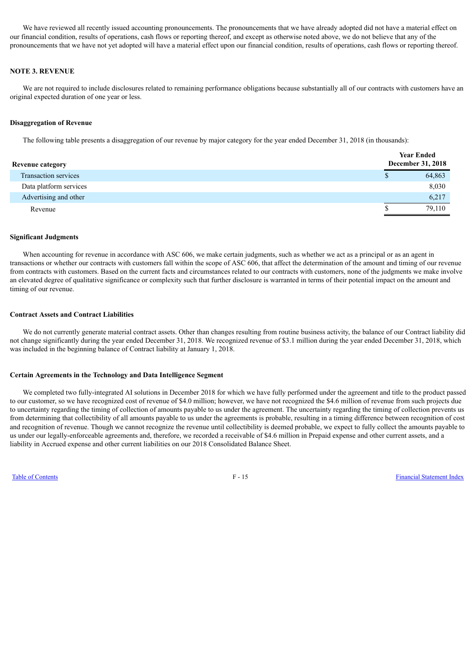We have reviewed all recently issued accounting pronouncements. The pronouncements that we have already adopted did not have a material effect on our financial condition, results of operations, cash flows or reporting thereof, and except as otherwise noted above, we do not believe that any of the pronouncements that we have not yet adopted will have a material effect upon our financial condition, results of operations, cash flows or reporting thereof.

#### **NOTE 3. REVENUE**

We are not required to include disclosures related to remaining performance obligations because substantially all of our contracts with customers have an original expected duration of one year or less.

#### **Disaggregation of Revenue**

The following table presents a disaggregation of our revenue by major category for the year ended December 31, 2018 (in thousands):

| <b>Revenue category</b> | <b>Year Ended</b><br>December 31, 2018 |
|-------------------------|----------------------------------------|
| Transaction services    | 64,863<br>S                            |
| Data platform services  | 8,030                                  |
| Advertising and other   | 6,217                                  |
| Revenue                 | 79,110                                 |

#### **Significant Judgments**

When accounting for revenue in accordance with ASC 606, we make certain judgments, such as whether we act as a principal or as an agent in transactions or whether our contracts with customers fall within the scope of ASC 606, that affect the determination of the amount and timing of our revenue from contracts with customers. Based on the current facts and circumstances related to our contracts with customers, none of the judgments we make involve an elevated degree of qualitative significance or complexity such that further disclosure is warranted in terms of their potential impact on the amount and timing of our revenue.

#### **Contract Assets and Contract Liabilities**

We do not currently generate material contract assets. Other than changes resulting from routine business activity, the balance of our Contract liability did not change significantly during the year ended December 31, 2018. We recognized revenue of \$3.1 million during the year ended December 31, 2018, which was included in the beginning balance of Contract liability at January 1, 2018.

#### **Certain Agreements in the Technology and Data Intelligence Segment**

We completed two fully-integrated AI solutions in December 2018 for which we have fully performed under the agreement and title to the product passed to our customer, so we have recognized cost of revenue of \$4.0 million; however, we have not recognized the \$4.6 million of revenue from such projects due to uncertainty regarding the timing of collection of amounts payable to us under the agreement. The uncertainty regarding the timing of collection prevents us from determining that collectibility of all amounts payable to us under the agreements is probable, resulting in a timing difference between recognition of cost and recognition of revenue. Though we cannot recognize the revenue until collectibility is deemed probable, we expect to fully collect the amounts payable to us under our legally-enforceable agreements and, therefore, we recorded a receivable of \$4.6 million in Prepaid expense and other current assets, and a liability in Accrued expense and other current liabilities on our 2018 Consolidated Balance Sheet.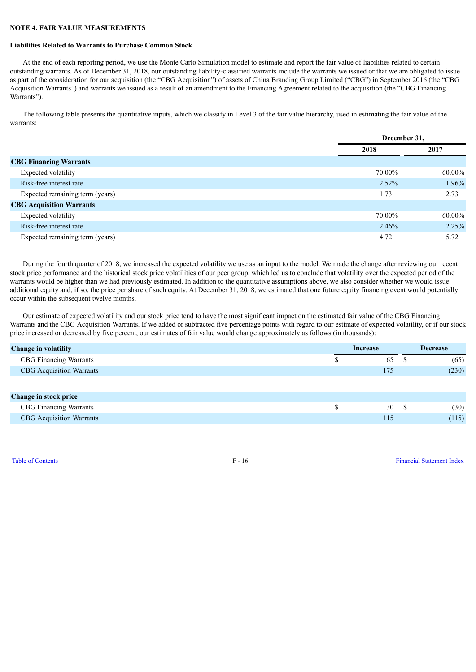# <span id="page-67-0"></span>**NOTE 4. FAIR VALUE MEASUREMENTS**

## **Liabilities Related to Warrants to Purchase Common Stock**

At the end of each reporting period, we use the Monte Carlo Simulation model to estimate and report the fair value of liabilities related to certain outstanding warrants. As of December 31, 2018, our outstanding liability-classified warrants include the warrants we issued or that we are obligated to issue as part of the consideration for our acquisition (the "CBG Acquisition") of assets of China Branding Group Limited ("CBG") in September 2016 (the "CBG Acquisition Warrants") and warrants we issued as a result of an amendment to the Financing Agreement related to the acquisition (the "CBG Financing Warrants").

The following table presents the quantitative inputs, which we classify in Level 3 of the fair value hierarchy, used in estimating the fair value of the warrants:

|                                 | December 31, |        |  |
|---------------------------------|--------------|--------|--|
|                                 | 2018         | 2017   |  |
| <b>CBG Financing Warrants</b>   |              |        |  |
| Expected volatility             | 70.00%       | 60.00% |  |
| Risk-free interest rate         | $2.52\%$     | 1.96%  |  |
| Expected remaining term (years) | 1.73         | 2.73   |  |
| <b>CBG Acquisition Warrants</b> |              |        |  |
| Expected volatility             | 70.00%       | 60.00% |  |
| Risk-free interest rate         | 2.46%        | 2.25%  |  |
| Expected remaining term (years) | 4.72         | 5.72   |  |

During the fourth quarter of 2018, we increased the expected volatility we use as an input to the model. We made the change after reviewing our recent stock price performance and the historical stock price volatilities of our peer group, which led us to conclude that volatility over the expected period of the warrants would be higher than we had previously estimated. In addition to the quantitative assumptions above, we also consider whether we would issue additional equity and, if so, the price per share of such equity. At December 31, 2018, we estimated that one future equity financing event would potentially occur within the subsequent twelve months.

Our estimate of expected volatility and our stock price tend to have the most significant impact on the estimated fair value of the CBG Financing Warrants and the CBG Acquisition Warrants. If we added or subtracted five percentage points with regard to our estimate of expected volatility, or if our stock price increased or decreased by five percent, our estimates of fair value would change approximately as follows (in thousands):

| <b>Change in volatility</b>     |   | Increase |      | <b>Decrease</b> |
|---------------------------------|---|----------|------|-----------------|
| <b>CBG</b> Financing Warrants   |   | 65       | - 75 | (65)            |
| <b>CBG</b> Acquisition Warrants |   | 175      |      | (230)           |
|                                 |   |          |      |                 |
| Change in stock price           |   |          |      |                 |
| <b>CBG Financing Warrants</b>   | ъ | 30       |      | (30)            |
| <b>CBG</b> Acquisition Warrants |   | 115      |      | (115)           |
|                                 |   |          |      |                 |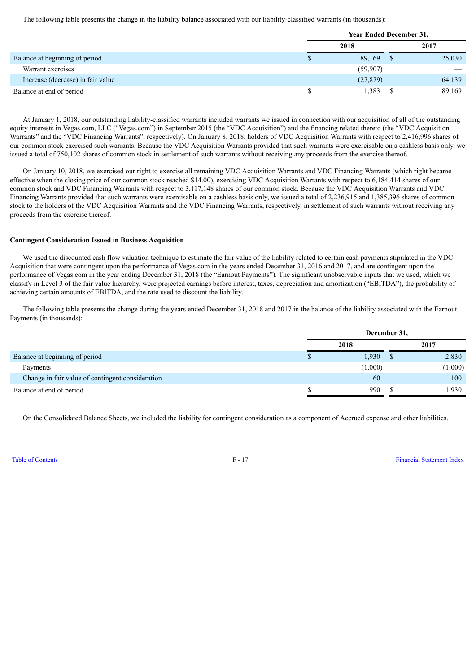The following table presents the change in the liability balance associated with our liability-classified warrants (in thousands):

|                                   |  | <b>Year Ended December 31,</b> |        |        |  |  |
|-----------------------------------|--|--------------------------------|--------|--------|--|--|
|                                   |  | 2018                           | 2017   |        |  |  |
| Balance at beginning of period    |  | 89,169                         | 25,030 |        |  |  |
| Warrant exercises                 |  | __                             |        |        |  |  |
| Increase (decrease) in fair value |  | (27, 879)                      |        | 64,139 |  |  |
| Balance at end of period          |  | .383                           |        | 89,169 |  |  |

At January 1, 2018, our outstanding liability-classified warrants included warrants we issued in connection with our acquisition of all of the outstanding equity interests in Vegas.com, LLC ("Vegas.com") in September 2015 (the "VDC Acquisition") and the financing related thereto (the "VDC Acquisition Warrants" and the "VDC Financing Warrants", respectively). On January 8, 2018, holders of VDC Acquisition Warrants with respect to 2,416,996 shares of our common stock exercised such warrants. Because the VDC Acquisition Warrants provided that such warrants were exercisable on a cashless basis only, we issued a total of 750,102 shares of common stock in settlement of such warrants without receiving any proceeds from the exercise thereof.

On January 10, 2018, we exercised our right to exercise all remaining VDC Acquisition Warrants and VDC Financing Warrants (which right became effective when the closing price of our common stock reached \$14.00), exercising VDC Acquisition Warrants with respect to 6,184,414 shares of our common stock and VDC Financing Warrants with respect to 3,117,148 shares of our common stock. Because the VDC Acquisition Warrants and VDC Financing Warrants provided that such warrants were exercisable on a cashless basis only, we issued a total of 2,236,915 and 1,385,396 shares of common stock to the holders of the VDC Acquisition Warrants and the VDC Financing Warrants, respectively, in settlement of such warrants without receiving any proceeds from the exercise thereof.

## **Contingent Consideration Issued in Business Acquisition**

We used the discounted cash flow valuation technique to estimate the fair value of the liability related to certain cash payments stipulated in the VDC Acquisition that were contingent upon the performance of Vegas.com in the years ended December 31, 2016 and 2017, and are contingent upon the performance of Vegas.com in the year ending December 31, 2018 (the "Earnout Payments"). The significant unobservable inputs that we used, which we classify in Level 3 of the fair value hierarchy, were projected earnings before interest, taxes, depreciation and amortization ("EBITDA"), the probability of achieving certain amounts of EBITDA, and the rate used to discount the liability.

The following table presents the change during the years ended December 31, 2018 and 2017 in the balance of the liability associated with the Earnout Payments (in thousands):

|                                                  | December 31, |         |      |         |  |  |
|--------------------------------------------------|--------------|---------|------|---------|--|--|
|                                                  |              | 2018    | 2017 |         |  |  |
| Balance at beginning of period                   |              | 1,930   |      | 2,830   |  |  |
| Payments                                         |              | (1,000) |      | (1,000) |  |  |
| Change in fair value of contingent consideration |              | 60      |      | 100     |  |  |
| Balance at end of period                         |              | 990     |      | 1,930   |  |  |

On the Consolidated Balance Sheets, we included the liability for contingent consideration as a component of Accrued expense and other liabilities.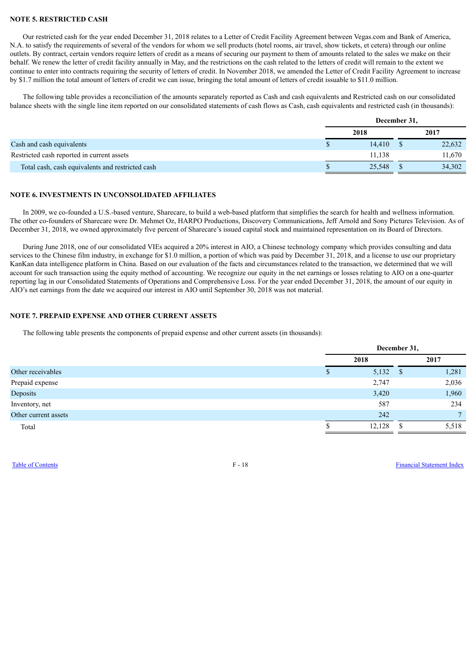## **NOTE 5. RESTRICTED CASH**

Our restricted cash for the year ended December 31, 2018 relates to a Letter of Credit Facility Agreement between Vegas.com and Bank of America, N.A. to satisfy the requirements of several of the vendors for whom we sell products (hotel rooms, air travel, show tickets, et cetera) through our online outlets. By contract, certain vendors require letters of credit as a means of securing our payment to them of amounts related to the sales we make on their behalf. We renew the letter of credit facility annually in May, and the restrictions on the cash related to the letters of credit will remain to the extent we continue to enter into contracts requiring the security of letters of credit. In November 2018, we amended the Letter of Credit Facility Agreement to increase by \$1.7 million the total amount of letters of credit we can issue, bringing the total amount of letters of credit issuable to \$11.0 million.

The following table provides a reconciliation of the amounts separately reported as Cash and cash equivalents and Restricted cash on our consolidated balance sheets with the single line item reported on our consolidated statements of cash flows as Cash, cash equivalents and restricted cash (in thousands):

|                                                  | December 31, |        |  |        |  |
|--------------------------------------------------|--------------|--------|--|--------|--|
|                                                  |              | 2018   |  | 2017   |  |
| Cash and cash equivalents                        |              | 14.410 |  | 22,632 |  |
| Restricted cash reported in current assets       |              | 11.138 |  | 11,670 |  |
| Total cash, cash equivalents and restricted cash |              | 25.548 |  | 34,302 |  |

## <span id="page-69-0"></span>**NOTE 6. INVESTMENTS IN UNCONSOLIDATED AFFILIATES**

In 2009, we co-founded a U.S.-based venture, Sharecare, to build a web-based platform that simplifies the search for health and wellness information. The other co-founders of Sharecare were Dr. Mehmet Oz, HARPO Productions, Discovery Communications, Jeff Arnold and Sony Pictures Television. As of December 31, 2018, we owned approximately five percent of Sharecare's issued capital stock and maintained representation on its Board of Directors.

During June 2018, one of our consolidated VIEs acquired a 20% interest in AIO, a Chinese technology company which provides consulting and data services to the Chinese film industry, in exchange for \$1.0 million, a portion of which was paid by December 31, 2018, and a license to use our proprietary KanKan data intelligence platform in China. Based on our evaluation of the facts and circumstances related to the transaction, we determined that we will account for such transaction using the equity method of accounting. We recognize our equity in the net earnings or losses relating to AIO on a one-quarter reporting lag in our Consolidated Statements of Operations and Comprehensive Loss. For the year ended December 31, 2018, the amount of our equity in AIO's net earnings from the date we acquired our interest in AIO until September 30, 2018 was not material.

## **NOTE 7. PREPAID EXPENSE AND OTHER CURRENT ASSETS**

The following table presents the components of prepaid expense and other current assets (in thousands):

|                      | December 31, |  |              |  |  |
|----------------------|--------------|--|--------------|--|--|
| Other receivables    | 2018         |  | 2017         |  |  |
|                      | $5,132$ \$   |  | 1,281        |  |  |
| Prepaid expense      | 2,747        |  | 2,036        |  |  |
| Deposits             | 3,420        |  | 1,960        |  |  |
| Inventory, net       | 587          |  | 234          |  |  |
| Other current assets | 242          |  | $\mathbf{z}$ |  |  |
| Total                | 12,128       |  | 5,518        |  |  |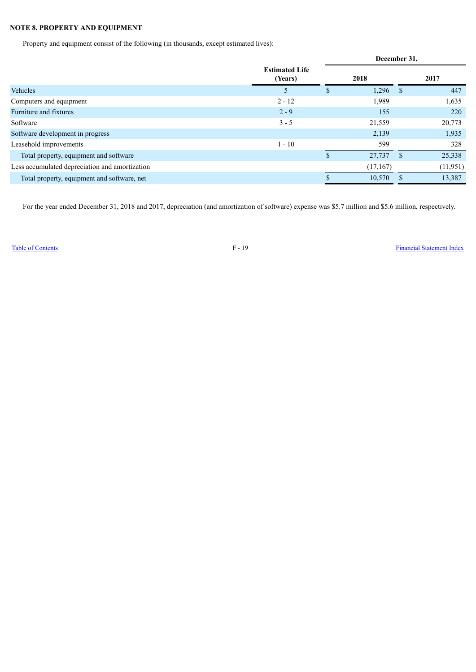# **NOTE 8. PROPERTY AND EQUIPMENT**

Property and equipment consist of the following (in thousands, except estimated lives):

|                                                |                                  |      | December 31. |  |            |  |  |  |
|------------------------------------------------|----------------------------------|------|--------------|--|------------|--|--|--|
|                                                | <b>Estimated Life</b><br>(Years) | 2018 |              |  | 2017       |  |  |  |
| Vehicles                                       | 5                                | S    | $1,296$ \$   |  | 447        |  |  |  |
| Computers and equipment                        | $2 - 12$                         |      | 1,989        |  | 1,635      |  |  |  |
| Furniture and fixtures                         | $2 - 9$                          |      | 155          |  | <b>220</b> |  |  |  |
| Software                                       | $3 - 5$                          |      | 21,559       |  | 20,773     |  |  |  |
| Software development in progress               |                                  |      | 2,139        |  | 1,935      |  |  |  |
| Leasehold improvements                         | $1 - 10$                         |      | 599          |  | 328        |  |  |  |
| Total property, equipment and software         |                                  |      | $27,737$ \$  |  | 25,338     |  |  |  |
| Less accumulated depreciation and amortization |                                  |      | (17,167)     |  | (11, 951)  |  |  |  |
| Total property, equipment and software, net    |                                  |      | 10,570       |  | 13,387     |  |  |  |

For the year ended December 31, 2018 and 2017, depreciation (and amortization of software) expense was \$5.7 million and \$5.6 million, respectively.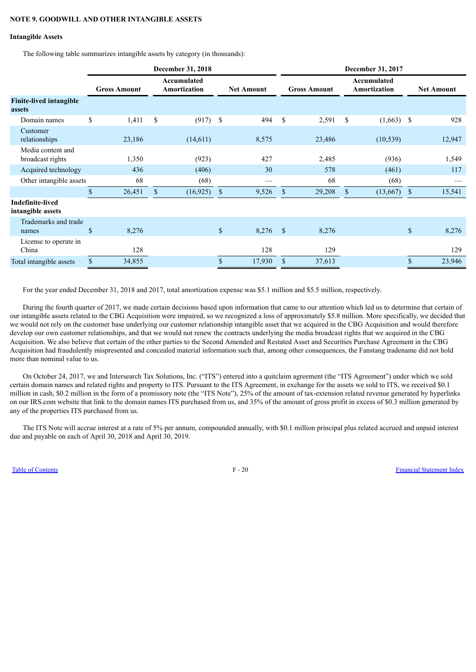# <span id="page-71-0"></span>**NOTE 9. GOODWILL AND OTHER INTANGIBLE ASSETS**

#### **Intangible Assets**

The following table summarizes intangible assets by category (in thousands):

|                                              | December 31, 2018 |                     |              |                             | December 31, 2017 |                   |               |                     |              |                                    |              |                   |
|----------------------------------------------|-------------------|---------------------|--------------|-----------------------------|-------------------|-------------------|---------------|---------------------|--------------|------------------------------------|--------------|-------------------|
|                                              |                   | <b>Gross Amount</b> |              | Accumulated<br>Amortization |                   | <b>Net Amount</b> |               | <b>Gross Amount</b> |              | <b>Accumulated</b><br>Amortization |              | <b>Net Amount</b> |
| <b>Finite-lived intangible</b><br>assets     |                   |                     |              |                             |                   |                   |               |                     |              |                                    |              |                   |
| Domain names                                 | \$                | 1,411               | \$           | (917)                       | -\$               | 494               | \$            | 2,591               | \$           | $(1,663)$ \$                       |              | 928               |
| Customer<br>relationships                    |                   | 23,186              |              | (14,611)                    |                   | 8,575             |               | 23,486              |              | (10, 539)                          |              | 12,947            |
| Media content and<br>broadcast rights        |                   | 1,350               |              | (923)                       |                   | 427               |               | 2,485               |              | (936)                              |              | 1,549             |
| Acquired technology                          |                   | 436                 |              | (406)                       |                   | 30                |               | 578                 |              | (461)                              |              | 117               |
| Other intangible assets                      |                   | 68                  |              | (68)                        |                   |                   |               | 68                  |              | (68)                               |              |                   |
|                                              | $\mathbf{s}$      | 26,451              | $\mathbb{S}$ | (16, 925)                   | $\mathbb{S}$      | 9,526             | $\mathcal{S}$ | 29,208              | $\mathbb{S}$ | (13, 667)                          | $\mathbf{s}$ | 15,541            |
| <b>Indefinite-lived</b><br>intangible assets |                   |                     |              |                             |                   |                   |               |                     |              |                                    |              |                   |
| Trademarks and trade<br>names                | $\mathcal{S}$     | 8,276               |              |                             | \$                | 8,276             | $\mathcal{S}$ | 8,276               |              |                                    | \$           | 8,276             |
| License to operate in<br>China               |                   | 128                 |              |                             |                   | 128               |               | 129                 |              |                                    |              | 129               |
| Total intangible assets                      | \$                | 34,855              |              |                             | \$                | 17,930            | \$            | 37,613              |              |                                    | $\mathbf S$  | 23,946            |

For the year ended December 31, 2018 and 2017, total amortization expense was \$5.1 million and \$5.5 million, respectively.

During the fourth quarter of 2017, we made certain decisions based upon information that came to our attention which led us to determine that certain of our intangible assets related to the CBG Acquisition were impaired, so we recognized a loss of approximately \$5.8 million. More specifically, we decided that we would not rely on the customer base underlying our customer relationship intangible asset that we acquired in the CBG Acquisition and would therefore develop our own customer relationships, and that we would not renew the contracts underlying the media broadcast rights that we acquired in the CBG Acquisition. We also believe that certain of the other parties to the Second Amended and Restated Asset and Securities Purchase Agreement in the CBG Acquisition had fraudulently mispresented and concealed material information such that, among other consequences, the Fanstang tradename did not hold more than nominal value to us.

On October 24, 2017, we and Intersearch Tax Solutions, Inc. ("ITS") entered into a quitclaim agreement (the "ITS Agreement") under which we sold certain domain names and related rights and property to ITS. Pursuant to the ITS Agreement, in exchange for the assets we sold to ITS, we received \$0.1 million in cash, \$0.2 million in the form of a promissory note (the "ITS Note"), 25% of the amount of tax-extension related revenue generated by hyperlinks on our IRS.com website that link to the domain names ITS purchased from us, and 35% of the amount of gross profit in excess of \$0.3 million generated by any of the properties ITS purchased from us.

The ITS Note will accrue interest at a rate of 5% per annum, compounded annually, with \$0.1 million principal plus related accrued and unpaid interest due and payable on each of April 30, 2018 and April 30, 2019.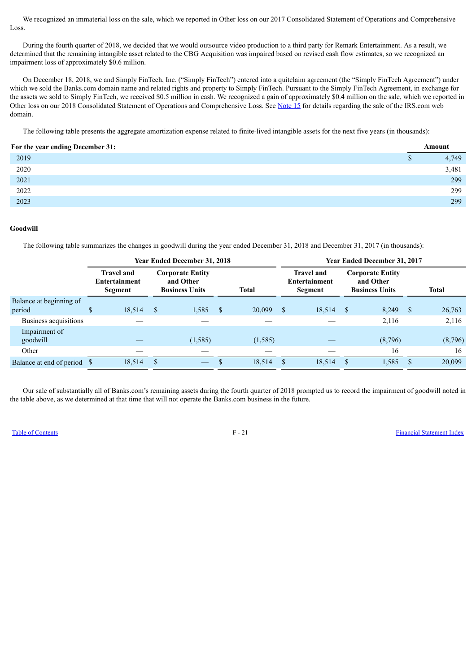We recognized an immaterial loss on the sale, which we reported in Other loss on our 2017 Consolidated Statement of Operations and Comprehensive Loss.

During the fourth quarter of 2018, we decided that we would outsource video production to a third party for Remark Entertainment. As a result, we determined that the remaining intangible asset related to the CBG Acquisition was impaired based on revised cash flow estimates, so we recognized an impairment loss of approximately \$0.6 million.

On December 18, 2018, we and Simply FinTech, Inc. ("Simply FinTech") entered into a quitclaim agreement (the "Simply FinTech Agreement") under which we sold the Banks.com domain name and related rights and property to Simply FinTech. Pursuant to the Simply FinTech Agreement, in exchange for the assets we sold to Simply FinTech, we received \$0.5 million in cash. We recognized a gain of approximately \$0.4 million on the sale, which we reported in Other loss on our 2018 Consolidated Statement of Operations and Comprehensive Loss. See [Note](#page-84-0) 15 for details regarding the sale of the IRS.com web domain.

The following table presents the aggregate amortization expense related to finite-lived intangible assets for the next five years (in thousands):

### **For the year ending December 31: Amount**

| $\cdot$  | $\overline{\phantom{a}}$ |   |       |
|----------|--------------------------|---|-------|
| 2019     |                          | S | 4,749 |
| $2020\,$ |                          |   | 3,481 |
| 2021     |                          |   | 299   |
| 2022     |                          |   | 299   |
| 2023     |                          |   | 299   |

### **Goodwill**

The following table summarizes the changes in goodwill during the year ended December 31, 2018 and December 31, 2017 (in thousands):

|                                   | <b>Year Ended December 31, 2018</b> |                                                      |     |                                                               | <b>Year Ended December 31, 2017</b> |              |    |                                                      |              |                                                               |      |              |
|-----------------------------------|-------------------------------------|------------------------------------------------------|-----|---------------------------------------------------------------|-------------------------------------|--------------|----|------------------------------------------------------|--------------|---------------------------------------------------------------|------|--------------|
|                                   |                                     | <b>Travel and</b><br><b>Entertainment</b><br>Segment |     | <b>Corporate Entity</b><br>and Other<br><b>Business Units</b> |                                     | <b>Total</b> |    | <b>Travel and</b><br><b>Entertainment</b><br>Segment |              | <b>Corporate Entity</b><br>and Other<br><b>Business Units</b> |      | <b>Total</b> |
| Balance at beginning of<br>period |                                     | 18,514                                               | -\$ | 1,585                                                         | - \$                                | 20,099       | \$ | 18,514                                               | <sup>S</sup> | 8,249                                                         | - \$ | 26,763       |
| Business acquisitions             |                                     |                                                      |     |                                                               |                                     |              |    |                                                      |              | 2,116                                                         |      | 2,116        |
| Impairment of<br>goodwill         |                                     |                                                      |     | (1,585)                                                       |                                     | (1,585)      |    |                                                      |              | (8,796)                                                       |      | (8,796)      |
| Other                             |                                     |                                                      |     |                                                               |                                     |              |    |                                                      |              | 16                                                            |      | 16           |
| Balance at end of period          |                                     | 18,514                                               | \$  | $\overline{\phantom{0}}$                                      |                                     | 18,514       |    | 18,514                                               | \$.          | 1,585                                                         |      | 20,099       |

Our sale of substantially all of Banks.com's remaining assets during the fourth quarter of 2018 prompted us to record the impairment of goodwill noted in the table above, as we determined at that time that will not operate the Banks.com business in the future.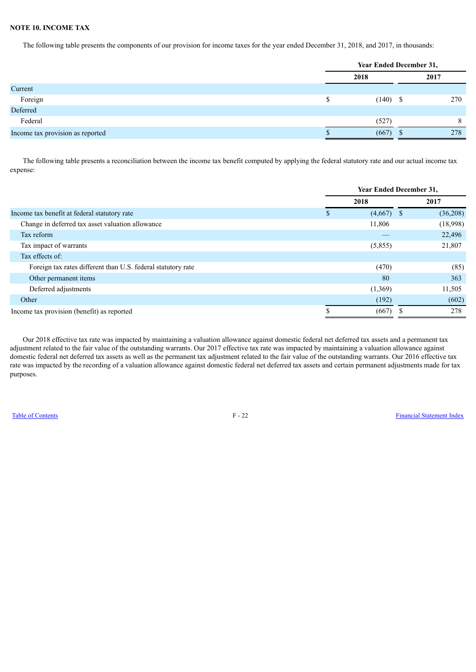# **NOTE 10. INCOME TAX**

The following table presents the components of our provision for income taxes for the year ended December 31, 2018, and 2017, in thousands:

|                                  | <b>Year Ended December 31,</b> |  |      |  |  |
|----------------------------------|--------------------------------|--|------|--|--|
|                                  | 2018                           |  | 2017 |  |  |
| Current                          |                                |  |      |  |  |
| Foreign                          | $(140)$ \$                     |  | 270  |  |  |
| Deferred                         |                                |  |      |  |  |
| Federal                          | (527)                          |  | 8    |  |  |
| Income tax provision as reported | (667)                          |  | 278  |  |  |

The following table presents a reconciliation between the income tax benefit computed by applying the federal statutory rate and our actual income tax expense:

|                                                              |   | <b>Year Ended December 31,</b> |  |          |  |
|--------------------------------------------------------------|---|--------------------------------|--|----------|--|
|                                                              |   | 2018                           |  | 2017     |  |
| Income tax benefit at federal statutory rate                 | S | $(4,667)$ \$                   |  | (36,208) |  |
| Change in deferred tax asset valuation allowance             |   | 11,806                         |  | (18,998) |  |
| Tax reform                                                   |   |                                |  | 22,496   |  |
| Tax impact of warrants                                       |   | (5,855)                        |  | 21,807   |  |
| Tax effects of:                                              |   |                                |  |          |  |
| Foreign tax rates different than U.S. federal statutory rate |   | (470)                          |  | (85)     |  |
| Other permanent items                                        |   | 80                             |  | 363      |  |
| Deferred adjustments                                         |   | (1,369)                        |  | 11,505   |  |
| Other                                                        |   | (192)                          |  | (602)    |  |
| Income tax provision (benefit) as reported                   |   | (667)                          |  | 278      |  |
|                                                              |   |                                |  |          |  |

Our 2018 effective tax rate was impacted by maintaining a valuation allowance against domestic federal net deferred tax assets and a permanent tax adjustment related to the fair value of the outstanding warrants. Our 2017 effective tax rate was impacted by maintaining a valuation allowance against domestic federal net deferred tax assets as well as the permanent tax adjustment related to the fair value of the outstanding warrants. Our 2016 effective tax rate was impacted by the recording of a valuation allowance against domestic federal net deferred tax assets and certain permanent adjustments made for tax purposes.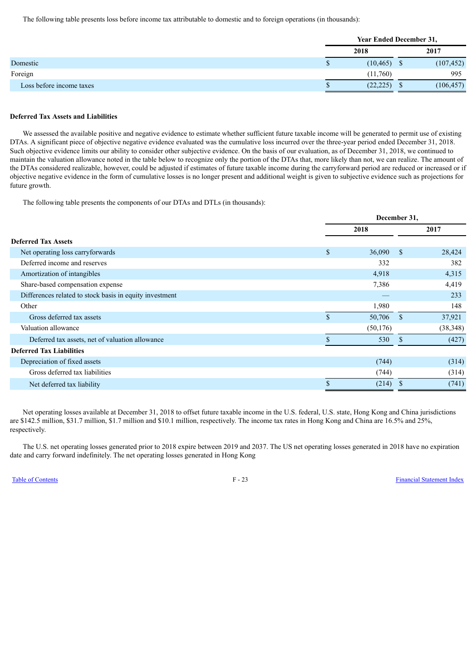The following table presents loss before income tax attributable to domestic and to foreign operations (in thousands):

|                          |    | <b>Year Ended December 31,</b> |  |            |  |  |
|--------------------------|----|--------------------------------|--|------------|--|--|
|                          |    | 2018                           |  | 2017       |  |  |
| Domestic                 | D. | $(10, 465)$ \$                 |  | (107, 452) |  |  |
| Foreign                  |    | (11,760)                       |  | 995        |  |  |
| Loss before income taxes |    | (22, 225)                      |  | (106, 457) |  |  |

## **Deferred Tax Assets and Liabilities**

We assessed the available positive and negative evidence to estimate whether sufficient future taxable income will be generated to permit use of existing DTAs. A significant piece of objective negative evidence evaluated was the cumulative loss incurred over the three-year period ended December 31, 2018. Such objective evidence limits our ability to consider other subjective evidence. On the basis of our evaluation, as of December 31, 2018, we continued to maintain the valuation allowance noted in the table below to recognize only the portion of the DTAs that, more likely than not, we can realize. The amount of the DTAs considered realizable, however, could be adjusted if estimates of future taxable income during the carryforward period are reduced or increased or if objective negative evidence in the form of cumulative losses is no longer present and additional weight is given to subjective evidence such as projections for future growth.

The following table presents the components of our DTAs and DTLs (in thousands):

|                                                         | December 31, |           |               |           |
|---------------------------------------------------------|--------------|-----------|---------------|-----------|
|                                                         |              | 2018      |               | 2017      |
| <b>Deferred Tax Assets</b>                              |              |           |               |           |
| Net operating loss carryforwards                        | \$           | 36,090    | - \$          | 28,424    |
| Deferred income and reserves                            |              | 332       |               | 382       |
| Amortization of intangibles                             |              | 4,918     |               | 4,315     |
| Share-based compensation expense                        |              | 7,386     |               | 4,419     |
| Differences related to stock basis in equity investment |              |           |               | 233       |
| Other                                                   |              | 1,980     |               | 148       |
| Gross deferred tax assets                               | \$           | 50,706    | <sup>S</sup>  | 37,921    |
| Valuation allowance                                     |              | (50, 176) |               | (38, 348) |
| Deferred tax assets, net of valuation allowance         | Ъ            | 530       | <sup>\$</sup> | (427)     |
| <b>Deferred Tax Liabilities</b>                         |              |           |               |           |
| Depreciation of fixed assets                            |              | (744)     |               | (314)     |
| Gross deferred tax liabilities                          |              | (744)     |               | (314)     |
| Net deferred tax liability                              |              | (214)     | <sup>8</sup>  | (741)     |

Net operating losses available at December 31, 2018 to offset future taxable income in the U.S. federal, U.S. state, Hong Kong and China jurisdictions are \$142.5 million, \$31.7 million, \$1.7 million and \$10.1 million, respectively. The income tax rates in Hong Kong and China are 16.5% and 25%, respectively.

The U.S. net operating losses generated prior to 2018 expire between 2019 and 2037. The US net operating losses generated in 2018 have no expiration date and carry forward indefinitely. The net operating losses generated in Hong Kong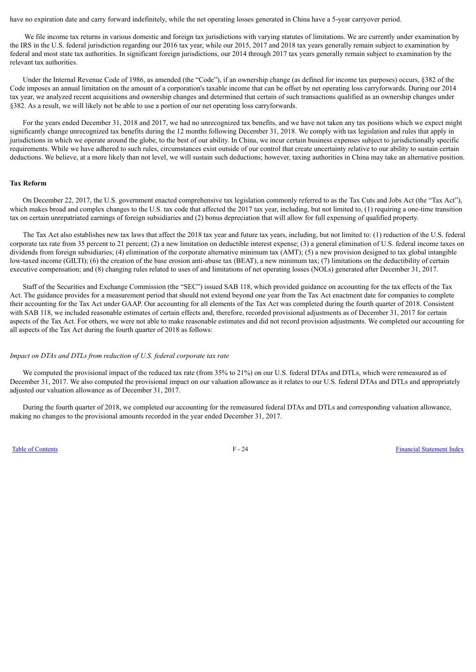have no expiration date and carry forward indefinitely, while the net operating losses generated in China have a 5-year carryover period.

We file income tax returns in various domestic and foreign tax jurisdictions with varying statutes of limitations. We are currently under examination by the IRS in the U.S. federal jurisdiction regarding our 2016 tax year, while our 2015, 2017 and 2018 tax years generally remain subject to examination by federal and most state tax authorities. In significant foreign jurisdictions, our 2014 through 2017 tax years generally remain subject to examination by the relevant tax authorities.

Under the Internal Revenue Code of 1986, as amended (the "Code"), if an ownership change (as defined for income tax purposes) occurs, §382 of the Code imposes an annual limitation on the amount of a corporation's taxable income that can be offset by net operating loss carryforwards. During our 2014 tax year, we analyzed recent acquisitions and ownership changes and determined that certain of such transactions qualified as an ownership changes under §382. As a result, we will likely not be able to use a portion of our net operating loss carryforwards.

For the years ended December 31, 2018 and 2017, we had no unrecognized tax benefits, and we have not taken any tax positions which we expect might significantly change unrecognized tax benefits during the 12 months following December 31, 2018. We comply with tax legislation and rules that apply in jurisdictions in which we operate around the globe, to the best of our ability. In China, we incur certain business expenses subject to jurisdictionally specific requirements. While we have adhered to such rules, circumstances exist outside of our control that create uncertainty relative to our ability to sustain certain deductions. We believe, at a more likely than not level, we will sustain such deductions; however, taxing authorities in China may take an alternative position.

### **Tax Reform**

On December 22, 2017, the U.S. government enacted comprehensive tax legislation commonly referred to as the Tax Cuts and Jobs Act (the "Tax Act"), which makes broad and complex changes to the U.S. tax code that affected the 2017 tax year, including, but not limited to, (1) requiring a one-time transition tax on certain unrepatriated earnings of foreign subsidiaries and (2) bonus depreciation that will allow for full expensing of qualified property.

The Tax Act also establishes new tax laws that affect the 2018 tax year and future tax years, including, but not limited to: (1) reduction of the U.S. federal corporate tax rate from 35 percent to 21 percent; (2) a new limitation on deductible interest expense; (3) a general elimination of U.S. federal income taxes on dividends from foreign subsidiaries; (4) elimination of the corporate alternative minimum tax (AMT); (5) a new provision designed to tax global intangible low-taxed income (GILTI); (6) the creation of the base erosion anti-abuse tax (BEAT), a new minimum tax; (7) limitations on the deductibility of certain executive compensation; and (8) changing rules related to uses of and limitations of net operating losses (NOLs) generated after December 31, 2017.

Staff of the Securities and Exchange Commission (the "SEC") issued SAB 118, which provided guidance on accounting for the tax effects of the Tax Act. The guidance provides for a measurement period that should not extend beyond one year from the Tax Act enactment date for companies to complete their accounting for the Tax Act under GAAP. Our accounting for all elements of the Tax Act was completed during the fourth quarter of 2018. Consistent with SAB 118, we included reasonable estimates of certain effects and, therefore, recorded provisional adjustments as of December 31, 2017 for certain aspects of the Tax Act. For others, we were not able to make reasonable estimates and did not record provision adjustments. We completed our accounting for all aspects of the Tax Act during the fourth quarter of 2018 as follows:

## *Impact on DTAs and DTLs from reduction of U.S. federal corporate tax rate*

We computed the provisional impact of the reduced tax rate (from 35% to 21%) on our U.S. federal DTAs and DTLs, which were remeasured as of December 31, 2017. We also computed the provisional impact on our valuation allowance as it relates to our U.S. federal DTAs and DTLs and appropriately adjusted our valuation allowance as of December 31, 2017.

During the fourth quarter of 2018, we completed our accounting for the remeasured federal DTAs and DTLs and corresponding valuation allowance, making no changes to the provisional amounts recorded in the year ended December 31, 2017.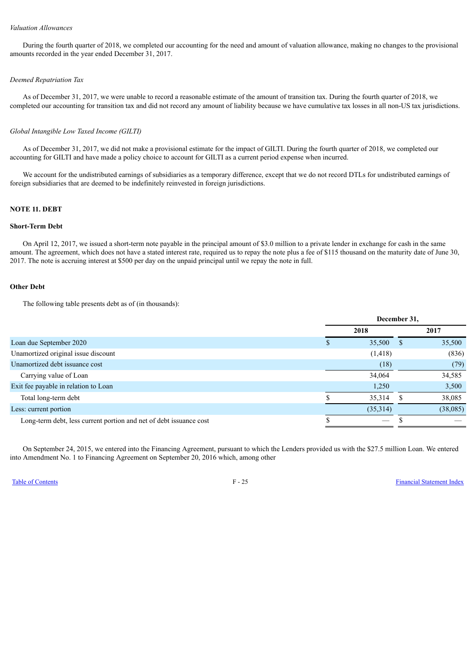## *Valuation Allowances*

During the fourth quarter of 2018, we completed our accounting for the need and amount of valuation allowance, making no changes to the provisional amounts recorded in the year ended December 31, 2017.

### *Deemed Repatriation Tax*

As of December 31, 2017, we were unable to record a reasonable estimate of the amount of transition tax. During the fourth quarter of 2018, we completed our accounting for transition tax and did not record any amount of liability because we have cumulative tax losses in all non-US tax jurisdictions.

#### *Global Intangible Low Taxed Income (GILTI)*

As of December 31, 2017, we did not make a provisional estimate for the impact of GILTI. During the fourth quarter of 2018, we completed our accounting for GILTI and have made a policy choice to account for GILTI as a current period expense when incurred.

We account for the undistributed earnings of subsidiaries as a temporary difference, except that we do not record DTLs for undistributed earnings of foreign subsidiaries that are deemed to be indefinitely reinvested in foreign jurisdictions.

# **NOTE 11. DEBT**

## **Short-Term Debt**

On April 12, 2017, we issued a short-term note payable in the principal amount of \$3.0 million to a private lender in exchange for cash in the same amount. The agreement, which does not have a stated interest rate, required us to repay the note plus a fee of \$115 thousand on the maturity date of June 30, 2017. The note is accruing interest at \$500 per day on the unpaid principal until we repay the note in full.

### **Other Debt**

The following table presents debt as of (in thousands):

|                                                                    | December 31, |          |   |          |
|--------------------------------------------------------------------|--------------|----------|---|----------|
|                                                                    |              | 2018     |   | 2017     |
| Loan due September 2020                                            |              | 35,500   | S | 35,500   |
| Unamortized original issue discount                                |              | (1, 418) |   | (836)    |
| Unamortized debt issuance cost                                     |              | (18)     |   | (79)     |
| Carrying value of Loan                                             |              | 34,064   |   | 34,585   |
| Exit fee payable in relation to Loan                               |              | 1,250    |   | 3,500    |
| Total long-term debt                                               |              | 35,314   |   | 38,085   |
| Less: current portion                                              |              | (35,314) |   | (38,085) |
| Long-term debt, less current portion and net of debt issuance cost |              |          |   |          |

On September 24, 2015, we entered into the Financing Agreement, pursuant to which the Lenders provided us with the \$27.5 million Loan. We entered into Amendment No. 1 to Financing Agreement on September 20, 2016 which, among other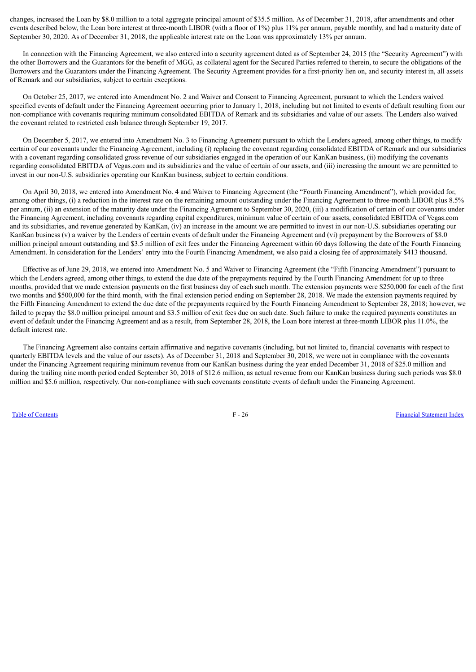changes, increased the Loan by \$8.0 million to a total aggregate principal amount of \$35.5 million. As of December 31, 2018, after amendments and other events described below, the Loan bore interest at three-month LIBOR (with a floor of 1%) plus 11% per annum, payable monthly, and had a maturity date of September 30, 2020. As of December 31, 2018, the applicable interest rate on the Loan was approximately 13% per annum.

In connection with the Financing Agreement, we also entered into a security agreement dated as of September 24, 2015 (the "Security Agreement") with the other Borrowers and the Guarantors for the benefit of MGG, as collateral agent for the Secured Parties referred to therein, to secure the obligations of the Borrowers and the Guarantors under the Financing Agreement. The Security Agreement provides for a first-priority lien on, and security interest in, all assets of Remark and our subsidiaries, subject to certain exceptions.

On October 25, 2017, we entered into Amendment No. 2 and Waiver and Consent to Financing Agreement, pursuant to which the Lenders waived specified events of default under the Financing Agreement occurring prior to January 1, 2018, including but not limited to events of default resulting from our non-compliance with covenants requiring minimum consolidated EBITDA of Remark and its subsidiaries and value of our assets. The Lenders also waived the covenant related to restricted cash balance through September 19, 2017.

On December 5, 2017, we entered into Amendment No. 3 to Financing Agreement pursuant to which the Lenders agreed, among other things, to modify certain of our covenants under the Financing Agreement, including (i) replacing the covenant regarding consolidated EBITDA of Remark and our subsidiaries with a covenant regarding consolidated gross revenue of our subsidiaries engaged in the operation of our KanKan business, (ii) modifying the covenants regarding consolidated EBITDA of Vegas.com and its subsidiaries and the value of certain of our assets, and (iii) increasing the amount we are permitted to invest in our non-U.S. subsidiaries operating our KanKan business, subject to certain conditions.

On April 30, 2018, we entered into Amendment No. 4 and Waiver to Financing Agreement (the "Fourth Financing Amendment"), which provided for, among other things, (i) a reduction in the interest rate on the remaining amount outstanding under the Financing Agreement to three-month LIBOR plus 8.5% per annum, (ii) an extension of the maturity date under the Financing Agreement to September 30, 2020, (iii) a modification of certain of our covenants under the Financing Agreement, including covenants regarding capital expenditures, minimum value of certain of our assets, consolidated EBITDA of Vegas.com and its subsidiaries, and revenue generated by KanKan, (iv) an increase in the amount we are permitted to invest in our non-U.S. subsidiaries operating our KanKan business (v) a waiver by the Lenders of certain events of default under the Financing Agreement and (vi) prepayment by the Borrowers of \$8.0 million principal amount outstanding and \$3.5 million of exit fees under the Financing Agreement within 60 days following the date of the Fourth Financing Amendment. In consideration for the Lenders' entry into the Fourth Financing Amendment, we also paid a closing fee of approximately \$413 thousand.

Effective as of June 29, 2018, we entered into Amendment No. 5 and Waiver to Financing Agreement (the "Fifth Financing Amendment") pursuant to which the Lenders agreed, among other things, to extend the due date of the prepayments required by the Fourth Financing Amendment for up to three months, provided that we made extension payments on the first business day of each such month. The extension payments were \$250,000 for each of the first two months and \$500,000 for the third month, with the final extension period ending on September 28, 2018. We made the extension payments required by the Fifth Financing Amendment to extend the due date of the prepayments required by the Fourth Financing Amendment to September 28, 2018; however, we failed to prepay the \$8.0 million principal amount and \$3.5 million of exit fees due on such date. Such failure to make the required payments constitutes an event of default under the Financing Agreement and as a result, from September 28, 2018, the Loan bore interest at three-month LIBOR plus 11.0%, the default interest rate.

The Financing Agreement also contains certain affirmative and negative covenants (including, but not limited to, financial covenants with respect to quarterly EBITDA levels and the value of our assets). As of December 31, 2018 and September 30, 2018, we were not in compliance with the covenants under the Financing Agreement requiring minimum revenue from our KanKan business during the year ended December 31, 2018 of \$25.0 million and during the trailing nine month period ended September 30, 2018 of \$12.6 million, as actual revenue from our KanKan business during such periods was \$8.0 million and \$5.6 million, respectively. Our non-compliance with such covenants constitute events of default under the Financing Agreement.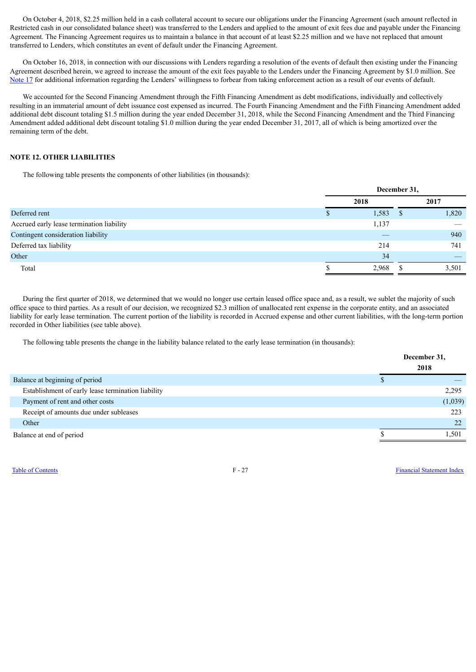On October 4, 2018, \$2.25 million held in a cash collateral account to secure our obligations under the Financing Agreement (such amount reflected in Restricted cash in our consolidated balance sheet) was transferred to the Lenders and applied to the amount of exit fees due and payable under the Financing Agreement. The Financing Agreement requires us to maintain a balance in that account of at least \$2.25 million and we have not replaced that amount transferred to Lenders, which constitutes an event of default under the Financing Agreement.

On October 16, 2018, in connection with our discussions with Lenders regarding a resolution of the events of default then existing under the Financing Agreement described herein, we agreed to increase the amount of the exit fees payable to the Lenders under the Financing Agreement by \$1.0 million. See [Note](#page-86-0) 17 for additional information regarding the Lenders' willingness to forbear from taking enforcement action as a result of our events of default.

We accounted for the Second Financing Amendment through the Fifth Financing Amendment as debt modifications, individually and collectively resulting in an immaterial amount of debt issuance cost expensed as incurred. The Fourth Financing Amendment and the Fifth Financing Amendment added additional debt discount totaling \$1.5 million during the year ended December 31, 2018, while the Second Financing Amendment and the Third Financing Amendment added additional debt discount totaling \$1.0 million during the year ended December 31, 2017, all of which is being amortized over the remaining term of the debt.

# **NOTE 12. OTHER LIABILITIES**

The following table presents the components of other liabilities (in thousands):

|                                           | December 31, |    |       |  |
|-------------------------------------------|--------------|----|-------|--|
|                                           | 2018         |    | 2017  |  |
| Deferred rent                             | 1,583        | -S | 1,820 |  |
| Accrued early lease termination liability | 1,137        |    |       |  |
| Contingent consideration liability        |              |    | 940   |  |
| Deferred tax liability                    | 214          |    | 741   |  |
| Other                                     | 34           |    |       |  |
| Total                                     | 2.968        | S  | 3,501 |  |
|                                           |              |    |       |  |

During the first quarter of 2018, we determined that we would no longer use certain leased office space and, as a result, we sublet the majority of such office space to third parties. As a result of our decision, we recognized \$2.3 million of unallocated rent expense in the corporate entity, and an associated liability for early lease termination. The current portion of the liability is recorded in Accrued expense and other current liabilities, with the long-term portion recorded in Other liabilities (see table above).

The following table presents the change in the liability balance related to the early lease termination (in thousands):

|                                                    | December 31, |         |
|----------------------------------------------------|--------------|---------|
|                                                    | 2018         |         |
| Balance at beginning of period                     |              |         |
| Establishment of early lease termination liability |              | 2,295   |
| Payment of rent and other costs                    |              | (1,039) |
| Receipt of amounts due under subleases             |              | 223     |
| Other                                              |              | 22      |
| Balance at end of period                           |              | l.501   |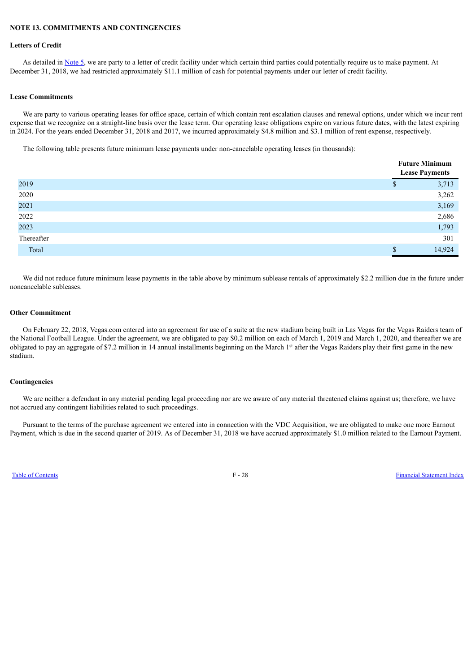# **NOTE 13. COMMITMENTS AND CONTINGENCIES**

### **Letters of Credit**

As detailed in <u>[Note](#page-69-0) 5</u>, we are party to a letter of credit facility under which certain third parties could potentially require us to make payment. At December 31, 2018, we had restricted approximately \$11.1 million of cash for potential payments under our letter of credit facility.

### **Lease Commitments**

We are party to various operating leases for office space, certain of which contain rent escalation clauses and renewal options, under which we incur rent expense that we recognize on a straight-line basis over the lease term. Our operating lease obligations expire on various future dates, with the latest expiring in 2024. For the years ended December 31, 2018 and 2017, we incurred approximately \$4.8 million and \$3.1 million of rent expense, respectively.

The following table presents future minimum lease payments under non-cancelable operating leases (in thousands):

|            | <b>Future Minimum</b><br><b>Lease Payments</b> |
|------------|------------------------------------------------|
| 2019       | 3,713<br>Φ                                     |
| 2020       | 3,262                                          |
| 2021       | 3,169                                          |
| 2022       | 2,686                                          |
| 2023       | 1,793                                          |
| Thereafter | 301                                            |
| Total      | 14,924                                         |

We did not reduce future minimum lease payments in the table above by minimum sublease rentals of approximately \$2.2 million due in the future under noncancelable subleases.

# **Other Commitment**

On February 22, 2018, Vegas.com entered into an agreement for use of a suite at the new stadium being built in Las Vegas for the Vegas Raiders team of the National Football League. Under the agreement, we are obligated to pay \$0.2 million on each of March 1, 2019 and March 1, 2020, and thereafter we are obligated to pay an aggregate of \$7.2 million in 14 annual installments beginning on the March 1<sup>st</sup> after the Vegas Raiders play their first game in the new stadium.

### **Contingencies**

We are neither a defendant in any material pending legal proceeding nor are we aware of any material threatened claims against us; therefore, we have not accrued any contingent liabilities related to such proceedings.

Pursuant to the terms of the purchase agreement we entered into in connection with the VDC Acquisition, we are obligated to make one more Earnout Payment, which is due in the second quarter of 2019. As of December 31, 2018 we have accrued approximately \$1.0 million related to the Earnout Payment.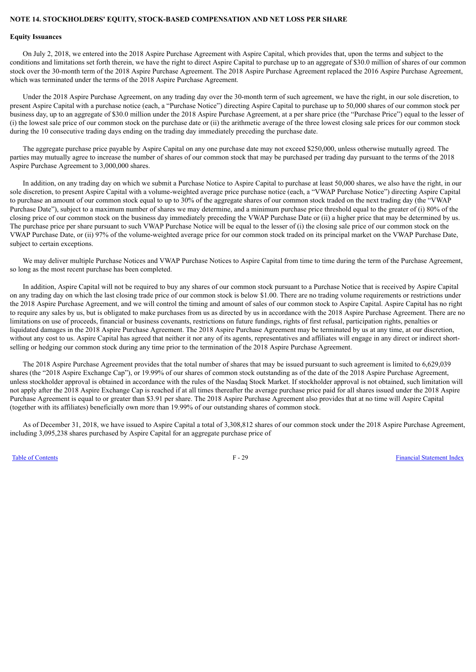## **NOTE 14. STOCKHOLDERS' EQUITY, STOCK-BASED COMPENSATION AND NET LOSS PER SHARE**

#### **Equity Issuances**

On July 2, 2018, we entered into the 2018 Aspire Purchase Agreement with Aspire Capital, which provides that, upon the terms and subject to the conditions and limitations set forth therein, we have the right to direct Aspire Capital to purchase up to an aggregate of \$30.0 million of shares of our common stock over the 30-month term of the 2018 Aspire Purchase Agreement. The 2018 Aspire Purchase Agreement replaced the 2016 Aspire Purchase Agreement, which was terminated under the terms of the 2018 Aspire Purchase Agreement.

Under the 2018 Aspire Purchase Agreement, on any trading day over the 30-month term of such agreement, we have the right, in our sole discretion, to present Aspire Capital with a purchase notice (each, a "Purchase Notice") directing Aspire Capital to purchase up to 50,000 shares of our common stock per business day, up to an aggregate of \$30.0 million under the 2018 Aspire Purchase Agreement, at a per share price (the "Purchase Price") equal to the lesser of (i) the lowest sale price of our common stock on the purchase date or (ii) the arithmetic average of the three lowest closing sale prices for our common stock during the 10 consecutive trading days ending on the trading day immediately preceding the purchase date.

The aggregate purchase price payable by Aspire Capital on any one purchase date may not exceed \$250,000, unless otherwise mutually agreed. The parties may mutually agree to increase the number of shares of our common stock that may be purchased per trading day pursuant to the terms of the 2018 Aspire Purchase Agreement to 3,000,000 shares.

In addition, on any trading day on which we submit a Purchase Notice to Aspire Capital to purchase at least 50,000 shares, we also have the right, in our sole discretion, to present Aspire Capital with a volume-weighted average price purchase notice (each, a "VWAP Purchase Notice") directing Aspire Capital to purchase an amount of our common stock equal to up to 30% of the aggregate shares of our common stock traded on the next trading day (the "VWAP Purchase Date"), subject to a maximum number of shares we may determine, and a minimum purchase price threshold equal to the greater of (i) 80% of the closing price of our common stock on the business day immediately preceding the VWAP Purchase Date or (ii) a higher price that may be determined by us. The purchase price per share pursuant to such VWAP Purchase Notice will be equal to the lesser of (i) the closing sale price of our common stock on the VWAP Purchase Date, or (ii) 97% of the volume-weighted average price for our common stock traded on its principal market on the VWAP Purchase Date, subject to certain exceptions.

We may deliver multiple Purchase Notices and VWAP Purchase Notices to Aspire Capital from time to time during the term of the Purchase Agreement, so long as the most recent purchase has been completed.

In addition, Aspire Capital will not be required to buy any shares of our common stock pursuant to a Purchase Notice that is received by Aspire Capital on any trading day on which the last closing trade price of our common stock is below \$1.00. There are no trading volume requirements or restrictions under the 2018 Aspire Purchase Agreement, and we will control the timing and amount of sales of our common stock to Aspire Capital. Aspire Capital has no right to require any sales by us, but is obligated to make purchases from us as directed by us in accordance with the 2018 Aspire Purchase Agreement. There are no limitations on use of proceeds, financial or business covenants, restrictions on future fundings, rights of first refusal, participation rights, penalties or liquidated damages in the 2018 Aspire Purchase Agreement. The 2018 Aspire Purchase Agreement may be terminated by us at any time, at our discretion, without any cost to us. Aspire Capital has agreed that neither it nor any of its agents, representatives and affiliates will engage in any direct or indirect shortselling or hedging our common stock during any time prior to the termination of the 2018 Aspire Purchase Agreement.

The 2018 Aspire Purchase Agreement provides that the total number of shares that may be issued pursuant to such agreement is limited to 6,629,039 shares (the "2018 Aspire Exchange Cap"), or 19.99% of our shares of common stock outstanding as of the date of the 2018 Aspire Purchase Agreement, unless stockholder approval is obtained in accordance with the rules of the Nasdaq Stock Market. If stockholder approval is not obtained, such limitation will not apply after the 2018 Aspire Exchange Cap is reached if at all times thereafter the average purchase price paid for all shares issued under the 2018 Aspire Purchase Agreement is equal to or greater than \$3.91 per share. The 2018 Aspire Purchase Agreement also provides that at no time will Aspire Capital (together with its affiliates) beneficially own more than 19.99% of our outstanding shares of common stock.

As of December 31, 2018, we have issued to Aspire Capital a total of 3,308,812 shares of our common stock under the 2018 Aspire Purchase Agreement, including 3,095,238 shares purchased by Aspire Capital for an aggregate purchase price of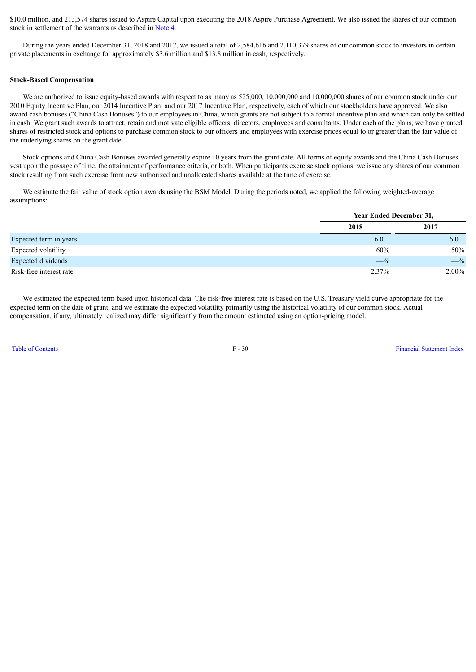\$10.0 million, and 213,574 shares issued to Aspire Capital upon executing the 2018 Aspire Purchase Agreement. We also issued the shares of our common stock in settlement of the warrants as described in Note 4.

During the years ended December 31, 2018 and 2017, we issued a total of 2,584,616 and 2,110,379 shares of our common stock to investors in certain private placements in exchange for approximately \$3.6 million and \$13.8 million in cash, respectively.

#### **Stock-Based Compensation**

We are authorized to issue equity-based awards with respect to as many as 525,000, 10,000,000 and 10,000,000 shares of our common stock under our 2010 Equity Incentive Plan, our 2014 Incentive Plan, and our 2017 Incentive Plan, respectively, each of which our stockholders have approved. We also award cash bonuses ("China Cash Bonuses") to our employees in China, which grants are not subject to a formal incentive plan and which can only be settled in cash. We grant such awards to attract, retain and motivate eligible officers, directors, employees and consultants. Under each of the plans, we have granted shares of restricted stock and options to purchase common stock to our officers and employees with exercise prices equal to or greater than the fair value of the underlying shares on the grant date.

Stock options and China Cash Bonuses awarded generally expire 10 years from the grant date. All forms of equity awards and the China Cash Bonuses vest upon the passage of time, the attainment of performance criteria, or both. When participants exercise stock options, we issue any shares of our common stock resulting from such exercise from new authorized and unallocated shares available at the time of exercise.

We estimate the fair value of stock option awards using the BSM Model. During the periods noted, we applied the following weighted-average assumptions:

|                         | <b>Year Ended December 31,</b> |          |
|-------------------------|--------------------------------|----------|
|                         | 2018                           | 2017     |
| Expected term in years  | 6.0                            | 6.0      |
| Expected volatility     | 60%                            | 50%      |
| Expected dividends      | $-$ %                          | $-$ %    |
| Risk-free interest rate | 2.37%                          | $2.00\%$ |

We estimated the expected term based upon historical data. The risk-free interest rate is based on the U.S. Treasury yield curve appropriate for the expected term on the date of grant, and we estimate the expected volatility primarily using the historical volatility of our common stock. Actual compensation, if any, ultimately realized may differ significantly from the amount estimated using an option-pricing model.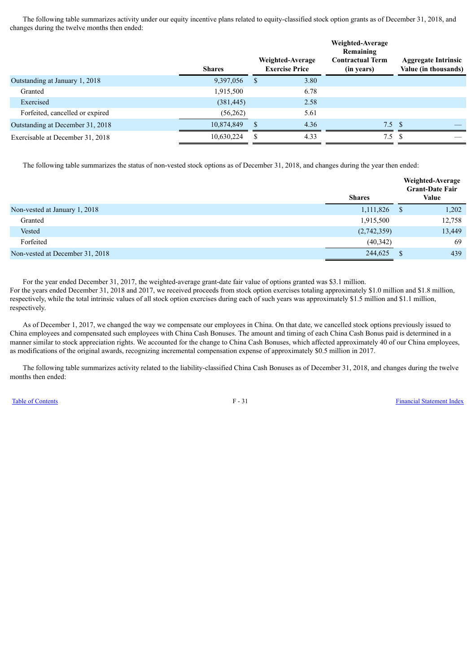The following table summarizes activity under our equity incentive plans related to equity-classified stock option grants as of December 31, 2018, and changes during the twelve months then ended:

|                                  | <b>Shares</b> |    | Weighted-Average<br><b>Exercise Price</b> | Weighted-Average<br>Remaining<br><b>Contractual Term</b><br>(in years) | <b>Aggregate Intrinsic</b><br>Value (in thousands) |
|----------------------------------|---------------|----|-------------------------------------------|------------------------------------------------------------------------|----------------------------------------------------|
| Outstanding at January 1, 2018   | 9,397,056     | S  | 3.80                                      |                                                                        |                                                    |
| Granted                          | 1,915,500     |    | 6.78                                      |                                                                        |                                                    |
| Exercised                        | (381, 445)    |    | 2.58                                      |                                                                        |                                                    |
| Forfeited, cancelled or expired  | (56,262)      |    | 5.61                                      |                                                                        |                                                    |
| Outstanding at December 31, 2018 | 10.874.849    | -S | 4.36                                      | $7.5 \quad$                                                            |                                                    |
| Exercisable at December 31, 2018 | 10,630,224    |    | 4.33                                      | 7.5                                                                    | <sup>\$</sup>                                      |
|                                  |               |    |                                           |                                                                        |                                                    |

The following table summarizes the status of non-vested stock options as of December 31, 2018, and changes during the year then ended:

|                                 | <b>Shares</b> |    | Weighted-Average<br><b>Grant-Date Fair</b><br>Value |
|---------------------------------|---------------|----|-----------------------------------------------------|
| Non-vested at January 1, 2018   | 1,111,826     | -S | 1,202                                               |
| Granted                         | 1,915,500     |    | 12,758                                              |
| Vested                          | (2,742,359)   |    | 13,449                                              |
| Forfeited                       | (40, 342)     |    | 69                                                  |
| Non-vested at December 31, 2018 | 244,625       | -S | 439                                                 |

For the year ended December 31, 2017, the weighted-average grant-date fair value of options granted was \$3.1 million. For the years ended December 31, 2018 and 2017, we received proceeds from stock option exercises totaling approximately \$1.0 million and \$1.8 million, respectively, while the total intrinsic values of all stock option exercises during each of such years was approximately \$1.5 million and \$1.1 million, respectively.

As of December 1, 2017, we changed the way we compensate our employees in China. On that date, we cancelled stock options previously issued to China employees and compensated such employees with China Cash Bonuses. The amount and timing of each China Cash Bonus paid is determined in a manner similar to stock appreciation rights. We accounted for the change to China Cash Bonuses, which affected approximately 40 of our China employees, as modifications of the original awards, recognizing incremental compensation expense of approximately \$0.5 million in 2017.

The following table summarizes activity related to the liability-classified China Cash Bonuses as of December 31, 2018, and changes during the twelve months then ended: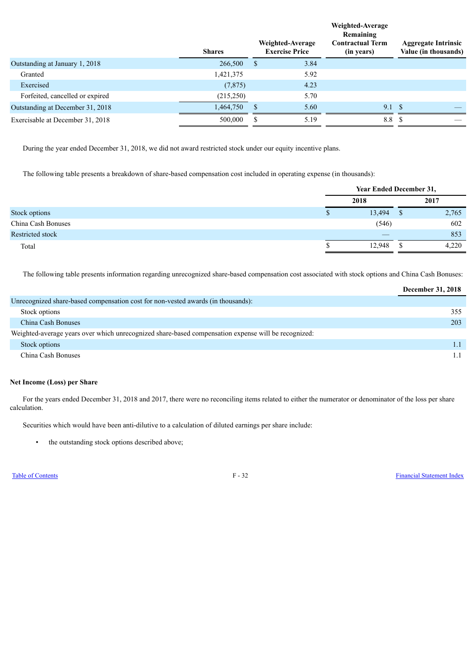|                                  | <b>Shares</b> |               | Weighted-Average<br><b>Exercise Price</b> | <b>Aggregate Intrinsic</b><br>Value (in thousands) |  |
|----------------------------------|---------------|---------------|-------------------------------------------|----------------------------------------------------|--|
| Outstanding at January 1, 2018   | 266,500       | <sup>\$</sup> | 3.84                                      |                                                    |  |
| Granted                          | 1,421,375     |               | 5.92                                      |                                                    |  |
| Exercised                        | (7, 875)      |               | 4.23                                      |                                                    |  |
| Forfeited, cancelled or expired  | (215,250)     |               | 5.70                                      |                                                    |  |
| Outstanding at December 31, 2018 | 1,464,750     | \$.           | 5.60                                      | 9.1 S                                              |  |
| Exercisable at December 31, 2018 | 500,000       | \$.           | 5.19                                      | 8.8                                                |  |
|                                  |               |               |                                           |                                                    |  |

During the year ended December 31, 2018, we did not award restricted stock under our equity incentive plans.

The following table presents a breakdown of share-based compensation cost included in operating expense (in thousands):

|                    |   | <b>Year Ended December 31,</b> |  |       |  |  |
|--------------------|---|--------------------------------|--|-------|--|--|
|                    |   | 2018                           |  | 2017  |  |  |
| Stock options      | S | 13,494                         |  | 2,765 |  |  |
| China Cash Bonuses |   | (546)                          |  | 602   |  |  |
| Restricted stock   |   |                                |  | 853   |  |  |
| Total              |   | 12,948                         |  | 4,220 |  |  |

The following table presents information regarding unrecognized share-based compensation cost associated with stock options and China Cash Bonuses:

|                                                                                                     | December 31, 2018 |
|-----------------------------------------------------------------------------------------------------|-------------------|
| Unrecognized share-based compensation cost for non-vested awards (in thousands):                    |                   |
| Stock options                                                                                       | 355               |
| China Cash Bonuses                                                                                  | 203               |
| Weighted-average years over which unrecognized share-based compensation expense will be recognized: |                   |
| Stock options                                                                                       | 1.1               |
| China Cash Bonuses                                                                                  |                   |
|                                                                                                     |                   |

# **Net Income (Loss) per Share**

For the years ended December 31, 2018 and 2017, there were no reconciling items related to either the numerator or denominator of the loss per share calculation.

Securities which would have been anti-dilutive to a calculation of diluted earnings per share include:

• the outstanding stock options described above;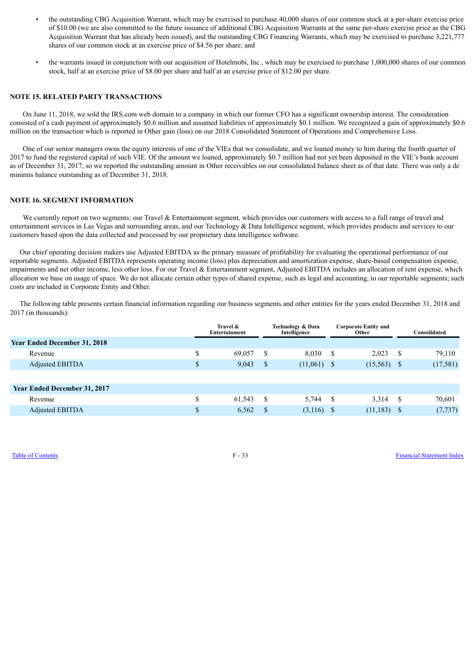- the outstanding CBG Acquisition Warrant, which may be exercised to purchase 40,000 shares of our common stock at a per-share exercise price of \$10.00 (we are also committed to the future issuance of additional CBG Acquisition Warrants at the same per-share exercise price as the CBG Acquisition Warrant that has already been issued), and the outstanding CBG Financing Warrants, which may be exercised to purchase 3,221,777 shares of our common stock at an exercise price of \$4.56 per share; and
- the warrants issued in conjunction with our acquisition of Hotelmobi, Inc., which may be exercised to purchase 1,000,000 shares of our common stock, half at an exercise price of \$8.00 per share and half at an exercise price of \$12.00 per share.

### <span id="page-84-0"></span>**NOTE 15. RELATED PARTY TRANSACTIONS**

On June 11, 2018, we sold the IRS.com web domain to a company in which our former CFO has a significant ownership interest. The consideration consisted of a cash payment of approximately \$0.6 million and assumed liabilities of approximately \$0.1 million. We recognized a gain of approximately \$0.6 million on the transaction which is reported in Other gain (loss) on our 2018 Consolidated Statement of Operations and Comprehensive Loss.

One of our senior managers owns the equity interests of one of the VIEs that we consolidate, and we loaned money to him during the fourth quarter of 2017 to fund the registered capital of such VIE. Of the amount we loaned, approximately \$0.7 million had not yet been deposited in the VIE's bank account as of December 31, 2017, so we reported the outstanding amount in Other receivables on our consolidated balance sheet as of that date. There was only a de minimis balance outstanding as of December 31, 2018.

### **NOTE 16. SEGMENT INFORMATION**

We currently report on two segments: our Travel & Entertainment segment, which provides our customers with access to a full range of travel and entertainment services in Las Vegas and surrounding areas, and our Technology & Data Intelligence segment, which provides products and services to our customers based upon the data collected and processed by our proprietary data intelligence software.

Our chief operating decision makers use Adjusted EBITDA as the primary measure of profitability for evaluating the operational performance of our reportable segments. Adjusted EBITDA represents operating income (loss) plus depreciation and amortization expense, share-based compensation expense, impairments and net other income, less other loss. For our Travel & Entertainment segment, Adjusted EBITDA includes an allocation of rent expense, which allocation we base on usage of space. We do not allocate certain other types of shared expense, such as legal and accounting, to our reportable segments; such costs are included in Corporate Entity and Other.

The following table presents certain financial information regarding our business segments and other entities for the years ended December 31, 2018 and 2017 (in thousands):

|                                     | Travel &<br><b>Entertainment</b> |               | Technology & Data<br>Intelligence |      | <b>Corporate Entity and</b><br>Other |      | Consolidated |
|-------------------------------------|----------------------------------|---------------|-----------------------------------|------|--------------------------------------|------|--------------|
| <b>Year Ended December 31, 2018</b> |                                  |               |                                   |      |                                      |      |              |
| Revenue                             | \$<br>69,057                     | S             | 8,030                             | - \$ | 2,023                                | -S   | 79,110       |
| <b>Adjusted EBITDA</b>              | \$<br>9,043                      | <sup>\$</sup> | (11,061)                          | - \$ | $(15,563)$ \$                        |      | (17,581)     |
|                                     |                                  |               |                                   |      |                                      |      |              |
| <b>Year Ended December 31, 2017</b> |                                  |               |                                   |      |                                      |      |              |
| Revenue                             | \$<br>61,543                     | -S            | 5.744                             | - S  | 3.314                                | - \$ | 70,601       |
| <b>Adjusted EBITDA</b>              | \$<br>6,562                      | -S            | $(3,116)$ \$                      |      | $(11,183)$ \$                        |      | (7, 737)     |
|                                     |                                  |               |                                   |      |                                      |      |              |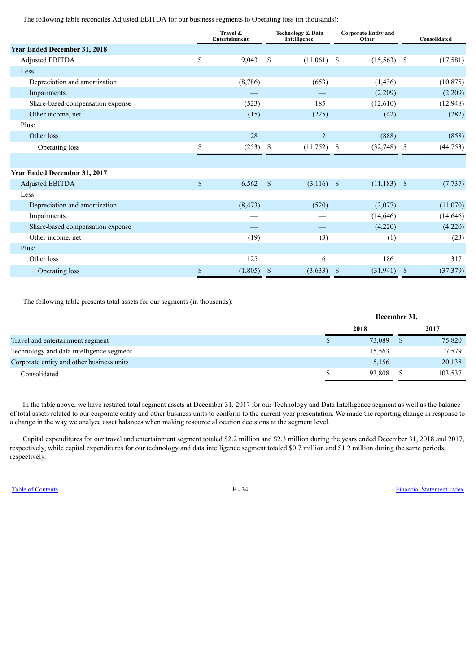The following table reconciles Adjusted EBITDA for our business segments to Operating loss (in thousands):

|                                     | Travel &<br><b>Entertainment</b> |               | <b>Technology &amp; Data</b><br>Intelligence |                    | <b>Corporate Entity and</b><br>Other | Consolidated    |
|-------------------------------------|----------------------------------|---------------|----------------------------------------------|--------------------|--------------------------------------|-----------------|
| <b>Year Ended December 31, 2018</b> |                                  |               |                                              |                    |                                      |                 |
| <b>Adjusted EBITDA</b>              | \$<br>9,043                      | <sup>\$</sup> | $(11,061)$ \$                                |                    | $(15,563)$ \$                        | (17,581)        |
| Less:                               |                                  |               |                                              |                    |                                      |                 |
| Depreciation and amortization       | (8,786)                          |               | (653)                                        |                    | (1, 436)                             | (10, 875)       |
| Impairments                         |                                  |               |                                              |                    | (2,209)                              | (2,209)         |
| Share-based compensation expense    | (523)                            |               | 185                                          |                    | (12,610)                             | (12, 948)       |
| Other income, net                   | (15)                             |               | (225)                                        |                    | (42)                                 | (282)           |
| Plus:                               |                                  |               |                                              |                    |                                      |                 |
| Other loss                          | 28                               |               | $\overline{2}$                               |                    | (888)                                | (858)           |
| Operating loss                      | \$<br>(253)                      | \$            | (11, 752)                                    | \$                 | (32, 748)                            | \$<br>(44, 753) |
|                                     |                                  |               |                                              |                    |                                      |                 |
| Year Ended December 31, 2017        |                                  |               |                                              |                    |                                      |                 |
| <b>Adjusted EBITDA</b>              | \$<br>6,562                      | <sup>\$</sup> | $(3,116)$ \$                                 |                    | $(11,183)$ \$                        | (7, 737)        |
| Less:                               |                                  |               |                                              |                    |                                      |                 |
| Depreciation and amortization       | (8, 473)                         |               | (520)                                        |                    | (2,077)                              | (11,070)        |
| Impairments                         |                                  |               |                                              |                    | (14, 646)                            | (14, 646)       |
| Share-based compensation expense    |                                  |               |                                              |                    | (4,220)                              | (4,220)         |
| Other income, net                   | (19)                             |               | (3)                                          |                    | (1)                                  | (23)            |
| Plus:                               |                                  |               |                                              |                    |                                      |                 |
| Other loss                          | 125                              |               | 6                                            |                    | 186                                  | 317             |
| Operating loss                      | \$<br>(1,805)                    | $\mathbb{S}$  | (3,633)                                      | $\mathbf{\hat{S}}$ | (31, 941)                            | \$<br>(37, 379) |

The following table presents total assets for our segments (in thousands):

|                                           | December 31, |        |  |         |  |
|-------------------------------------------|--------------|--------|--|---------|--|
|                                           |              | 2018   |  | 2017    |  |
| Travel and entertainment segment          |              | 73,089 |  | 75,820  |  |
| Technology and data intelligence segment  |              | 15,563 |  | 7,579   |  |
| Corporate entity and other business units |              | 5,156  |  | 20,138  |  |
| Consolidated                              |              | 93.808 |  | 103,537 |  |

In the table above, we have restated total segment assets at December 31, 2017 for our Technology and Data Intelligence segment as well as the balance of total assets related to our corporate entity and other business units to conform to the current year presentation. We made the reporting change in response to a change in the way we analyze asset balances when making resource allocation decisions at the segment level.

Capital expenditures for our travel and entertainment segment totaled \$2.2 million and \$2.3 million during the years ended December 31, 2018 and 2017, respectively, while capital expenditures for our technology and data intelligence segment totaled \$0.7 million and \$1.2 million during the same periods, respectively.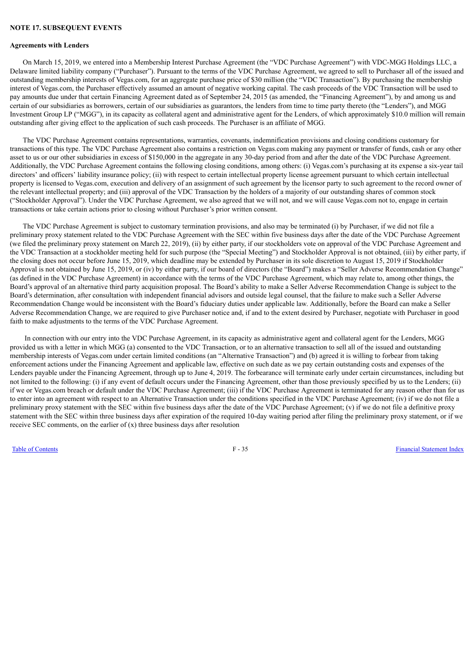#### <span id="page-86-0"></span>**NOTE 17. SUBSEQUENT EVENTS**

#### **Agreements with Lenders**

On March 15, 2019, we entered into a Membership Interest Purchase Agreement (the "VDC Purchase Agreement") with VDC-MGG Holdings LLC, a Delaware limited liability company ("Purchaser"). Pursuant to the terms of the VDC Purchase Agreement, we agreed to sell to Purchaser all of the issued and outstanding membership interests of Vegas.com, for an aggregate purchase price of \$30 million (the "VDC Transaction"). By purchasing the membership interest of Vegas.com, the Purchaser effectively assumed an amount of negative working capital. The cash proceeds of the VDC Transaction will be used to pay amounts due under that certain Financing Agreement dated as of September 24, 2015 (as amended, the "Financing Agreement"), by and among us and certain of our subsidiaries as borrowers, certain of our subsidiaries as guarantors, the lenders from time to time party thereto (the "Lenders"), and MGG Investment Group LP ("MGG"), in its capacity as collateral agent and administrative agent for the Lenders, of which approximately \$10.0 million will remain outstanding after giving effect to the application of such cash proceeds. The Purchaser is an affiliate of MGG.

The VDC Purchase Agreement contains representations, warranties, covenants, indemnification provisions and closing conditions customary for transactions of this type. The VDC Purchase Agreement also contains a restriction on Vegas.com making any payment or transfer of funds, cash or any other asset to us or our other subsidiaries in excess of \$150,000 in the aggregate in any 30-day period from and after the date of the VDC Purchase Agreement. Additionally, the VDC Purchase Agreement contains the following closing conditions, among others: (i) Vegas.com's purchasing at its expense a six-year tail directors' and officers' liability insurance policy; (ii) with respect to certain intellectual property license agreement pursuant to which certain intellectual property is licensed to Vegas.com, execution and delivery of an assignment of such agreement by the licensor party to such agreement to the record owner of the relevant intellectual property; and (iii) approval of the VDC Transaction by the holders of a majority of our outstanding shares of common stock ("Stockholder Approval"). Under the VDC Purchase Agreement, we also agreed that we will not, and we will cause Vegas.com not to, engage in certain transactions or take certain actions prior to closing without Purchaser's prior written consent.

The VDC Purchase Agreement is subject to customary termination provisions, and also may be terminated (i) by Purchaser, if we did not file a preliminary proxy statement related to the VDC Purchase Agreement with the SEC within five business days after the date of the VDC Purchase Agreement (we filed the preliminary proxy statement on March 22, 2019), (ii) by either party, if our stockholders vote on approval of the VDC Purchase Agreement and the VDC Transaction at a stockholder meeting held for such purpose (the "Special Meeting") and Stockholder Approval is not obtained, (iii) by either party, if the closing does not occur before June 15, 2019, which deadline may be extended by Purchaser in its sole discretion to August 15, 2019 if Stockholder Approval is not obtained by June 15, 2019, or (iv) by either party, if our board of directors (the "Board") makes a "Seller Adverse Recommendation Change" (as defined in the VDC Purchase Agreement) in accordance with the terms of the VDC Purchase Agreement, which may relate to, among other things, the Board's approval of an alternative third party acquisition proposal. The Board's ability to make a Seller Adverse Recommendation Change is subject to the Board's determination, after consultation with independent financial advisors and outside legal counsel, that the failure to make such a Seller Adverse Recommendation Change would be inconsistent with the Board's fiduciary duties under applicable law. Additionally, before the Board can make a Seller Adverse Recommendation Change, we are required to give Purchaser notice and, if and to the extent desired by Purchaser, negotiate with Purchaser in good faith to make adjustments to the terms of the VDC Purchase Agreement.

In connection with our entry into the VDC Purchase Agreement, in its capacity as administrative agent and collateral agent for the Lenders, MGG provided us with a letter in which MGG (a) consented to the VDC Transaction, or to an alternative transaction to sell all of the issued and outstanding membership interests of Vegas.com under certain limited conditions (an "Alternative Transaction") and (b) agreed it is willing to forbear from taking enforcement actions under the Financing Agreement and applicable law, effective on such date as we pay certain outstanding costs and expenses of the Lenders payable under the Financing Agreement, through up to June 4, 2019. The forbearance will terminate early under certain circumstances, including but not limited to the following: (i) if any event of default occurs under the Financing Agreement, other than those previously specified by us to the Lenders; (ii) if we or Vegas.com breach or default under the VDC Purchase Agreement; (iii) if the VDC Purchase Agreement is terminated for any reason other than for us to enter into an agreement with respect to an Alternative Transaction under the conditions specified in the VDC Purchase Agreement; (iv) if we do not file a preliminary proxy statement with the SEC within five business days after the date of the VDC Purchase Agreement; (v) if we do not file a definitive proxy statement with the SEC within three business days after expiration of the required 10-day waiting period after filing the preliminary proxy statement, or if we receive SEC comments, on the earlier of (x) three business days after resolution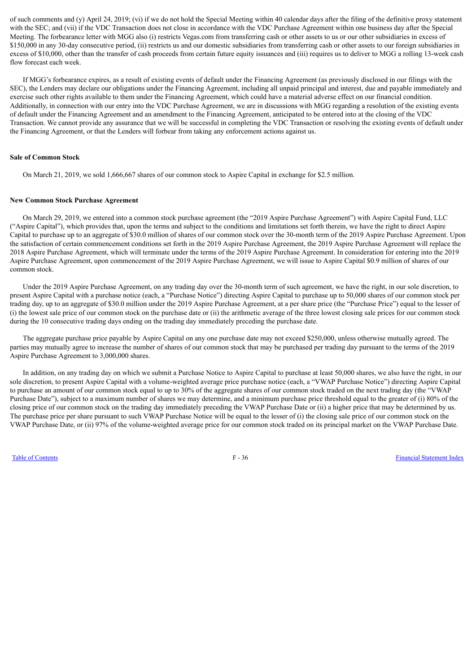of such comments and (y) April 24, 2019; (vi) if we do not hold the Special Meeting within 40 calendar days after the filing of the definitive proxy statement with the SEC; and (vii) if the VDC Transaction does not close in accordance with the VDC Purchase Agreement within one business day after the Special Meeting. The forbearance letter with MGG also (i) restricts Vegas.com from transferring cash or other assets to us or our other subsidiaries in excess of \$150,000 in any 30-day consecutive period, (ii) restricts us and our domestic subsidiaries from transferring cash or other assets to our foreign subsidiaries in excess of \$10,000, other than the transfer of cash proceeds from certain future equity issuances and (iii) requires us to deliver to MGG a rolling 13-week cash flow forecast each week.

If MGG's forbearance expires, as a result of existing events of default under the Financing Agreement (as previously disclosed in our filings with the SEC), the Lenders may declare our obligations under the Financing Agreement, including all unpaid principal and interest, due and payable immediately and exercise such other rights available to them under the Financing Agreement, which could have a material adverse effect on our financial condition. Additionally, in connection with our entry into the VDC Purchase Agreement, we are in discussions with MGG regarding a resolution of the existing events of default under the Financing Agreement and an amendment to the Financing Agreement, anticipated to be entered into at the closing of the VDC Transaction. We cannot provide any assurance that we will be successful in completing the VDC Transaction or resolving the existing events of default under the Financing Agreement, or that the Lenders will forbear from taking any enforcement actions against us.

### **Sale of Common Stock**

On March 21, 2019, we sold 1,666,667 shares of our common stock to Aspire Capital in exchange for \$2.5 million.

### **New Common Stock Purchase Agreement**

On March 29, 2019, we entered into a common stock purchase agreement (the "2019 Aspire Purchase Agreement") with Aspire Capital Fund, LLC ("Aspire Capital"), which provides that, upon the terms and subject to the conditions and limitations set forth therein, we have the right to direct Aspire Capital to purchase up to an aggregate of \$30.0 million of shares of our common stock over the 30-month term of the 2019 Aspire Purchase Agreement. Upon the satisfaction of certain commencement conditions set forth in the 2019 Aspire Purchase Agreement, the 2019 Aspire Purchase Agreement will replace the 2018 Aspire Purchase Agreement, which will terminate under the terms of the 2019 Aspire Purchase Agreement. In consideration for entering into the 2019 Aspire Purchase Agreement, upon commencement of the 2019 Aspire Purchase Agreement, we will issue to Aspire Capital \$0.9 million of shares of our common stock.

Under the 2019 Aspire Purchase Agreement, on any trading day over the 30-month term of such agreement, we have the right, in our sole discretion, to present Aspire Capital with a purchase notice (each, a "Purchase Notice") directing Aspire Capital to purchase up to 50,000 shares of our common stock per trading day, up to an aggregate of \$30.0 million under the 2019 Aspire Purchase Agreement, at a per share price (the "Purchase Price") equal to the lesser of (i) the lowest sale price of our common stock on the purchase date or (ii) the arithmetic average of the three lowest closing sale prices for our common stock during the 10 consecutive trading days ending on the trading day immediately preceding the purchase date.

The aggregate purchase price payable by Aspire Capital on any one purchase date may not exceed \$250,000, unless otherwise mutually agreed. The parties may mutually agree to increase the number of shares of our common stock that may be purchased per trading day pursuant to the terms of the 2019 Aspire Purchase Agreement to 3,000,000 shares.

In addition, on any trading day on which we submit a Purchase Notice to Aspire Capital to purchase at least 50,000 shares, we also have the right, in our sole discretion, to present Aspire Capital with a volume-weighted average price purchase notice (each, a "VWAP Purchase Notice") directing Aspire Capital to purchase an amount of our common stock equal to up to 30% of the aggregate shares of our common stock traded on the next trading day (the "VWAP Purchase Date"), subject to a maximum number of shares we may determine, and a minimum purchase price threshold equal to the greater of (i) 80% of the closing price of our common stock on the trading day immediately preceding the VWAP Purchase Date or (ii) a higher price that may be determined by us. The purchase price per share pursuant to such VWAP Purchase Notice will be equal to the lesser of (i) the closing sale price of our common stock on the VWAP Purchase Date, or (ii) 97% of the volume-weighted average price for our common stock traded on its principal market on the VWAP Purchase Date.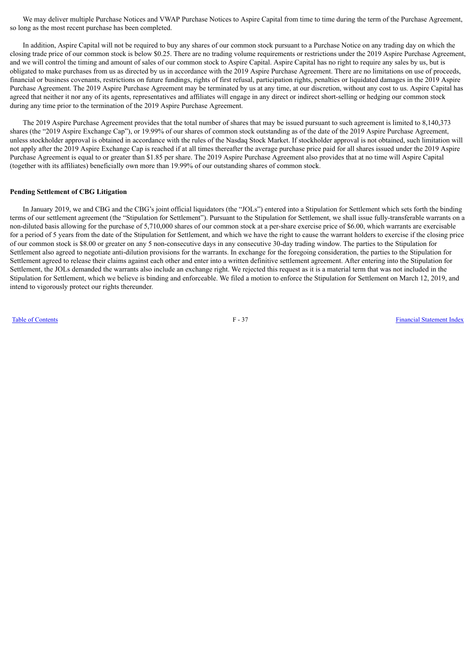We may deliver multiple Purchase Notices and VWAP Purchase Notices to Aspire Capital from time to time during the term of the Purchase Agreement, so long as the most recent purchase has been completed.

In addition, Aspire Capital will not be required to buy any shares of our common stock pursuant to a Purchase Notice on any trading day on which the closing trade price of our common stock is below \$0.25. There are no trading volume requirements or restrictions under the 2019 Aspire Purchase Agreement, and we will control the timing and amount of sales of our common stock to Aspire Capital. Aspire Capital has no right to require any sales by us, but is obligated to make purchases from us as directed by us in accordance with the 2019 Aspire Purchase Agreement. There are no limitations on use of proceeds, financial or business covenants, restrictions on future fundings, rights of first refusal, participation rights, penalties or liquidated damages in the 2019 Aspire Purchase Agreement. The 2019 Aspire Purchase Agreement may be terminated by us at any time, at our discretion, without any cost to us. Aspire Capital has agreed that neither it nor any of its agents, representatives and affiliates will engage in any direct or indirect short-selling or hedging our common stock during any time prior to the termination of the 2019 Aspire Purchase Agreement.

The 2019 Aspire Purchase Agreement provides that the total number of shares that may be issued pursuant to such agreement is limited to 8,140,373 shares (the "2019 Aspire Exchange Cap"), or 19.99% of our shares of common stock outstanding as of the date of the 2019 Aspire Purchase Agreement, unless stockholder approval is obtained in accordance with the rules of the Nasdaq Stock Market. If stockholder approval is not obtained, such limitation will not apply after the 2019 Aspire Exchange Cap is reached if at all times thereafter the average purchase price paid for all shares issued under the 2019 Aspire Purchase Agreement is equal to or greater than \$1.85 per share. The 2019 Aspire Purchase Agreement also provides that at no time will Aspire Capital (together with its affiliates) beneficially own more than 19.99% of our outstanding shares of common stock.

#### **Pending Settlement of CBG Litigation**

In January 2019, we and CBG and the CBG's joint official liquidators (the "JOLs") entered into a Stipulation for Settlement which sets forth the binding terms of our settlement agreement (the "Stipulation for Settlement"). Pursuant to the Stipulation for Settlement, we shall issue fully-transferable warrants on a non-diluted basis allowing for the purchase of 5,710,000 shares of our common stock at a per-share exercise price of \$6.00, which warrants are exercisable for a period of 5 years from the date of the Stipulation for Settlement, and which we have the right to cause the warrant holders to exercise if the closing price of our common stock is \$8.00 or greater on any 5 non-consecutive days in any consecutive 30-day trading window. The parties to the Stipulation for Settlement also agreed to negotiate anti-dilution provisions for the warrants. In exchange for the foregoing consideration, the parties to the Stipulation for Settlement agreed to release their claims against each other and enter into a written definitive settlement agreement. After entering into the Stipulation for Settlement, the JOLs demanded the warrants also include an exchange right. We rejected this request as it is a material term that was not included in the Stipulation for Settlement, which we believe is binding and enforceable. We filed a motion to enforce the Stipulation for Settlement on March 12, 2019, and intend to vigorously protect our rights thereunder.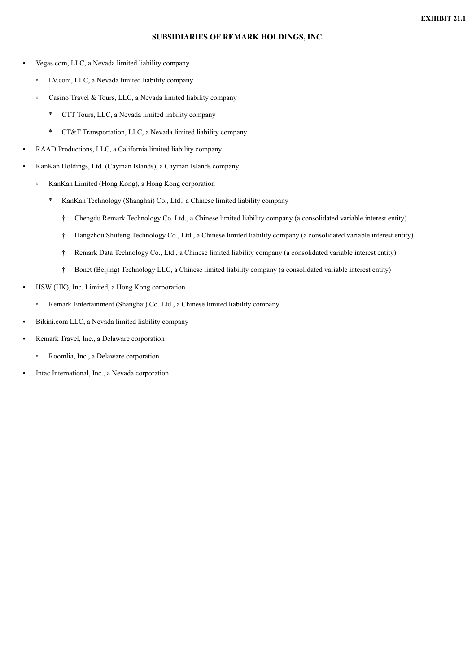# **SUBSIDIARIES OF REMARK HOLDINGS, INC.**

- Vegas.com, LLC, a Nevada limited liability company
	- LV.com, LLC, a Nevada limited liability company
	- Casino Travel & Tours, LLC, a Nevada limited liability company
		- \* CTT Tours, LLC, a Nevada limited liability company
		- \* CT&T Transportation, LLC, a Nevada limited liability company
- RAAD Productions, LLC, a California limited liability company
- KanKan Holdings, Ltd. (Cayman Islands), a Cayman Islands company
	- KanKan Limited (Hong Kong), a Hong Kong corporation
		- \* KanKan Technology (Shanghai) Co., Ltd., a Chinese limited liability company
			- † Chengdu Remark Technology Co. Ltd., a Chinese limited liability company (a consolidated variable interest entity)
			- † Hangzhou Shufeng Technology Co., Ltd., a Chinese limited liability company (a consolidated variable interest entity)
			- † Remark Data Technology Co., Ltd., a Chinese limited liability company (a consolidated variable interest entity)
			- † Bonet (Beijing) Technology LLC, a Chinese limited liability company (a consolidated variable interest entity)
- HSW (HK), Inc. Limited, a Hong Kong corporation
	- Remark Entertainment (Shanghai) Co. Ltd., a Chinese limited liability company
- Bikini.com LLC, a Nevada limited liability company
- Remark Travel, Inc., a Delaware corporation
	- Roomlia, Inc., a Delaware corporation
- Intac International, Inc., a Nevada corporation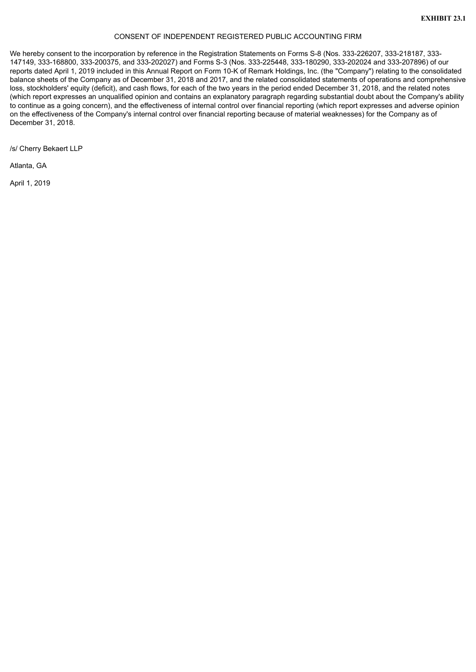## CONSENT OF INDEPENDENT REGISTERED PUBLIC ACCOUNTING FIRM

We hereby consent to the incorporation by reference in the Registration Statements on Forms S-8 (Nos. 333-226207, 333-218187, 333-147149, 333-168800, 333-200375, and 333-202027) and Forms S-3 (Nos. 333-225448, 333-180290, 333-202024 and 333-207896) of our reports dated April 1, 2019 included in this Annual Report on Form 10-K of Remark Holdings, Inc. (the "Company") relating to the consolidated balance sheets of the Company as of December 31, 2018 and 2017, and the related consolidated statements of operations and comprehensive loss, stockholders' equity (deficit), and cash flows, for each of the two years in the period ended December 31, 2018, and the related notes (which report expresses an unqualified opinion and contains an explanatory paragraph regarding substantial doubt about the Company's ability to continue as a going concern), and the effectiveness of internal control over financial reporting (which report expresses and adverse opinion on the effectiveness of the Company's internal control over financial reporting because of material weaknesses) for the Company as of December 31, 2018.

/s/ Cherry Bekaert LLP

Atlanta, GA

April 1, 2019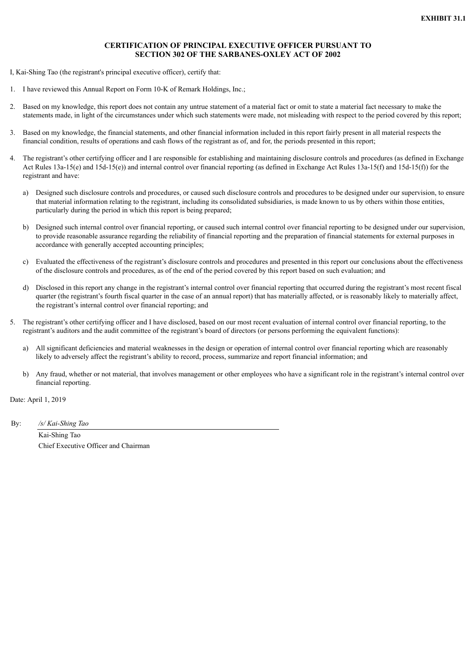# **CERTIFICATION OF PRINCIPAL EXECUTIVE OFFICER PURSUANT TO SECTION 302 OF THE SARBANES-OXLEY ACT OF 2002**

I, Kai-Shing Tao (the registrant's principal executive officer), certify that:

- 1. I have reviewed this Annual Report on Form 10-K of Remark Holdings, Inc.;
- 2. Based on my knowledge, this report does not contain any untrue statement of a material fact or omit to state a material fact necessary to make the statements made, in light of the circumstances under which such statements were made, not misleading with respect to the period covered by this report;
- 3. Based on my knowledge, the financial statements, and other financial information included in this report fairly present in all material respects the financial condition, results of operations and cash flows of the registrant as of, and for, the periods presented in this report;
- 4. The registrant's other certifying officer and I are responsible for establishing and maintaining disclosure controls and procedures (as defined in Exchange Act Rules 13a-15(e) and 15d-15(e)) and internal control over financial reporting (as defined in Exchange Act Rules 13a-15(f) and 15d-15(f)) for the registrant and have:
	- a) Designed such disclosure controls and procedures, or caused such disclosure controls and procedures to be designed under our supervision, to ensure that material information relating to the registrant, including its consolidated subsidiaries, is made known to us by others within those entities, particularly during the period in which this report is being prepared;
	- b) Designed such internal control over financial reporting, or caused such internal control over financial reporting to be designed under our supervision, to provide reasonable assurance regarding the reliability of financial reporting and the preparation of financial statements for external purposes in accordance with generally accepted accounting principles;
	- c) Evaluated the effectiveness of the registrant's disclosure controls and procedures and presented in this report our conclusions about the effectiveness of the disclosure controls and procedures, as of the end of the period covered by this report based on such evaluation; and
	- d) Disclosed in this report any change in the registrant's internal control over financial reporting that occurred during the registrant's most recent fiscal quarter (the registrant's fourth fiscal quarter in the case of an annual report) that has materially affected, or is reasonably likely to materially affect, the registrant's internal control over financial reporting; and
- 5. The registrant's other certifying officer and I have disclosed, based on our most recent evaluation of internal control over financial reporting, to the registrant's auditors and the audit committee of the registrant's board of directors (or persons performing the equivalent functions):
	- a) All significant deficiencies and material weaknesses in the design or operation of internal control over financial reporting which are reasonably likely to adversely affect the registrant's ability to record, process, summarize and report financial information; and
	- b) Any fraud, whether or not material, that involves management or other employees who have a significant role in the registrant's internal control over financial reporting.

Date: April 1, 2019

By: */s/ Kai-Shing Tao*

Kai-Shing Tao Chief Executive Officer and Chairman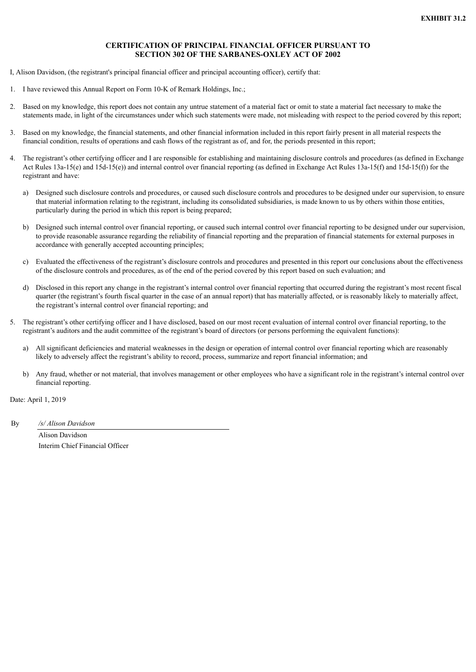# **CERTIFICATION OF PRINCIPAL FINANCIAL OFFICER PURSUANT TO SECTION 302 OF THE SARBANES-OXLEY ACT OF 2002**

- I, Alison Davidson, (the registrant's principal financial officer and principal accounting officer), certify that:
- 1. I have reviewed this Annual Report on Form 10-K of Remark Holdings, Inc.;
- 2. Based on my knowledge, this report does not contain any untrue statement of a material fact or omit to state a material fact necessary to make the statements made, in light of the circumstances under which such statements were made, not misleading with respect to the period covered by this report;
- 3. Based on my knowledge, the financial statements, and other financial information included in this report fairly present in all material respects the financial condition, results of operations and cash flows of the registrant as of, and for, the periods presented in this report;
- 4. The registrant's other certifying officer and I are responsible for establishing and maintaining disclosure controls and procedures (as defined in Exchange Act Rules 13a-15(e) and 15d-15(e)) and internal control over financial reporting (as defined in Exchange Act Rules 13a-15(f) and 15d-15(f)) for the registrant and have:
	- a) Designed such disclosure controls and procedures, or caused such disclosure controls and procedures to be designed under our supervision, to ensure that material information relating to the registrant, including its consolidated subsidiaries, is made known to us by others within those entities, particularly during the period in which this report is being prepared;
	- b) Designed such internal control over financial reporting, or caused such internal control over financial reporting to be designed under our supervision, to provide reasonable assurance regarding the reliability of financial reporting and the preparation of financial statements for external purposes in accordance with generally accepted accounting principles;
	- c) Evaluated the effectiveness of the registrant's disclosure controls and procedures and presented in this report our conclusions about the effectiveness of the disclosure controls and procedures, as of the end of the period covered by this report based on such evaluation; and
	- d) Disclosed in this report any change in the registrant's internal control over financial reporting that occurred during the registrant's most recent fiscal quarter (the registrant's fourth fiscal quarter in the case of an annual report) that has materially affected, or is reasonably likely to materially affect, the registrant's internal control over financial reporting; and
- 5. The registrant's other certifying officer and I have disclosed, based on our most recent evaluation of internal control over financial reporting, to the registrant's auditors and the audit committee of the registrant's board of directors (or persons performing the equivalent functions):
	- a) All significant deficiencies and material weaknesses in the design or operation of internal control over financial reporting which are reasonably likely to adversely affect the registrant's ability to record, process, summarize and report financial information; and
	- b) Any fraud, whether or not material, that involves management or other employees who have a significant role in the registrant's internal control over financial reporting.

Date: April 1, 2019

By */s/ Alison Davidson*

Alison Davidson Interim Chief Financial Officer